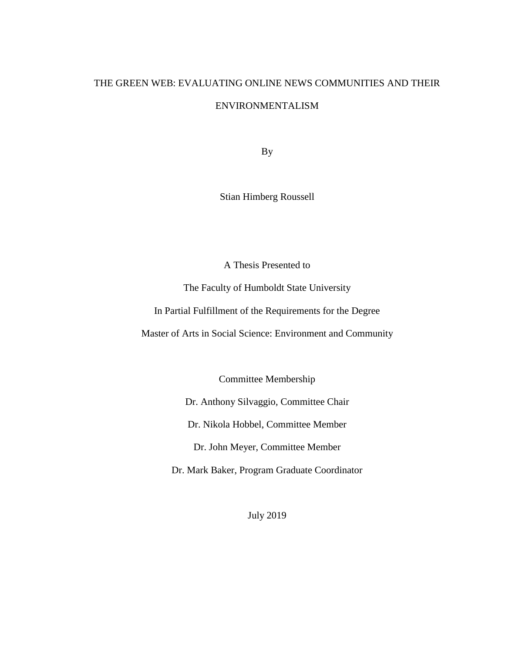# THE GREEN WEB: EVALUATING ONLINE NEWS COMMUNITIES AND THEIR ENVIRONMENTALISM

By

Stian Himberg Roussell

A Thesis Presented to

The Faculty of Humboldt State University

In Partial Fulfillment of the Requirements for the Degree

Master of Arts in Social Science: Environment and Community

Committee Membership

Dr. Anthony Silvaggio, Committee Chair

Dr. Nikola Hobbel, Committee Member

Dr. John Meyer, Committee Member

Dr. Mark Baker, Program Graduate Coordinator

July 2019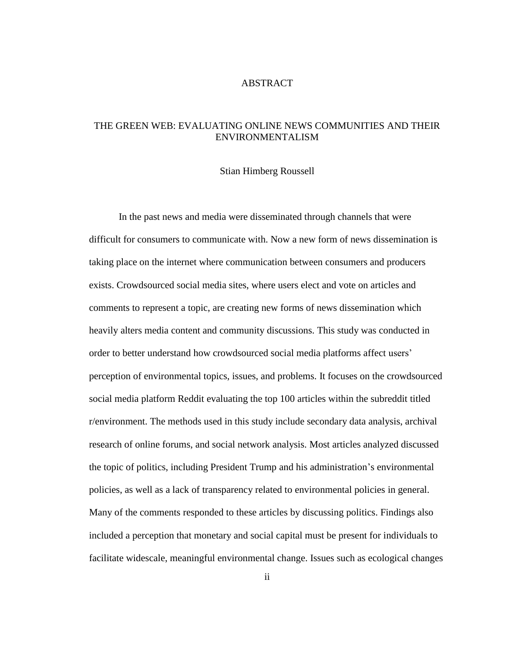#### ABSTRACT

## <span id="page-1-0"></span>THE GREEN WEB: EVALUATING ONLINE NEWS COMMUNITIES AND THEIR ENVIRONMENTALISM

#### Stian Himberg Roussell

In the past news and media were disseminated through channels that were difficult for consumers to communicate with. Now a new form of news dissemination is taking place on the internet where communication between consumers and producers exists. Crowdsourced social media sites, where users elect and vote on articles and comments to represent a topic, are creating new forms of news dissemination which heavily alters media content and community discussions. This study was conducted in order to better understand how crowdsourced social media platforms affect users' perception of environmental topics, issues, and problems. It focuses on the crowdsourced social media platform Reddit evaluating the top 100 articles within the subreddit titled r/environment. The methods used in this study include secondary data analysis, archival research of online forums, and social network analysis. Most articles analyzed discussed the topic of politics, including President Trump and his administration's environmental policies, as well as a lack of transparency related to environmental policies in general. Many of the comments responded to these articles by discussing politics. Findings also included a perception that monetary and social capital must be present for individuals to facilitate widescale, meaningful environmental change. Issues such as ecological changes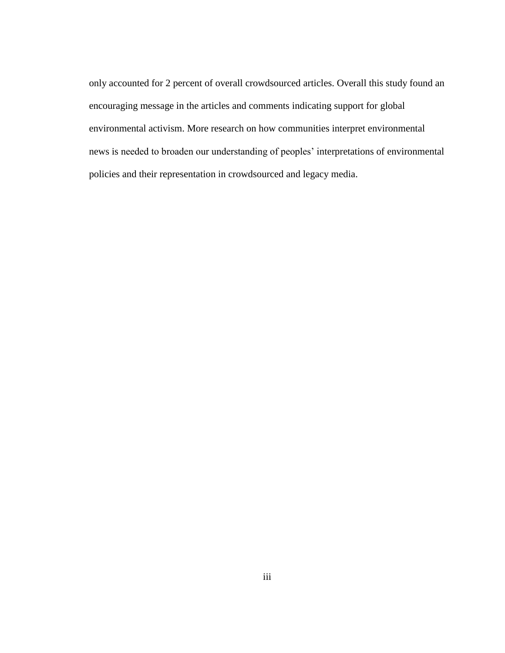only accounted for 2 percent of overall crowdsourced articles. Overall this study found an encouraging message in the articles and comments indicating support for global environmental activism. More research on how communities interpret environmental news is needed to broaden our understanding of peoples' interpretations of environmental policies and their representation in crowdsourced and legacy media.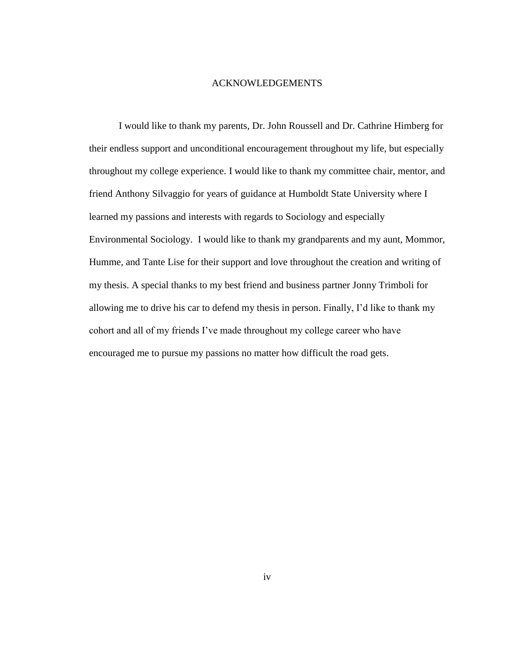#### ACKNOWLEDGEMENTS

<span id="page-3-0"></span>I would like to thank my parents, Dr. John Roussell and Dr. Cathrine Himberg for their endless support and unconditional encouragement throughout my life, but especially throughout my college experience. I would like to thank my committee chair, mentor, and friend Anthony Silvaggio for years of guidance at Humboldt State University where I learned my passions and interests with regards to Sociology and especially Environmental Sociology. I would like to thank my grandparents and my aunt, Mommor, Humme, and Tante Lise for their support and love throughout the creation and writing of my thesis. A special thanks to my best friend and business partner Jonny Trimboli for allowing me to drive his car to defend my thesis in person. Finally, I'd like to thank my cohort and all of my friends I've made throughout my college career who have encouraged me to pursue my passions no matter how difficult the road gets.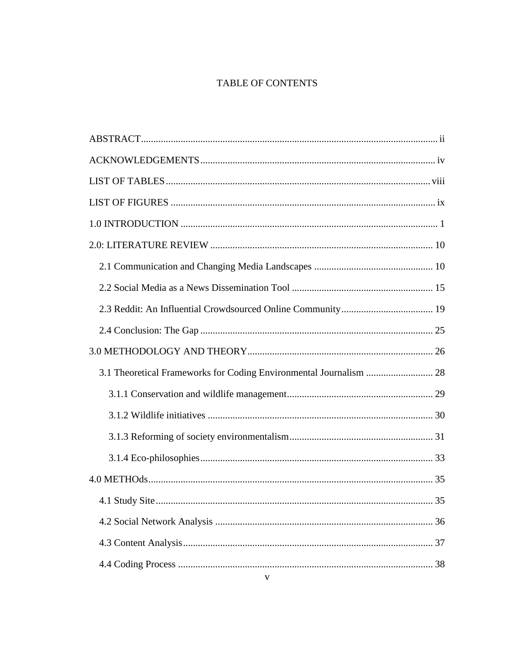# TABLE OF CONTENTS

| 3.1 Theoretical Frameworks for Coding Environmental Journalism  28 |  |
|--------------------------------------------------------------------|--|
|                                                                    |  |
|                                                                    |  |
|                                                                    |  |
|                                                                    |  |
|                                                                    |  |
|                                                                    |  |
|                                                                    |  |
|                                                                    |  |
|                                                                    |  |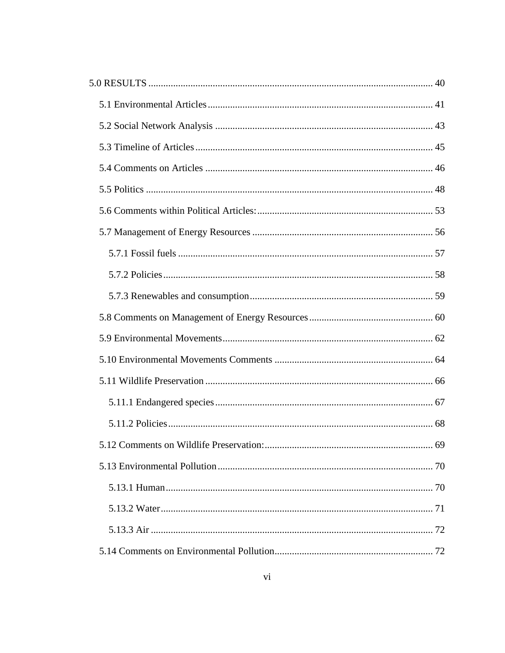| 5.12 Comments on Wildlife Preservation: | 69 |
|-----------------------------------------|----|
|                                         |    |
|                                         |    |
|                                         |    |
|                                         |    |
|                                         |    |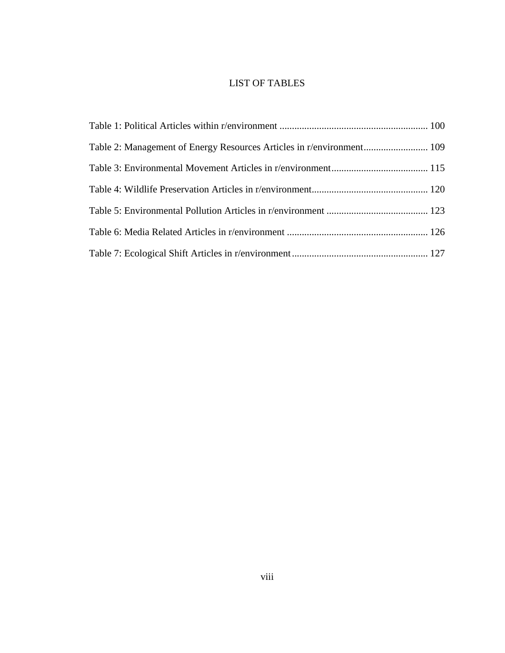# LIST OF TABLES

<span id="page-7-0"></span>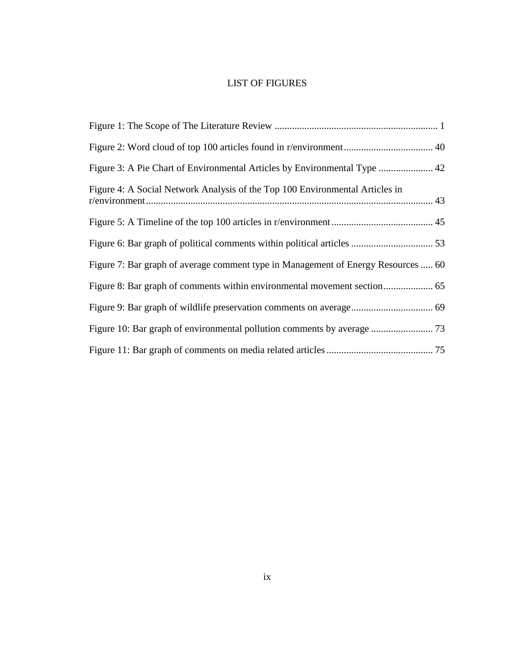# LIST OF FIGURES

<span id="page-8-0"></span>

| Figure 3: A Pie Chart of Environmental Articles by Environmental Type  42         |
|-----------------------------------------------------------------------------------|
| Figure 4: A Social Network Analysis of the Top 100 Environmental Articles in      |
|                                                                                   |
|                                                                                   |
| Figure 7: Bar graph of average comment type in Management of Energy Resources  60 |
|                                                                                   |
|                                                                                   |
|                                                                                   |
|                                                                                   |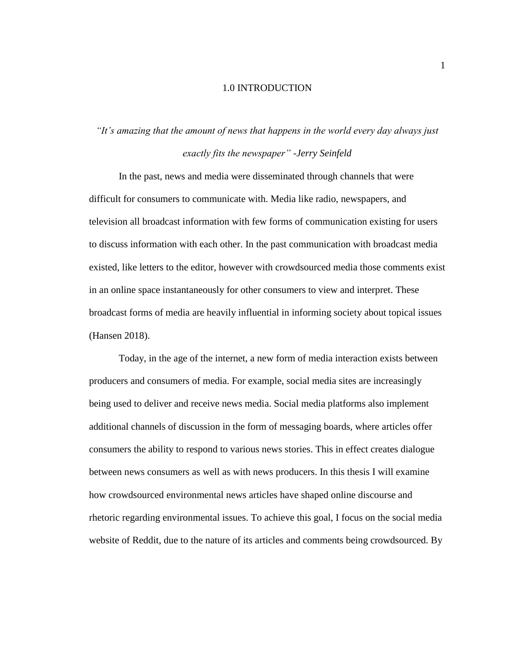#### 1.0 INTRODUCTION

# <span id="page-9-0"></span>*"It's amazing that the amount of news that happens in the world every day always just exactly fits the newspaper" -Jerry Seinfeld*

In the past, news and media were disseminated through channels that were difficult for consumers to communicate with. Media like radio, newspapers, and television all broadcast information with few forms of communication existing for users to discuss information with each other. In the past communication with broadcast media existed, like letters to the editor, however with crowdsourced media those comments exist in an online space instantaneously for other consumers to view and interpret. These broadcast forms of media are heavily influential in informing society about topical issues (Hansen 2018).

Today, in the age of the internet, a new form of media interaction exists between producers and consumers of media. For example, social media sites are increasingly being used to deliver and receive news media. Social media platforms also implement additional channels of discussion in the form of messaging boards, where articles offer consumers the ability to respond to various news stories. This in effect creates dialogue between news consumers as well as with news producers. In this thesis I will examine how crowdsourced environmental news articles have shaped online discourse and rhetoric regarding environmental issues. To achieve this goal, I focus on the social media website of Reddit, due to the nature of its articles and comments being crowdsourced. By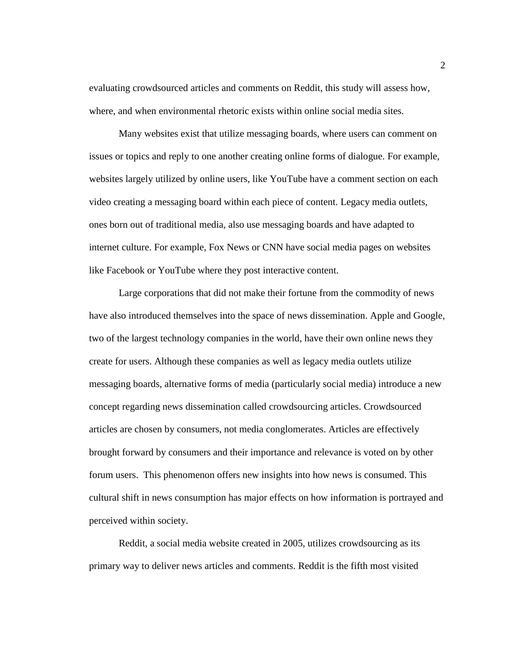evaluating crowdsourced articles and comments on Reddit, this study will assess how, where, and when environmental rhetoric exists within online social media sites.

Many websites exist that utilize messaging boards, where users can comment on issues or topics and reply to one another creating online forms of dialogue. For example, websites largely utilized by online users, like YouTube have a comment section on each video creating a messaging board within each piece of content. Legacy media outlets, ones born out of traditional media, also use messaging boards and have adapted to internet culture. For example, Fox News or CNN have social media pages on websites like Facebook or YouTube where they post interactive content.

Large corporations that did not make their fortune from the commodity of news have also introduced themselves into the space of news dissemination. Apple and Google, two of the largest technology companies in the world, have their own online news they create for users. Although these companies as well as legacy media outlets utilize messaging boards, alternative forms of media (particularly social media) introduce a new concept regarding news dissemination called crowdsourcing articles. Crowdsourced articles are chosen by consumers, not media conglomerates. Articles are effectively brought forward by consumers and their importance and relevance is voted on by other forum users. This phenomenon offers new insights into how news is consumed. This cultural shift in news consumption has major effects on how information is portrayed and perceived within society.

Reddit, a social media website created in 2005, utilizes crowdsourcing as its primary way to deliver news articles and comments. Reddit is the fifth most visited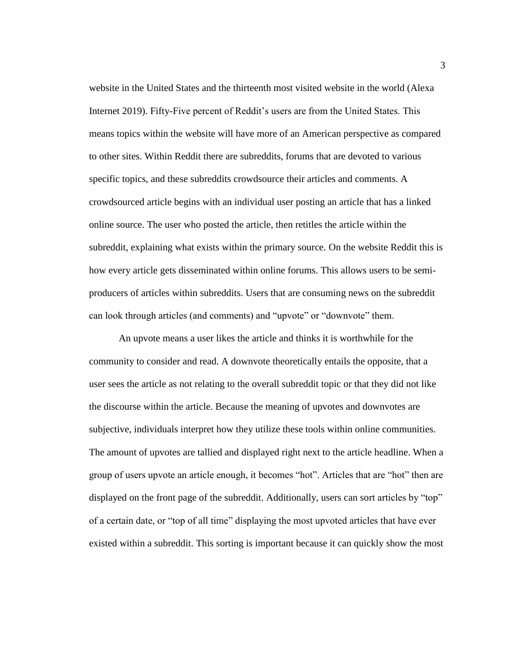website in the United States and the thirteenth most visited website in the world (Alexa Internet 2019). Fifty-Five percent of Reddit's users are from the United States. This means topics within the website will have more of an American perspective as compared to other sites. Within Reddit there are subreddits, forums that are devoted to various specific topics, and these subreddits crowdsource their articles and comments. A crowdsourced article begins with an individual user posting an article that has a linked online source. The user who posted the article, then retitles the article within the subreddit, explaining what exists within the primary source. On the website Reddit this is how every article gets disseminated within online forums. This allows users to be semiproducers of articles within subreddits. Users that are consuming news on the subreddit can look through articles (and comments) and "upvote" or "downvote" them.

An upvote means a user likes the article and thinks it is worthwhile for the community to consider and read. A downvote theoretically entails the opposite, that a user sees the article as not relating to the overall subreddit topic or that they did not like the discourse within the article. Because the meaning of upvotes and downvotes are subjective, individuals interpret how they utilize these tools within online communities. The amount of upvotes are tallied and displayed right next to the article headline. When a group of users upvote an article enough, it becomes "hot". Articles that are "hot" then are displayed on the front page of the subreddit. Additionally, users can sort articles by "top" of a certain date, or "top of all time" displaying the most upvoted articles that have ever existed within a subreddit. This sorting is important because it can quickly show the most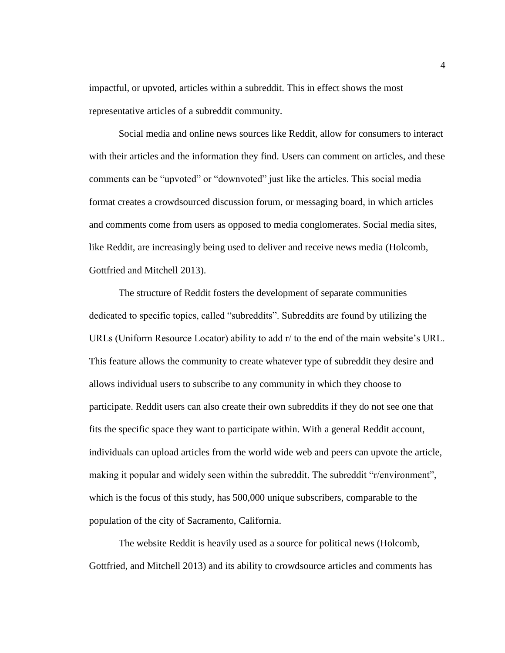impactful, or upvoted, articles within a subreddit. This in effect shows the most representative articles of a subreddit community.

Social media and online news sources like Reddit, allow for consumers to interact with their articles and the information they find. Users can comment on articles, and these comments can be "upvoted" or "downvoted" just like the articles. This social media format creates a crowdsourced discussion forum, or messaging board, in which articles and comments come from users as opposed to media conglomerates. Social media sites, like Reddit, are increasingly being used to deliver and receive news media (Holcomb, Gottfried and Mitchell 2013).

The structure of Reddit fosters the development of separate communities dedicated to specific topics, called "subreddits". Subreddits are found by utilizing the URLs (Uniform Resource Locator) ability to add r/ to the end of the main website's URL. This feature allows the community to create whatever type of subreddit they desire and allows individual users to subscribe to any community in which they choose to participate. Reddit users can also create their own subreddits if they do not see one that fits the specific space they want to participate within. With a general Reddit account, individuals can upload articles from the world wide web and peers can upvote the article, making it popular and widely seen within the subreddit. The subreddit "r/environment", which is the focus of this study, has 500,000 unique subscribers, comparable to the population of the city of Sacramento, California.

The website Reddit is heavily used as a source for political news (Holcomb, Gottfried, and Mitchell 2013) and its ability to crowdsource articles and comments has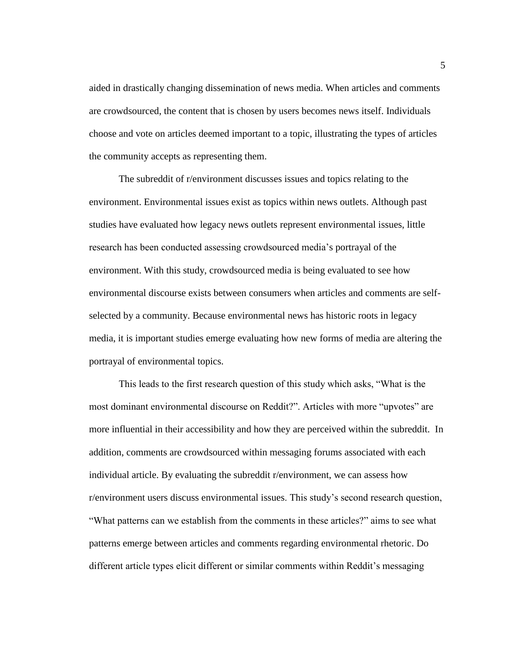aided in drastically changing dissemination of news media. When articles and comments are crowdsourced, the content that is chosen by users becomes news itself. Individuals choose and vote on articles deemed important to a topic, illustrating the types of articles the community accepts as representing them.

The subreddit of r/environment discusses issues and topics relating to the environment. Environmental issues exist as topics within news outlets. Although past studies have evaluated how legacy news outlets represent environmental issues, little research has been conducted assessing crowdsourced media's portrayal of the environment. With this study, crowdsourced media is being evaluated to see how environmental discourse exists between consumers when articles and comments are selfselected by a community. Because environmental news has historic roots in legacy media, it is important studies emerge evaluating how new forms of media are altering the portrayal of environmental topics.

This leads to the first research question of this study which asks, "What is the most dominant environmental discourse on Reddit?". Articles with more "upvotes" are more influential in their accessibility and how they are perceived within the subreddit. In addition, comments are crowdsourced within messaging forums associated with each individual article. By evaluating the subreddit r/environment, we can assess how r/environment users discuss environmental issues. This study's second research question, "What patterns can we establish from the comments in these articles?" aims to see what patterns emerge between articles and comments regarding environmental rhetoric. Do different article types elicit different or similar comments within Reddit's messaging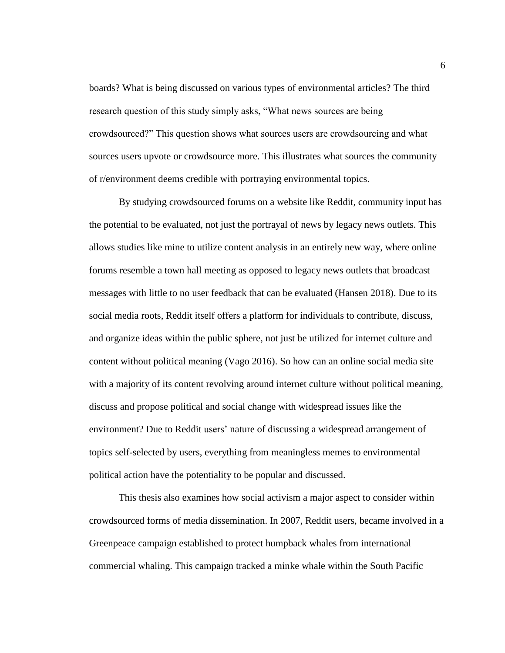boards? What is being discussed on various types of environmental articles? The third research question of this study simply asks, "What news sources are being crowdsourced?" This question shows what sources users are crowdsourcing and what sources users upvote or crowdsource more. This illustrates what sources the community of r/environment deems credible with portraying environmental topics.

By studying crowdsourced forums on a website like Reddit, community input has the potential to be evaluated, not just the portrayal of news by legacy news outlets. This allows studies like mine to utilize content analysis in an entirely new way, where online forums resemble a town hall meeting as opposed to legacy news outlets that broadcast messages with little to no user feedback that can be evaluated (Hansen 2018). Due to its social media roots, Reddit itself offers a platform for individuals to contribute, discuss, and organize ideas within the public sphere, not just be utilized for internet culture and content without political meaning (Vago 2016). So how can an online social media site with a majority of its content revolving around internet culture without political meaning, discuss and propose political and social change with widespread issues like the environment? Due to Reddit users' nature of discussing a widespread arrangement of topics self-selected by users, everything from meaningless memes to environmental political action have the potentiality to be popular and discussed.

This thesis also examines how social activism a major aspect to consider within crowdsourced forms of media dissemination. In 2007, Reddit users, became involved in a Greenpeace campaign established to protect humpback whales from international commercial whaling. This campaign tracked a minke whale within the South Pacific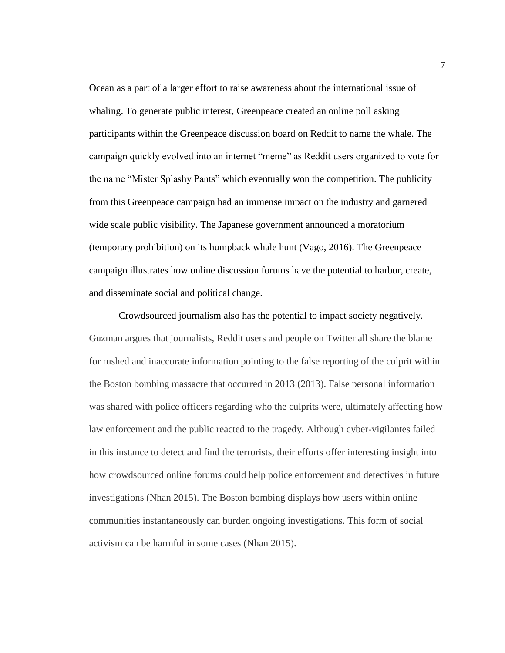Ocean as a part of a larger effort to raise awareness about the international issue of whaling. To generate public interest, Greenpeace created an online poll asking participants within the Greenpeace discussion board on Reddit to name the whale. The campaign quickly evolved into an internet "meme" as Reddit users organized to vote for the name "Mister Splashy Pants" which eventually won the competition. The publicity from this Greenpeace campaign had an immense impact on the industry and garnered wide scale public visibility. The Japanese government announced a moratorium (temporary prohibition) on its humpback whale hunt (Vago, 2016). The Greenpeace campaign illustrates how online discussion forums have the potential to harbor, create, and disseminate social and political change.

Crowdsourced journalism also has the potential to impact society negatively. Guzman argues that journalists, Reddit users and people on Twitter all share the blame for rushed and inaccurate information pointing to the false reporting of the culprit within the Boston bombing massacre that occurred in 2013 (2013). False personal information was shared with police officers regarding who the culprits were, ultimately affecting how law enforcement and the public reacted to the tragedy. Although cyber-vigilantes failed in this instance to detect and find the terrorists, their efforts offer interesting insight into how crowdsourced online forums could help police enforcement and detectives in future investigations (Nhan 2015). The Boston bombing displays how users within online communities instantaneously can burden ongoing investigations. This form of social activism can be harmful in some cases (Nhan 2015).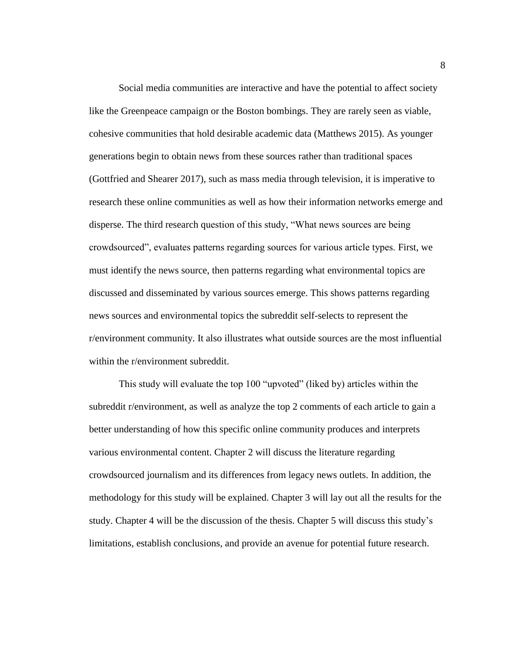Social media communities are interactive and have the potential to affect society like the Greenpeace campaign or the Boston bombings. They are rarely seen as viable, cohesive communities that hold desirable academic data (Matthews 2015). As younger generations begin to obtain news from these sources rather than traditional spaces (Gottfried and Shearer 2017), such as mass media through television, it is imperative to research these online communities as well as how their information networks emerge and disperse. The third research question of this study, "What news sources are being crowdsourced", evaluates patterns regarding sources for various article types. First, we must identify the news source, then patterns regarding what environmental topics are discussed and disseminated by various sources emerge. This shows patterns regarding news sources and environmental topics the subreddit self-selects to represent the r/environment community. It also illustrates what outside sources are the most influential within the r/environment subreddit.

This study will evaluate the top 100 "upvoted" (liked by) articles within the subreddit r/environment, as well as analyze the top 2 comments of each article to gain a better understanding of how this specific online community produces and interprets various environmental content. Chapter 2 will discuss the literature regarding crowdsourced journalism and its differences from legacy news outlets. In addition, the methodology for this study will be explained. Chapter 3 will lay out all the results for the study. Chapter 4 will be the discussion of the thesis. Chapter 5 will discuss this study's limitations, establish conclusions, and provide an avenue for potential future research.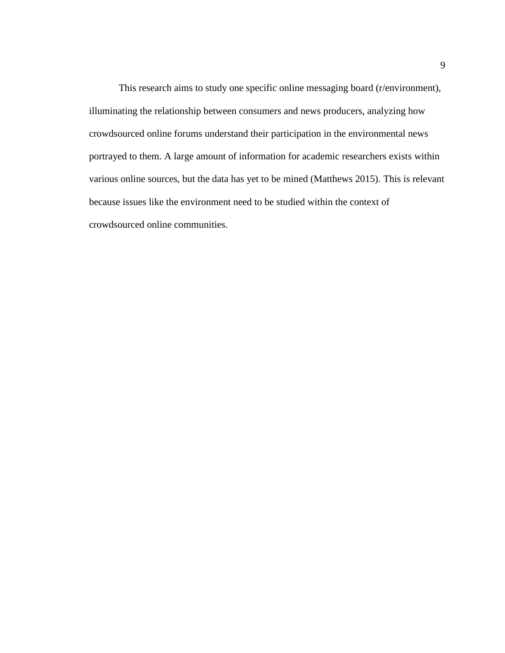This research aims to study one specific online messaging board (r/environment), illuminating the relationship between consumers and news producers, analyzing how crowdsourced online forums understand their participation in the environmental news portrayed to them. A large amount of information for academic researchers exists within various online sources, but the data has yet to be mined (Matthews 2015). This is relevant because issues like the environment need to be studied within the context of crowdsourced online communities.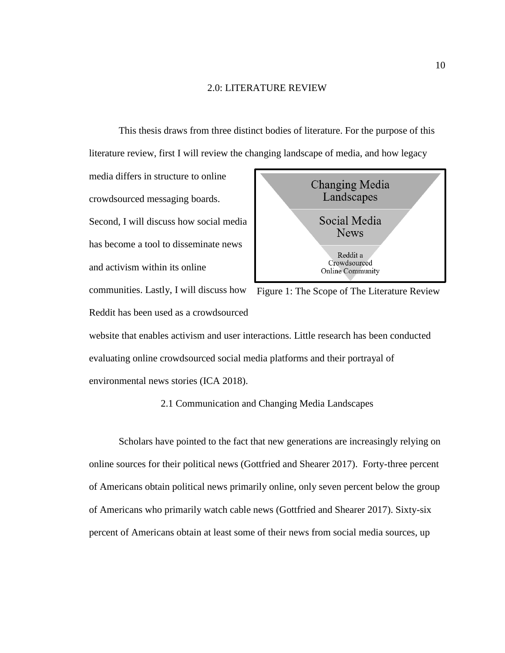#### 2.0: LITERATURE REVIEW

<span id="page-18-0"></span>This thesis draws from three distinct bodies of literature. For the purpose of this literature review, first I will review the changing landscape of media, and how legacy

media differs in structure to online crowdsourced messaging boards. Second, I will discuss how social media has become a tool to disseminate news and activism within its online

communities. Lastly, I will discuss how Figure 1: The Scope of The Literature ReviewReddit has been used as a crowdsourced



website that enables activism and user interactions. Little research has been conducted evaluating online crowdsourced social media platforms and their portrayal of environmental news stories (ICA 2018).

## 2.1 Communication and Changing Media Landscapes

<span id="page-18-1"></span>Scholars have pointed to the fact that new generations are increasingly relying on online sources for their political news (Gottfried and Shearer 2017). Forty-three percent of Americans obtain political news primarily online, only seven percent below the group of Americans who primarily watch cable news (Gottfried and Shearer 2017). Sixty-six percent of Americans obtain at least some of their news from social media sources, up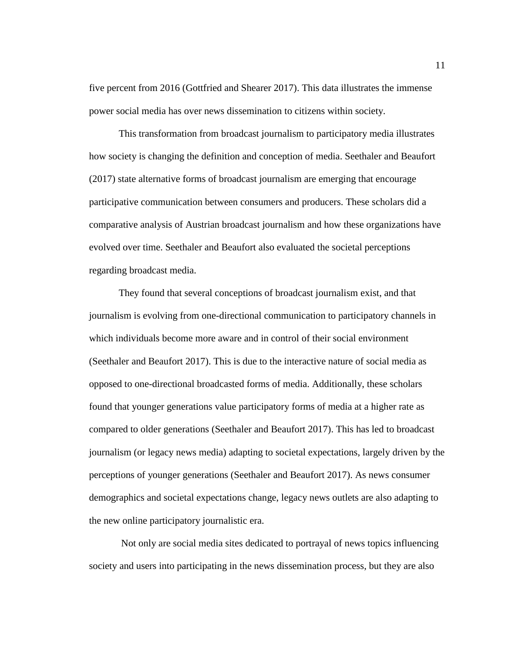five percent from 2016 (Gottfried and Shearer 2017). This data illustrates the immense power social media has over news dissemination to citizens within society.

This transformation from broadcast journalism to participatory media illustrates how society is changing the definition and conception of media. Seethaler and Beaufort (2017) state alternative forms of broadcast journalism are emerging that encourage participative communication between consumers and producers. These scholars did a comparative analysis of Austrian broadcast journalism and how these organizations have evolved over time. Seethaler and Beaufort also evaluated the societal perceptions regarding broadcast media.

They found that several conceptions of broadcast journalism exist, and that journalism is evolving from one-directional communication to participatory channels in which individuals become more aware and in control of their social environment (Seethaler and Beaufort 2017). This is due to the interactive nature of social media as opposed to one-directional broadcasted forms of media. Additionally, these scholars found that younger generations value participatory forms of media at a higher rate as compared to older generations (Seethaler and Beaufort 2017). This has led to broadcast journalism (or legacy news media) adapting to societal expectations, largely driven by the perceptions of younger generations (Seethaler and Beaufort 2017). As news consumer demographics and societal expectations change, legacy news outlets are also adapting to the new online participatory journalistic era.

Not only are social media sites dedicated to portrayal of news topics influencing society and users into participating in the news dissemination process, but they are also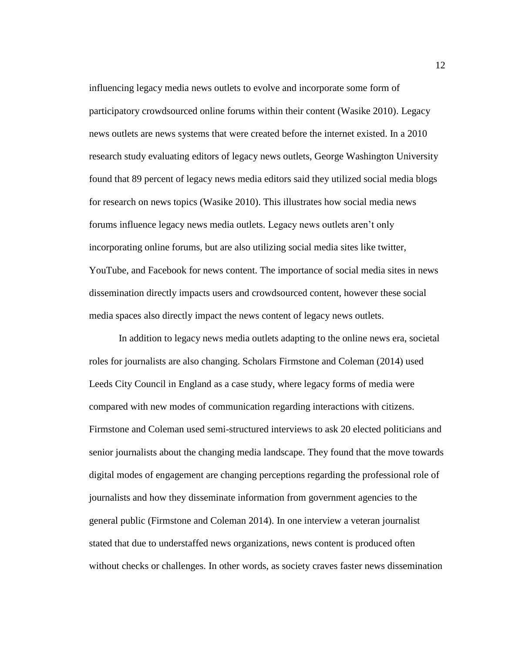influencing legacy media news outlets to evolve and incorporate some form of participatory crowdsourced online forums within their content (Wasike 2010). Legacy news outlets are news systems that were created before the internet existed. In a 2010 research study evaluating editors of legacy news outlets, George Washington University found that 89 percent of legacy news media editors said they utilized social media blogs for research on news topics (Wasike 2010). This illustrates how social media news forums influence legacy news media outlets. Legacy news outlets aren't only incorporating online forums, but are also utilizing social media sites like twitter, YouTube, and Facebook for news content. The importance of social media sites in news dissemination directly impacts users and crowdsourced content, however these social media spaces also directly impact the news content of legacy news outlets.

In addition to legacy news media outlets adapting to the online news era, societal roles for journalists are also changing. Scholars Firmstone and Coleman (2014) used Leeds City Council in England as a case study, where legacy forms of media were compared with new modes of communication regarding interactions with citizens. Firmstone and Coleman used semi-structured interviews to ask 20 elected politicians and senior journalists about the changing media landscape. They found that the move towards digital modes of engagement are changing perceptions regarding the professional role of journalists and how they disseminate information from government agencies to the general public (Firmstone and Coleman 2014). In one interview a veteran journalist stated that due to understaffed news organizations, news content is produced often without checks or challenges. In other words, as society craves faster news dissemination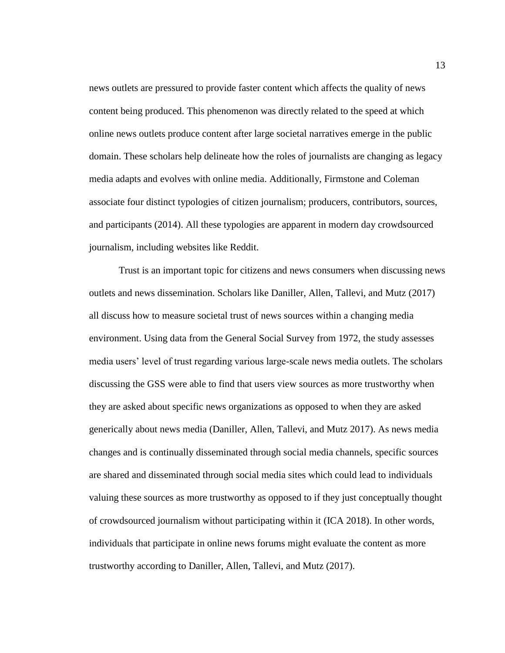news outlets are pressured to provide faster content which affects the quality of news content being produced. This phenomenon was directly related to the speed at which online news outlets produce content after large societal narratives emerge in the public domain. These scholars help delineate how the roles of journalists are changing as legacy media adapts and evolves with online media. Additionally, Firmstone and Coleman associate four distinct typologies of citizen journalism; producers, contributors, sources, and participants (2014). All these typologies are apparent in modern day crowdsourced journalism, including websites like Reddit.

Trust is an important topic for citizens and news consumers when discussing news outlets and news dissemination. Scholars like Daniller, Allen, Tallevi, and Mutz (2017) all discuss how to measure societal trust of news sources within a changing media environment. Using data from the General Social Survey from 1972, the study assesses media users' level of trust regarding various large-scale news media outlets. The scholars discussing the GSS were able to find that users view sources as more trustworthy when they are asked about specific news organizations as opposed to when they are asked generically about news media (Daniller, Allen, Tallevi, and Mutz 2017). As news media changes and is continually disseminated through social media channels, specific sources are shared and disseminated through social media sites which could lead to individuals valuing these sources as more trustworthy as opposed to if they just conceptually thought of crowdsourced journalism without participating within it (ICA 2018). In other words, individuals that participate in online news forums might evaluate the content as more trustworthy according to Daniller, Allen, Tallevi, and Mutz (2017).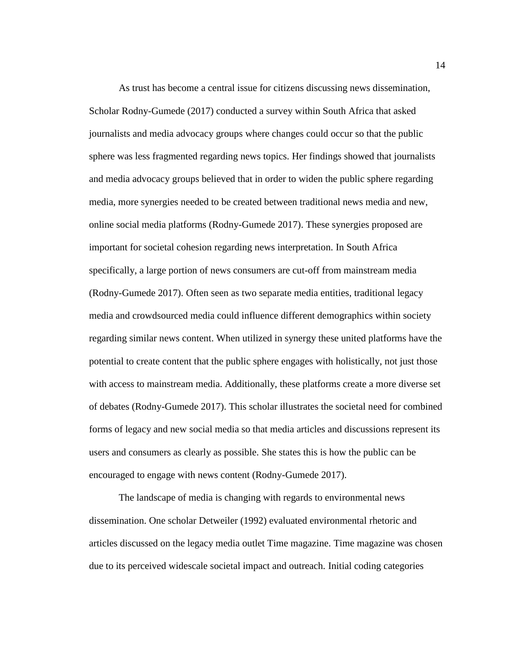As trust has become a central issue for citizens discussing news dissemination, Scholar Rodny-Gumede (2017) conducted a survey within South Africa that asked journalists and media advocacy groups where changes could occur so that the public sphere was less fragmented regarding news topics. Her findings showed that journalists and media advocacy groups believed that in order to widen the public sphere regarding media, more synergies needed to be created between traditional news media and new, online social media platforms (Rodny-Gumede 2017). These synergies proposed are important for societal cohesion regarding news interpretation. In South Africa specifically, a large portion of news consumers are cut-off from mainstream media (Rodny-Gumede 2017). Often seen as two separate media entities, traditional legacy media and crowdsourced media could influence different demographics within society regarding similar news content. When utilized in synergy these united platforms have the potential to create content that the public sphere engages with holistically, not just those with access to mainstream media. Additionally, these platforms create a more diverse set of debates (Rodny-Gumede 2017). This scholar illustrates the societal need for combined forms of legacy and new social media so that media articles and discussions represent its users and consumers as clearly as possible. She states this is how the public can be encouraged to engage with news content (Rodny-Gumede 2017).

The landscape of media is changing with regards to environmental news dissemination. One scholar Detweiler (1992) evaluated environmental rhetoric and articles discussed on the legacy media outlet Time magazine. Time magazine was chosen due to its perceived widescale societal impact and outreach. Initial coding categories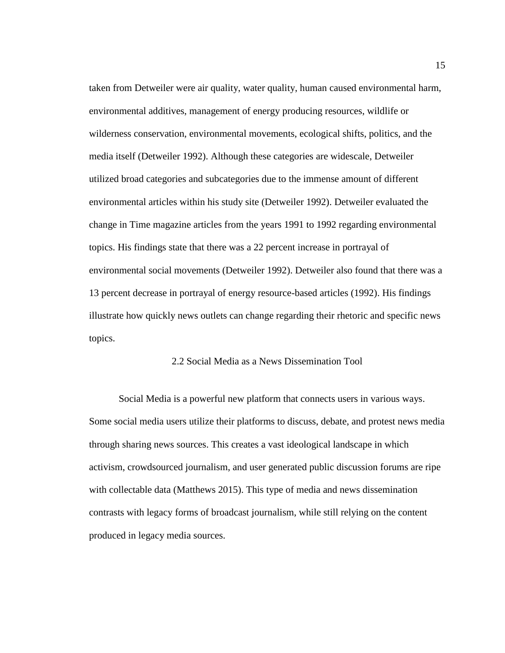taken from Detweiler were air quality, water quality, human caused environmental harm, environmental additives, management of energy producing resources, wildlife or wilderness conservation, environmental movements, ecological shifts, politics, and the media itself (Detweiler 1992). Although these categories are widescale, Detweiler utilized broad categories and subcategories due to the immense amount of different environmental articles within his study site (Detweiler 1992). Detweiler evaluated the change in Time magazine articles from the years 1991 to 1992 regarding environmental topics. His findings state that there was a 22 percent increase in portrayal of environmental social movements (Detweiler 1992). Detweiler also found that there was a 13 percent decrease in portrayal of energy resource-based articles (1992). His findings illustrate how quickly news outlets can change regarding their rhetoric and specific news topics.

### 2.2 Social Media as a News Dissemination Tool

<span id="page-23-0"></span>Social Media is a powerful new platform that connects users in various ways. Some social media users utilize their platforms to discuss, debate, and protest news media through sharing news sources. This creates a vast ideological landscape in which activism, crowdsourced journalism, and user generated public discussion forums are ripe with collectable data (Matthews 2015). This type of media and news dissemination contrasts with legacy forms of broadcast journalism, while still relying on the content produced in legacy media sources.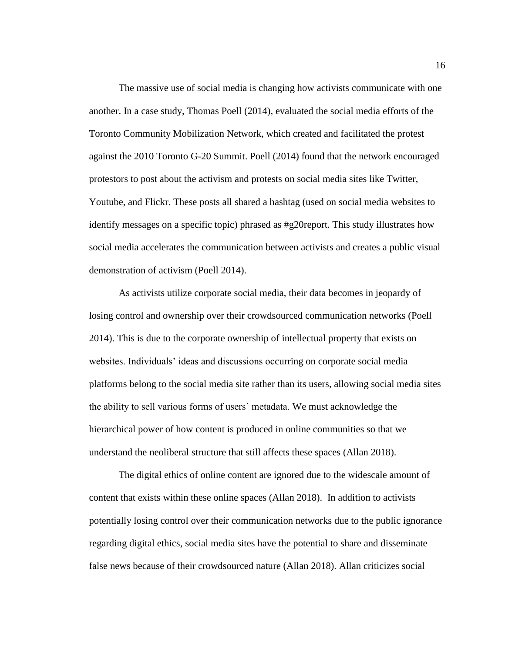The massive use of social media is changing how activists communicate with one another. In a case study, Thomas Poell (2014), evaluated the social media efforts of the Toronto Community Mobilization Network, which created and facilitated the protest against the 2010 Toronto G-20 Summit. Poell (2014) found that the network encouraged protestors to post about the activism and protests on social media sites like Twitter, Youtube, and Flickr. These posts all shared a hashtag (used on social media websites to identify messages on a specific topic) phrased as #g20report. This study illustrates how social media accelerates the communication between activists and creates a public visual demonstration of activism (Poell 2014).

As activists utilize corporate social media, their data becomes in jeopardy of losing control and ownership over their crowdsourced communication networks (Poell 2014). This is due to the corporate ownership of intellectual property that exists on websites. Individuals' ideas and discussions occurring on corporate social media platforms belong to the social media site rather than its users, allowing social media sites the ability to sell various forms of users' metadata. We must acknowledge the hierarchical power of how content is produced in online communities so that we understand the neoliberal structure that still affects these spaces (Allan 2018).

The digital ethics of online content are ignored due to the widescale amount of content that exists within these online spaces (Allan 2018). In addition to activists potentially losing control over their communication networks due to the public ignorance regarding digital ethics, social media sites have the potential to share and disseminate false news because of their crowdsourced nature (Allan 2018). Allan criticizes social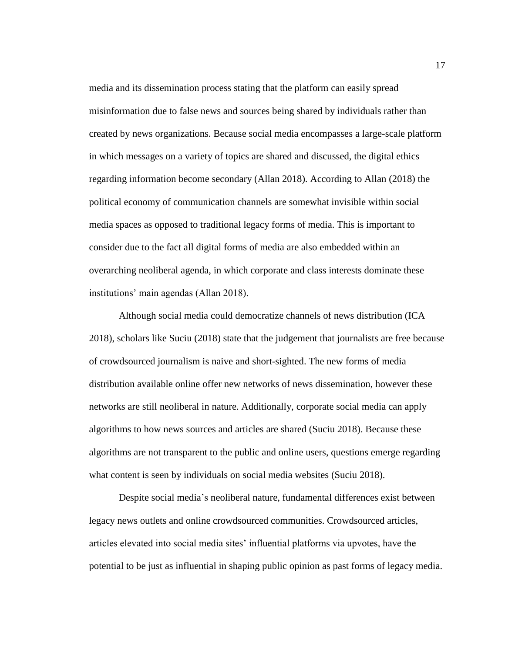media and its dissemination process stating that the platform can easily spread misinformation due to false news and sources being shared by individuals rather than created by news organizations. Because social media encompasses a large-scale platform in which messages on a variety of topics are shared and discussed, the digital ethics regarding information become secondary (Allan 2018). According to Allan (2018) the political economy of communication channels are somewhat invisible within social media spaces as opposed to traditional legacy forms of media. This is important to consider due to the fact all digital forms of media are also embedded within an overarching neoliberal agenda, in which corporate and class interests dominate these institutions' main agendas (Allan 2018).

Although social media could democratize channels of news distribution (ICA 2018), scholars like Suciu (2018) state that the judgement that journalists are free because of crowdsourced journalism is naive and short-sighted. The new forms of media distribution available online offer new networks of news dissemination, however these networks are still neoliberal in nature. Additionally, corporate social media can apply algorithms to how news sources and articles are shared (Suciu 2018). Because these algorithms are not transparent to the public and online users, questions emerge regarding what content is seen by individuals on social media websites (Suciu 2018).

Despite social media's neoliberal nature, fundamental differences exist between legacy news outlets and online crowdsourced communities. Crowdsourced articles, articles elevated into social media sites' influential platforms via upvotes, have the potential to be just as influential in shaping public opinion as past forms of legacy media.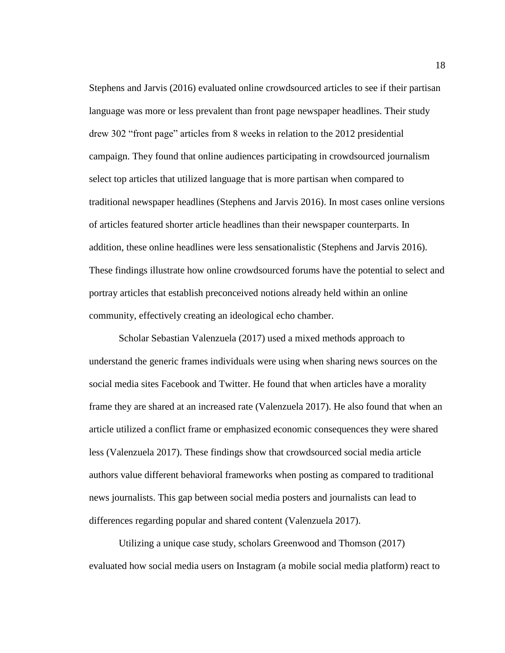Stephens and Jarvis (2016) evaluated online crowdsourced articles to see if their partisan language was more or less prevalent than front page newspaper headlines. Their study drew 302 "front page" articles from 8 weeks in relation to the 2012 presidential campaign. They found that online audiences participating in crowdsourced journalism select top articles that utilized language that is more partisan when compared to traditional newspaper headlines (Stephens and Jarvis 2016). In most cases online versions of articles featured shorter article headlines than their newspaper counterparts. In addition, these online headlines were less sensationalistic (Stephens and Jarvis 2016). These findings illustrate how online crowdsourced forums have the potential to select and portray articles that establish preconceived notions already held within an online community, effectively creating an ideological echo chamber.

Scholar Sebastian Valenzuela (2017) used a mixed methods approach to understand the generic frames individuals were using when sharing news sources on the social media sites Facebook and Twitter. He found that when articles have a morality frame they are shared at an increased rate (Valenzuela 2017). He also found that when an article utilized a conflict frame or emphasized economic consequences they were shared less (Valenzuela 2017). These findings show that crowdsourced social media article authors value different behavioral frameworks when posting as compared to traditional news journalists. This gap between social media posters and journalists can lead to differences regarding popular and shared content (Valenzuela 2017).

Utilizing a unique case study, scholars Greenwood and Thomson (2017) evaluated how social media users on Instagram (a mobile social media platform) react to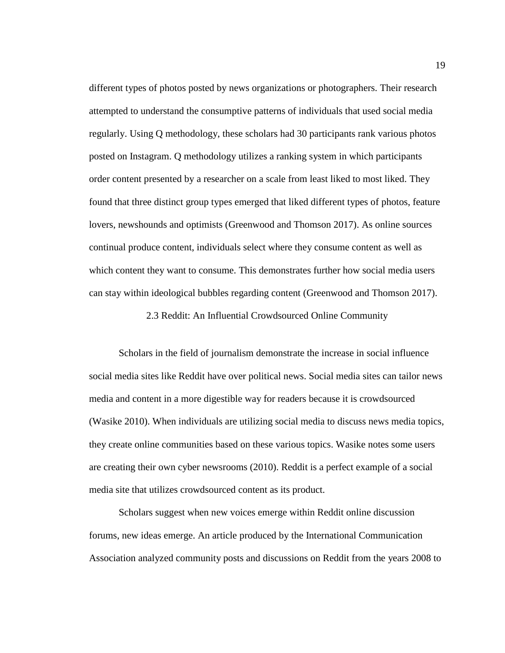different types of photos posted by news organizations or photographers. Their research attempted to understand the consumptive patterns of individuals that used social media regularly. Using Q methodology, these scholars had 30 participants rank various photos posted on Instagram. Q methodology utilizes a ranking system in which participants order content presented by a researcher on a scale from least liked to most liked. They found that three distinct group types emerged that liked different types of photos, feature lovers, newshounds and optimists (Greenwood and Thomson 2017). As online sources continual produce content, individuals select where they consume content as well as which content they want to consume. This demonstrates further how social media users can stay within ideological bubbles regarding content (Greenwood and Thomson 2017).

2.3 Reddit: An Influential Crowdsourced Online Community

<span id="page-27-0"></span>Scholars in the field of journalism demonstrate the increase in social influence social media sites like Reddit have over political news. Social media sites can tailor news media and content in a more digestible way for readers because it is crowdsourced (Wasike 2010). When individuals are utilizing social media to discuss news media topics, they create online communities based on these various topics. Wasike notes some users are creating their own cyber newsrooms (2010). Reddit is a perfect example of a social media site that utilizes crowdsourced content as its product.

Scholars suggest when new voices emerge within Reddit online discussion forums, new ideas emerge. An article produced by the International Communication Association analyzed community posts and discussions on Reddit from the years 2008 to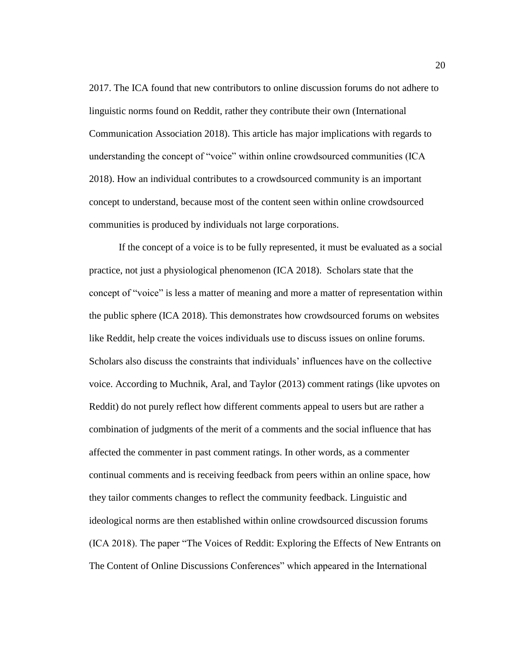2017. The ICA found that new contributors to online discussion forums do not adhere to linguistic norms found on Reddit, rather they contribute their own (International Communication Association 2018). This article has major implications with regards to understanding the concept of "voice" within online crowdsourced communities (ICA 2018). How an individual contributes to a crowdsourced community is an important concept to understand, because most of the content seen within online crowdsourced communities is produced by individuals not large corporations.

If the concept of a voice is to be fully represented, it must be evaluated as a social practice, not just a physiological phenomenon (ICA 2018). Scholars state that the concept of "voice" is less a matter of meaning and more a matter of representation within the public sphere (ICA 2018). This demonstrates how crowdsourced forums on websites like Reddit, help create the voices individuals use to discuss issues on online forums. Scholars also discuss the constraints that individuals' influences have on the collective voice. According to Muchnik, Aral, and Taylor (2013) comment ratings (like upvotes on Reddit) do not purely reflect how different comments appeal to users but are rather a combination of judgments of the merit of a comments and the social influence that has affected the commenter in past comment ratings. In other words, as a commenter continual comments and is receiving feedback from peers within an online space, how they tailor comments changes to reflect the community feedback. Linguistic and ideological norms are then established within online crowdsourced discussion forums (ICA 2018). The paper "The Voices of Reddit: Exploring the Effects of New Entrants on The Content of Online Discussions Conferences" which appeared in the International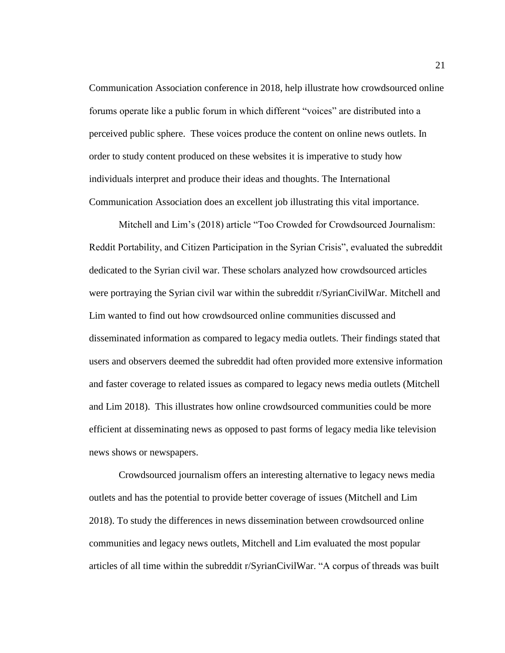Communication Association conference in 2018, help illustrate how crowdsourced online forums operate like a public forum in which different "voices" are distributed into a perceived public sphere. These voices produce the content on online news outlets. In order to study content produced on these websites it is imperative to study how individuals interpret and produce their ideas and thoughts. The International Communication Association does an excellent job illustrating this vital importance.

Mitchell and Lim's (2018) article "Too Crowded for Crowdsourced Journalism: Reddit Portability, and Citizen Participation in the Syrian Crisis", evaluated the subreddit dedicated to the Syrian civil war. These scholars analyzed how crowdsourced articles were portraying the Syrian civil war within the subreddit r/SyrianCivilWar. Mitchell and Lim wanted to find out how crowdsourced online communities discussed and disseminated information as compared to legacy media outlets. Their findings stated that users and observers deemed the subreddit had often provided more extensive information and faster coverage to related issues as compared to legacy news media outlets (Mitchell and Lim 2018). This illustrates how online crowdsourced communities could be more efficient at disseminating news as opposed to past forms of legacy media like television news shows or newspapers.

Crowdsourced journalism offers an interesting alternative to legacy news media outlets and has the potential to provide better coverage of issues (Mitchell and Lim 2018). To study the differences in news dissemination between crowdsourced online communities and legacy news outlets, Mitchell and Lim evaluated the most popular articles of all time within the subreddit r/SyrianCivilWar. "A corpus of threads was built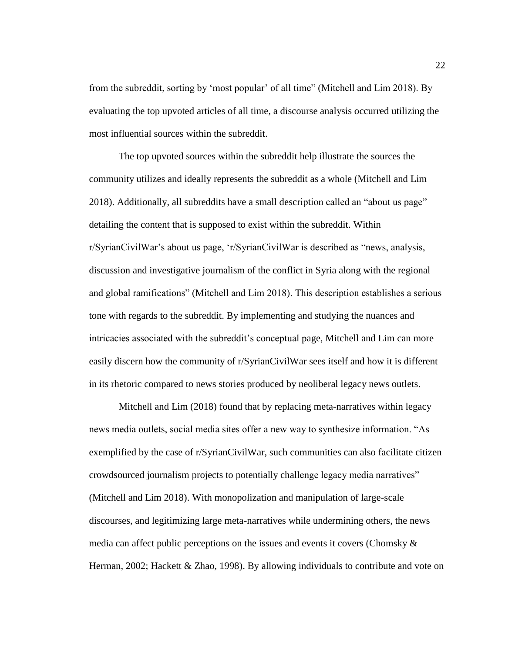from the subreddit, sorting by 'most popular' of all time" (Mitchell and Lim 2018). By evaluating the top upvoted articles of all time, a discourse analysis occurred utilizing the most influential sources within the subreddit.

The top upvoted sources within the subreddit help illustrate the sources the community utilizes and ideally represents the subreddit as a whole (Mitchell and Lim 2018). Additionally, all subreddits have a small description called an "about us page" detailing the content that is supposed to exist within the subreddit. Within r/SyrianCivilWar's about us page, 'r/SyrianCivilWar is described as "news, analysis, discussion and investigative journalism of the conflict in Syria along with the regional and global ramifications" (Mitchell and Lim 2018). This description establishes a serious tone with regards to the subreddit. By implementing and studying the nuances and intricacies associated with the subreddit's conceptual page, Mitchell and Lim can more easily discern how the community of r/SyrianCivilWar sees itself and how it is different in its rhetoric compared to news stories produced by neoliberal legacy news outlets.

Mitchell and Lim (2018) found that by replacing meta-narratives within legacy news media outlets, social media sites offer a new way to synthesize information. "As exemplified by the case of r/SyrianCivilWar, such communities can also facilitate citizen crowdsourced journalism projects to potentially challenge legacy media narratives" (Mitchell and Lim 2018). With monopolization and manipulation of large-scale discourses, and legitimizing large meta-narratives while undermining others, the news media can affect public perceptions on the issues and events it covers (Chomsky & Herman, 2002; Hackett & Zhao, 1998). By allowing individuals to contribute and vote on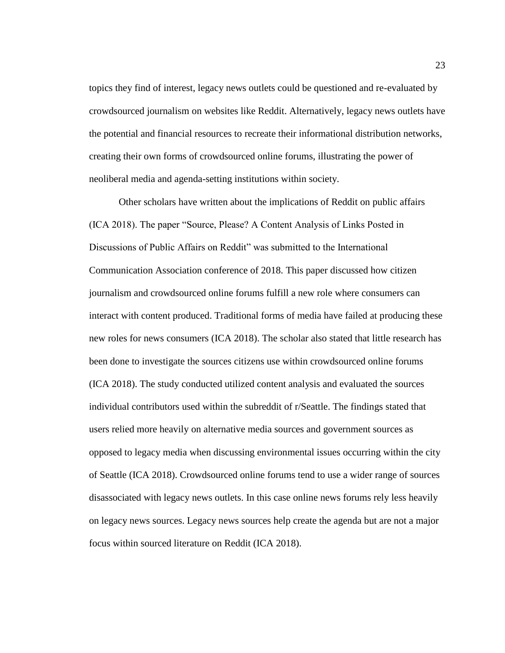topics they find of interest, legacy news outlets could be questioned and re-evaluated by crowdsourced journalism on websites like Reddit. Alternatively, legacy news outlets have the potential and financial resources to recreate their informational distribution networks, creating their own forms of crowdsourced online forums, illustrating the power of neoliberal media and agenda-setting institutions within society.

Other scholars have written about the implications of Reddit on public affairs (ICA 2018). The paper "Source, Please? A Content Analysis of Links Posted in Discussions of Public Affairs on Reddit" was submitted to the International Communication Association conference of 2018. This paper discussed how citizen journalism and crowdsourced online forums fulfill a new role where consumers can interact with content produced. Traditional forms of media have failed at producing these new roles for news consumers (ICA 2018). The scholar also stated that little research has been done to investigate the sources citizens use within crowdsourced online forums (ICA 2018). The study conducted utilized content analysis and evaluated the sources individual contributors used within the subreddit of r/Seattle. The findings stated that users relied more heavily on alternative media sources and government sources as opposed to legacy media when discussing environmental issues occurring within the city of Seattle (ICA 2018). Crowdsourced online forums tend to use a wider range of sources disassociated with legacy news outlets. In this case online news forums rely less heavily on legacy news sources. Legacy news sources help create the agenda but are not a major focus within sourced literature on Reddit (ICA 2018).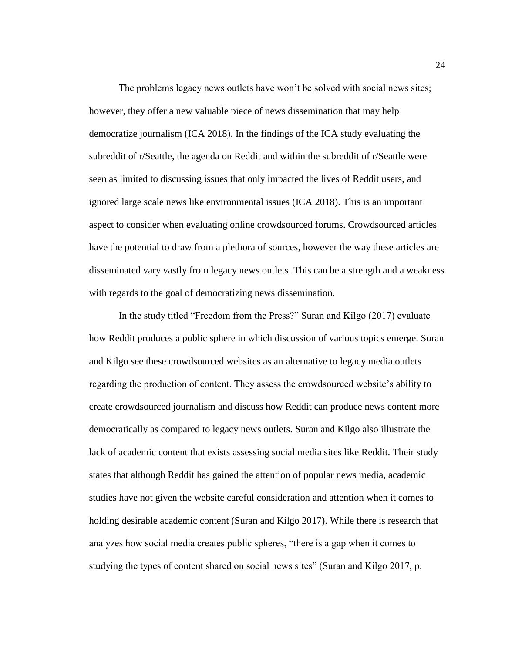The problems legacy news outlets have won't be solved with social news sites; however, they offer a new valuable piece of news dissemination that may help democratize journalism (ICA 2018). In the findings of the ICA study evaluating the subreddit of r/Seattle, the agenda on Reddit and within the subreddit of r/Seattle were seen as limited to discussing issues that only impacted the lives of Reddit users, and ignored large scale news like environmental issues (ICA 2018). This is an important aspect to consider when evaluating online crowdsourced forums. Crowdsourced articles have the potential to draw from a plethora of sources, however the way these articles are disseminated vary vastly from legacy news outlets. This can be a strength and a weakness with regards to the goal of democratizing news dissemination.

In the study titled "Freedom from the Press?" Suran and Kilgo (2017) evaluate how Reddit produces a public sphere in which discussion of various topics emerge. Suran and Kilgo see these crowdsourced websites as an alternative to legacy media outlets regarding the production of content. They assess the crowdsourced website's ability to create crowdsourced journalism and discuss how Reddit can produce news content more democratically as compared to legacy news outlets. Suran and Kilgo also illustrate the lack of academic content that exists assessing social media sites like Reddit. Their study states that although Reddit has gained the attention of popular news media, academic studies have not given the website careful consideration and attention when it comes to holding desirable academic content (Suran and Kilgo 2017). While there is research that analyzes how social media creates public spheres, "there is a gap when it comes to studying the types of content shared on social news sites" (Suran and Kilgo 2017, p.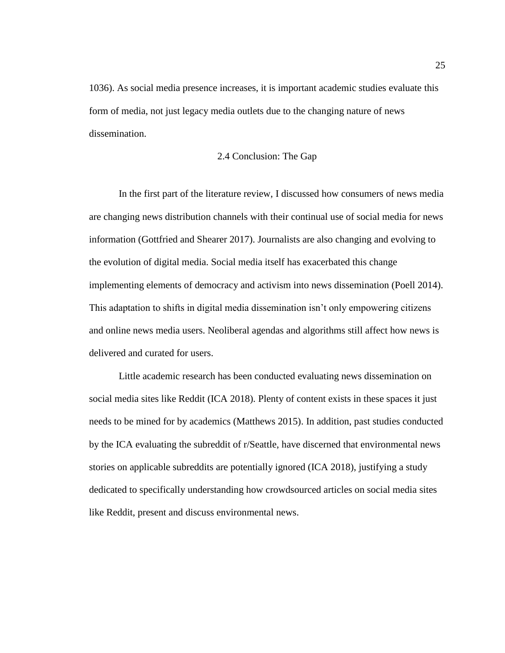1036). As social media presence increases, it is important academic studies evaluate this form of media, not just legacy media outlets due to the changing nature of news dissemination.

### 2.4 Conclusion: The Gap

<span id="page-33-0"></span>In the first part of the literature review, I discussed how consumers of news media are changing news distribution channels with their continual use of social media for news information (Gottfried and Shearer 2017). Journalists are also changing and evolving to the evolution of digital media. Social media itself has exacerbated this change implementing elements of democracy and activism into news dissemination (Poell 2014). This adaptation to shifts in digital media dissemination isn't only empowering citizens and online news media users. Neoliberal agendas and algorithms still affect how news is delivered and curated for users.

Little academic research has been conducted evaluating news dissemination on social media sites like Reddit (ICA 2018). Plenty of content exists in these spaces it just needs to be mined for by academics (Matthews 2015). In addition, past studies conducted by the ICA evaluating the subreddit of r/Seattle, have discerned that environmental news stories on applicable subreddits are potentially ignored (ICA 2018), justifying a study dedicated to specifically understanding how crowdsourced articles on social media sites like Reddit, present and discuss environmental news.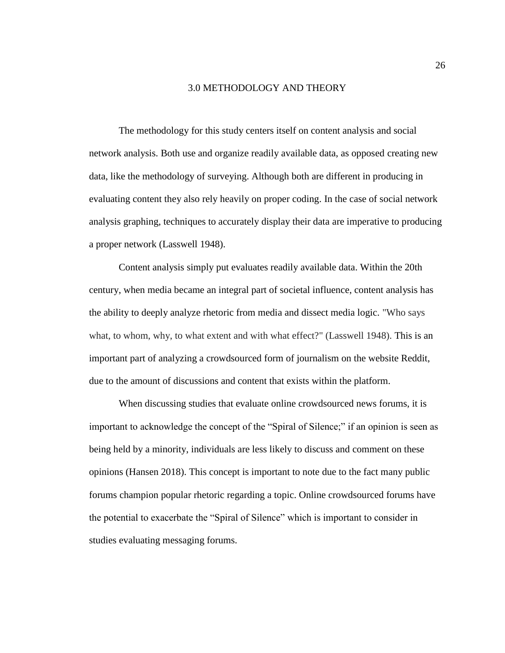#### 3.0 METHODOLOGY AND THEORY

<span id="page-34-0"></span>The methodology for this study centers itself on content analysis and social network analysis. Both use and organize readily available data, as opposed creating new data, like the methodology of surveying. Although both are different in producing in evaluating content they also rely heavily on proper coding. In the case of social network analysis graphing, techniques to accurately display their data are imperative to producing a proper network (Lasswell 1948).

Content analysis simply put evaluates readily available data. Within the 20th century, when media became an integral part of societal influence, content analysis has the ability to deeply analyze rhetoric from media and dissect media logic. "Who says what, to whom, why, to what extent and with what effect?" (Lasswell 1948). This is an important part of analyzing a crowdsourced form of journalism on the website Reddit, due to the amount of discussions and content that exists within the platform.

When discussing studies that evaluate online crowdsourced news forums, it is important to acknowledge the concept of the "Spiral of Silence;" if an opinion is seen as being held by a minority, individuals are less likely to discuss and comment on these opinions (Hansen 2018). This concept is important to note due to the fact many public forums champion popular rhetoric regarding a topic. Online crowdsourced forums have the potential to exacerbate the "Spiral of Silence" which is important to consider in studies evaluating messaging forums.

26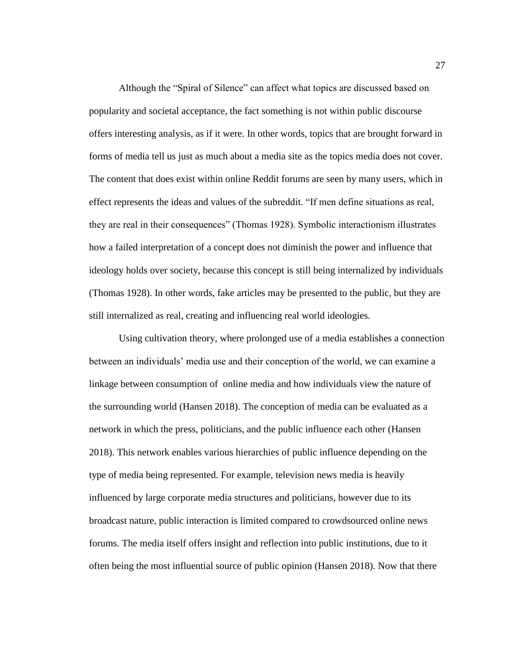Although the "Spiral of Silence" can affect what topics are discussed based on popularity and societal acceptance, the fact something is not within public discourse offers interesting analysis, as if it were. In other words, topics that are brought forward in forms of media tell us just as much about a media site as the topics media does not cover. The content that does exist within online Reddit forums are seen by many users, which in effect represents the ideas and values of the subreddit. "If men define situations as real, they are real in their consequences" (Thomas 1928). Symbolic interactionism illustrates how a failed interpretation of a concept does not diminish the power and influence that ideology holds over society, because this concept is still being internalized by individuals (Thomas 1928). In other words, fake articles may be presented to the public, but they are still internalized as real, creating and influencing real world ideologies.

Using cultivation theory, where prolonged use of a media establishes a connection between an individuals' media use and their conception of the world, we can examine a linkage between consumption of online media and how individuals view the nature of the surrounding world (Hansen 2018). The conception of media can be evaluated as a network in which the press, politicians, and the public influence each other (Hansen 2018). This network enables various hierarchies of public influence depending on the type of media being represented. For example, television news media is heavily influenced by large corporate media structures and politicians, however due to its broadcast nature, public interaction is limited compared to crowdsourced online news forums. The media itself offers insight and reflection into public institutions, due to it often being the most influential source of public opinion (Hansen 2018). Now that there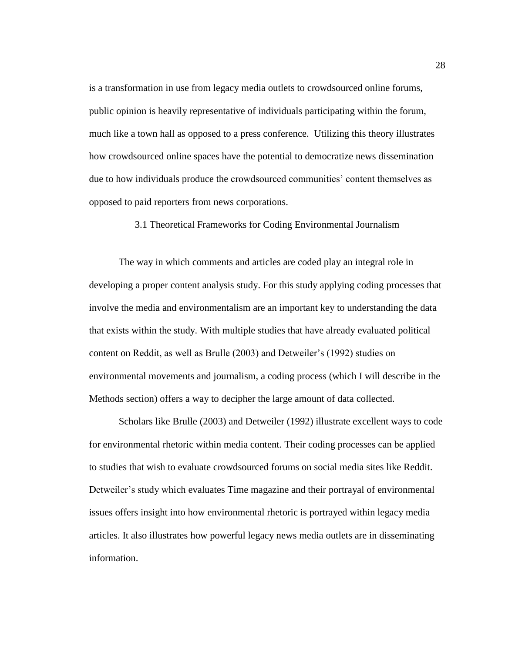is a transformation in use from legacy media outlets to crowdsourced online forums, public opinion is heavily representative of individuals participating within the forum, much like a town hall as opposed to a press conference. Utilizing this theory illustrates how crowdsourced online spaces have the potential to democratize news dissemination due to how individuals produce the crowdsourced communities' content themselves as opposed to paid reporters from news corporations.

3.1 Theoretical Frameworks for Coding Environmental Journalism

The way in which comments and articles are coded play an integral role in developing a proper content analysis study. For this study applying coding processes that involve the media and environmentalism are an important key to understanding the data that exists within the study. With multiple studies that have already evaluated political content on Reddit, as well as Brulle (2003) and Detweiler's (1992) studies on environmental movements and journalism, a coding process (which I will describe in the Methods section) offers a way to decipher the large amount of data collected.

Scholars like Brulle (2003) and Detweiler (1992) illustrate excellent ways to code for environmental rhetoric within media content. Their coding processes can be applied to studies that wish to evaluate crowdsourced forums on social media sites like Reddit. Detweiler's study which evaluates Time magazine and their portrayal of environmental issues offers insight into how environmental rhetoric is portrayed within legacy media articles. It also illustrates how powerful legacy news media outlets are in disseminating information.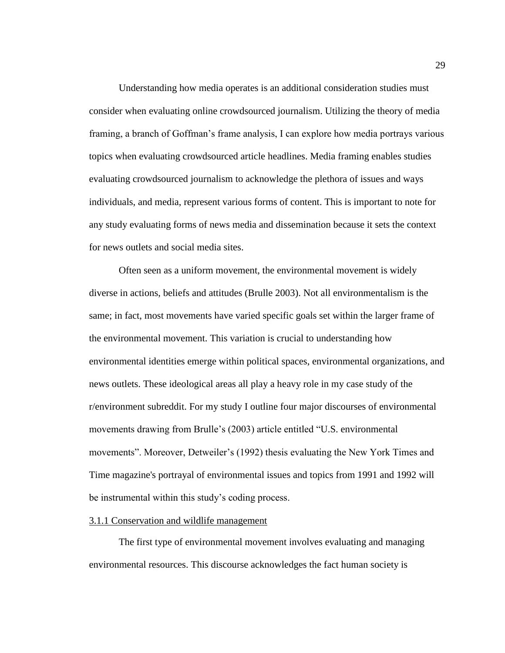Understanding how media operates is an additional consideration studies must consider when evaluating online crowdsourced journalism. Utilizing the theory of media framing, a branch of Goffman's frame analysis, I can explore how media portrays various topics when evaluating crowdsourced article headlines. Media framing enables studies evaluating crowdsourced journalism to acknowledge the plethora of issues and ways individuals, and media, represent various forms of content. This is important to note for any study evaluating forms of news media and dissemination because it sets the context for news outlets and social media sites.

Often seen as a uniform movement, the environmental movement is widely diverse in actions, beliefs and attitudes (Brulle 2003). Not all environmentalism is the same; in fact, most movements have varied specific goals set within the larger frame of the environmental movement. This variation is crucial to understanding how environmental identities emerge within political spaces, environmental organizations, and news outlets. These ideological areas all play a heavy role in my case study of the r/environment subreddit. For my study I outline four major discourses of environmental movements drawing from Brulle's (2003) article entitled "U.S. environmental movements". Moreover, Detweiler's (1992) thesis evaluating the New York Times and Time magazine's portrayal of environmental issues and topics from 1991 and 1992 will be instrumental within this study's coding process.

#### 3.1.1 Conservation and wildlife management

The first type of environmental movement involves evaluating and managing environmental resources. This discourse acknowledges the fact human society is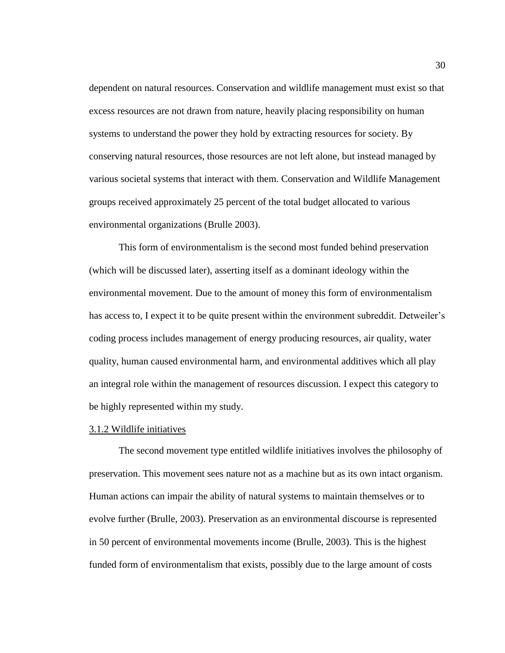dependent on natural resources. Conservation and wildlife management must exist so that excess resources are not drawn from nature, heavily placing responsibility on human systems to understand the power they hold by extracting resources for society. By conserving natural resources, those resources are not left alone, but instead managed by various societal systems that interact with them. Conservation and Wildlife Management groups received approximately 25 percent of the total budget allocated to various environmental organizations (Brulle 2003).

This form of environmentalism is the second most funded behind preservation (which will be discussed later), asserting itself as a dominant ideology within the environmental movement. Due to the amount of money this form of environmentalism has access to, I expect it to be quite present within the environment subreddit. Detweiler's coding process includes management of energy producing resources, air quality, water quality, human caused environmental harm, and environmental additives which all play an integral role within the management of resources discussion. I expect this category to be highly represented within my study.

#### 3.1.2 Wildlife initiatives

The second movement type entitled wildlife initiatives involves the philosophy of preservation. This movement sees nature not as a machine but as its own intact organism. Human actions can impair the ability of natural systems to maintain themselves or to evolve further (Brulle, 2003). Preservation as an environmental discourse is represented in 50 percent of environmental movements income (Brulle, 2003). This is the highest funded form of environmentalism that exists, possibly due to the large amount of costs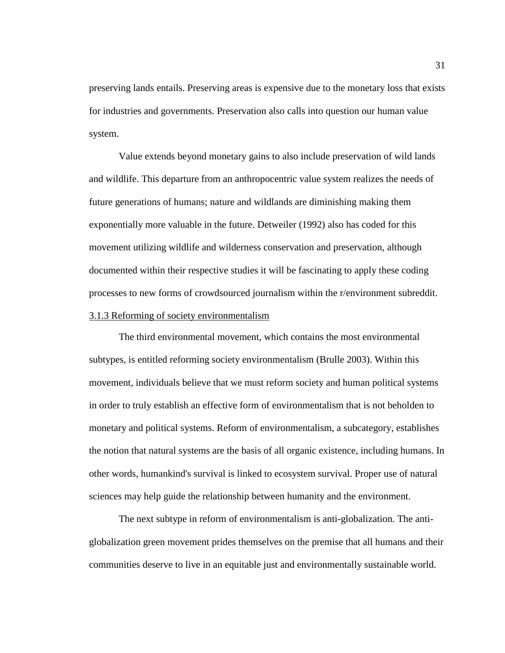preserving lands entails. Preserving areas is expensive due to the monetary loss that exists for industries and governments. Preservation also calls into question our human value system.

Value extends beyond monetary gains to also include preservation of wild lands and wildlife. This departure from an anthropocentric value system realizes the needs of future generations of humans; nature and wildlands are diminishing making them exponentially more valuable in the future. Detweiler (1992) also has coded for this movement utilizing wildlife and wilderness conservation and preservation, although documented within their respective studies it will be fascinating to apply these coding processes to new forms of crowdsourced journalism within the r/environment subreddit.

## 3.1.3 Reforming of society environmentalism

The third environmental movement, which contains the most environmental subtypes, is entitled reforming society environmentalism (Brulle 2003). Within this movement, individuals believe that we must reform society and human political systems in order to truly establish an effective form of environmentalism that is not beholden to monetary and political systems. Reform of environmentalism, a subcategory, establishes the notion that natural systems are the basis of all organic existence, including humans. In other words, humankind's survival is linked to ecosystem survival. Proper use of natural sciences may help guide the relationship between humanity and the environment.

The next subtype in reform of environmentalism is anti-globalization. The antiglobalization green movement prides themselves on the premise that all humans and their communities deserve to live in an equitable just and environmentally sustainable world.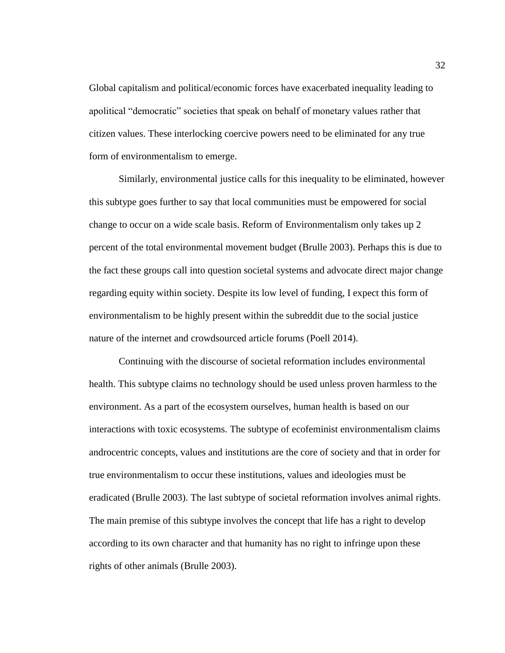Global capitalism and political/economic forces have exacerbated inequality leading to apolitical "democratic" societies that speak on behalf of monetary values rather that citizen values. These interlocking coercive powers need to be eliminated for any true form of environmentalism to emerge.

Similarly, environmental justice calls for this inequality to be eliminated, however this subtype goes further to say that local communities must be empowered for social change to occur on a wide scale basis. Reform of Environmentalism only takes up 2 percent of the total environmental movement budget (Brulle 2003). Perhaps this is due to the fact these groups call into question societal systems and advocate direct major change regarding equity within society. Despite its low level of funding, I expect this form of environmentalism to be highly present within the subreddit due to the social justice nature of the internet and crowdsourced article forums (Poell 2014).

Continuing with the discourse of societal reformation includes environmental health. This subtype claims no technology should be used unless proven harmless to the environment. As a part of the ecosystem ourselves, human health is based on our interactions with toxic ecosystems. The subtype of ecofeminist environmentalism claims androcentric concepts, values and institutions are the core of society and that in order for true environmentalism to occur these institutions, values and ideologies must be eradicated (Brulle 2003). The last subtype of societal reformation involves animal rights. The main premise of this subtype involves the concept that life has a right to develop according to its own character and that humanity has no right to infringe upon these rights of other animals (Brulle 2003).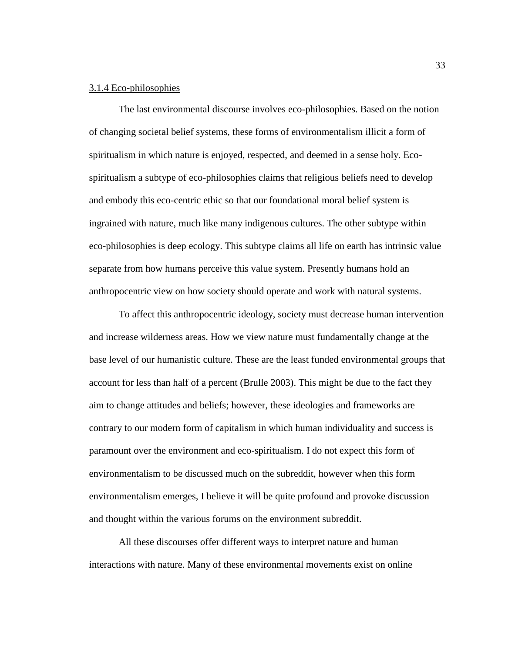## 3.1.4 Eco-philosophies

The last environmental discourse involves eco-philosophies. Based on the notion of changing societal belief systems, these forms of environmentalism illicit a form of spiritualism in which nature is enjoyed, respected, and deemed in a sense holy. Ecospiritualism a subtype of eco-philosophies claims that religious beliefs need to develop and embody this eco-centric ethic so that our foundational moral belief system is ingrained with nature, much like many indigenous cultures. The other subtype within eco-philosophies is deep ecology. This subtype claims all life on earth has intrinsic value separate from how humans perceive this value system. Presently humans hold an anthropocentric view on how society should operate and work with natural systems.

To affect this anthropocentric ideology, society must decrease human intervention and increase wilderness areas. How we view nature must fundamentally change at the base level of our humanistic culture. These are the least funded environmental groups that account for less than half of a percent (Brulle 2003). This might be due to the fact they aim to change attitudes and beliefs; however, these ideologies and frameworks are contrary to our modern form of capitalism in which human individuality and success is paramount over the environment and eco-spiritualism. I do not expect this form of environmentalism to be discussed much on the subreddit, however when this form environmentalism emerges, I believe it will be quite profound and provoke discussion and thought within the various forums on the environment subreddit.

All these discourses offer different ways to interpret nature and human interactions with nature. Many of these environmental movements exist on online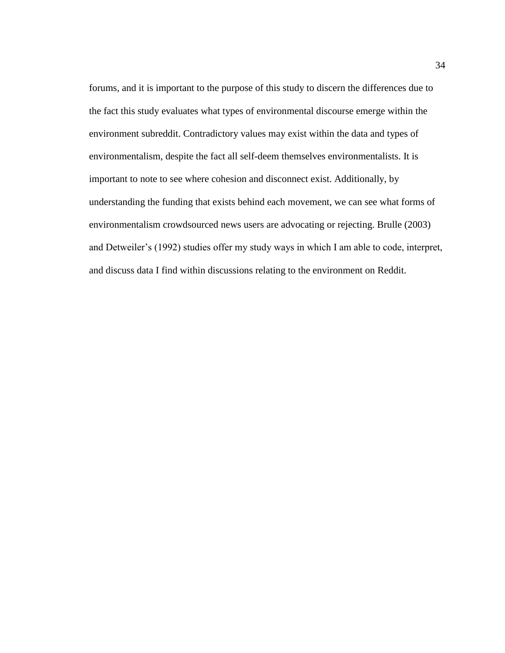forums, and it is important to the purpose of this study to discern the differences due to the fact this study evaluates what types of environmental discourse emerge within the environment subreddit. Contradictory values may exist within the data and types of environmentalism, despite the fact all self-deem themselves environmentalists. It is important to note to see where cohesion and disconnect exist. Additionally, by understanding the funding that exists behind each movement, we can see what forms of environmentalism crowdsourced news users are advocating or rejecting. Brulle (2003) and Detweiler's (1992) studies offer my study ways in which I am able to code, interpret, and discuss data I find within discussions relating to the environment on Reddit.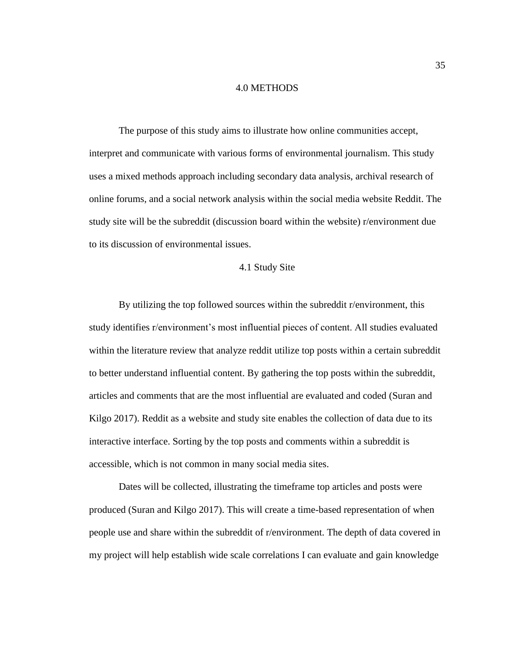#### 4.0 METHODS

The purpose of this study aims to illustrate how online communities accept, interpret and communicate with various forms of environmental journalism. This study uses a mixed methods approach including secondary data analysis, archival research of online forums, and a social network analysis within the social media website Reddit. The study site will be the subreddit (discussion board within the website) r/environment due to its discussion of environmental issues.

# 4.1 Study Site

By utilizing the top followed sources within the subreddit r/environment, this study identifies r/environment's most influential pieces of content. All studies evaluated within the literature review that analyze reddit utilize top posts within a certain subreddit to better understand influential content. By gathering the top posts within the subreddit, articles and comments that are the most influential are evaluated and coded (Suran and Kilgo 2017). Reddit as a website and study site enables the collection of data due to its interactive interface. Sorting by the top posts and comments within a subreddit is accessible, which is not common in many social media sites.

Dates will be collected, illustrating the timeframe top articles and posts were produced (Suran and Kilgo 2017). This will create a time-based representation of when people use and share within the subreddit of r/environment. The depth of data covered in my project will help establish wide scale correlations I can evaluate and gain knowledge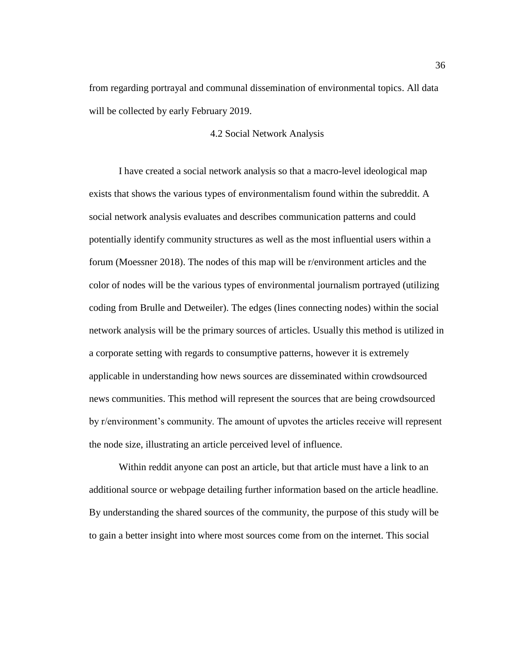from regarding portrayal and communal dissemination of environmental topics. All data will be collected by early February 2019.

# 4.2 Social Network Analysis

I have created a social network analysis so that a macro-level ideological map exists that shows the various types of environmentalism found within the subreddit. A social network analysis evaluates and describes communication patterns and could potentially identify community structures as well as the most influential users within a forum (Moessner 2018). The nodes of this map will be r/environment articles and the color of nodes will be the various types of environmental journalism portrayed (utilizing coding from Brulle and Detweiler). The edges (lines connecting nodes) within the social network analysis will be the primary sources of articles. Usually this method is utilized in a corporate setting with regards to consumptive patterns, however it is extremely applicable in understanding how news sources are disseminated within crowdsourced news communities. This method will represent the sources that are being crowdsourced by r/environment's community. The amount of upvotes the articles receive will represent the node size, illustrating an article perceived level of influence.

Within reddit anyone can post an article, but that article must have a link to an additional source or webpage detailing further information based on the article headline. By understanding the shared sources of the community, the purpose of this study will be to gain a better insight into where most sources come from on the internet. This social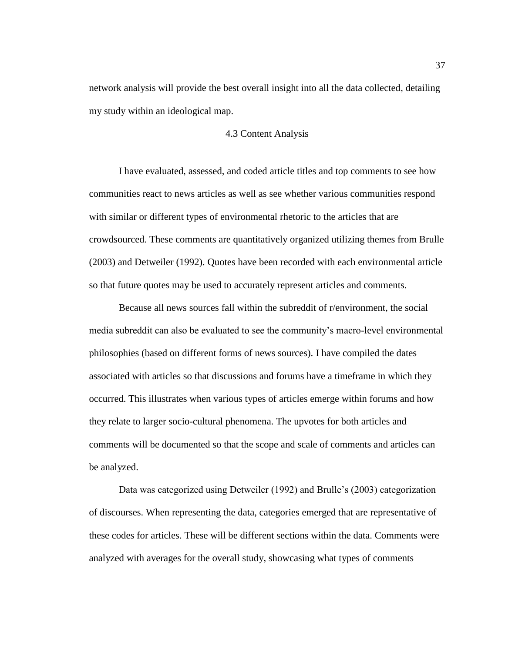network analysis will provide the best overall insight into all the data collected, detailing my study within an ideological map.

# 4.3 Content Analysis

I have evaluated, assessed, and coded article titles and top comments to see how communities react to news articles as well as see whether various communities respond with similar or different types of environmental rhetoric to the articles that are crowdsourced. These comments are quantitatively organized utilizing themes from Brulle (2003) and Detweiler (1992). Quotes have been recorded with each environmental article so that future quotes may be used to accurately represent articles and comments.

Because all news sources fall within the subreddit of r/environment, the social media subreddit can also be evaluated to see the community's macro-level environmental philosophies (based on different forms of news sources). I have compiled the dates associated with articles so that discussions and forums have a timeframe in which they occurred. This illustrates when various types of articles emerge within forums and how they relate to larger socio-cultural phenomena. The upvotes for both articles and comments will be documented so that the scope and scale of comments and articles can be analyzed.

Data was categorized using Detweiler (1992) and Brulle's (2003) categorization of discourses. When representing the data, categories emerged that are representative of these codes for articles. These will be different sections within the data. Comments were analyzed with averages for the overall study, showcasing what types of comments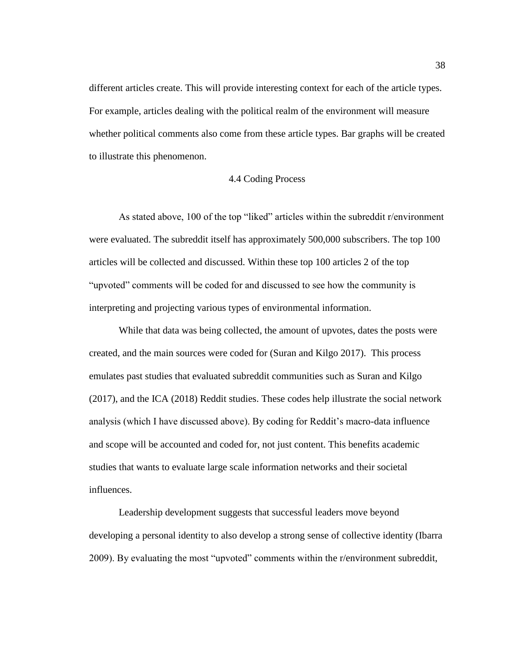different articles create. This will provide interesting context for each of the article types. For example, articles dealing with the political realm of the environment will measure whether political comments also come from these article types. Bar graphs will be created to illustrate this phenomenon.

# 4.4 Coding Process

As stated above, 100 of the top "liked" articles within the subreddit r/environment were evaluated. The subreddit itself has approximately 500,000 subscribers. The top 100 articles will be collected and discussed. Within these top 100 articles 2 of the top "upvoted" comments will be coded for and discussed to see how the community is interpreting and projecting various types of environmental information.

While that data was being collected, the amount of upvotes, dates the posts were created, and the main sources were coded for (Suran and Kilgo 2017). This process emulates past studies that evaluated subreddit communities such as Suran and Kilgo (2017), and the ICA (2018) Reddit studies. These codes help illustrate the social network analysis (which I have discussed above). By coding for Reddit's macro-data influence and scope will be accounted and coded for, not just content. This benefits academic studies that wants to evaluate large scale information networks and their societal influences.

Leadership development suggests that successful leaders move beyond developing a personal identity to also develop a strong sense of collective identity (Ibarra 2009). By evaluating the most "upvoted" comments within the r/environment subreddit,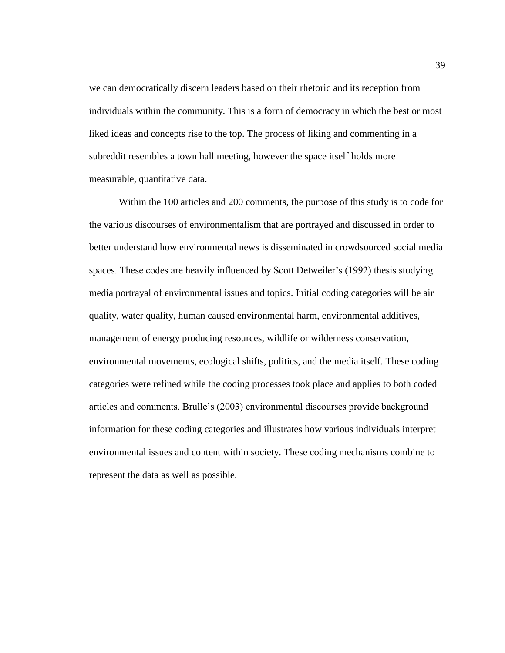we can democratically discern leaders based on their rhetoric and its reception from individuals within the community. This is a form of democracy in which the best or most liked ideas and concepts rise to the top. The process of liking and commenting in a subreddit resembles a town hall meeting, however the space itself holds more measurable, quantitative data.

Within the 100 articles and 200 comments, the purpose of this study is to code for the various discourses of environmentalism that are portrayed and discussed in order to better understand how environmental news is disseminated in crowdsourced social media spaces. These codes are heavily influenced by Scott Detweiler's (1992) thesis studying media portrayal of environmental issues and topics. Initial coding categories will be air quality, water quality, human caused environmental harm, environmental additives, management of energy producing resources, wildlife or wilderness conservation, environmental movements, ecological shifts, politics, and the media itself. These coding categories were refined while the coding processes took place and applies to both coded articles and comments. Brulle's (2003) environmental discourses provide background information for these coding categories and illustrates how various individuals interpret environmental issues and content within society. These coding mechanisms combine to represent the data as well as possible.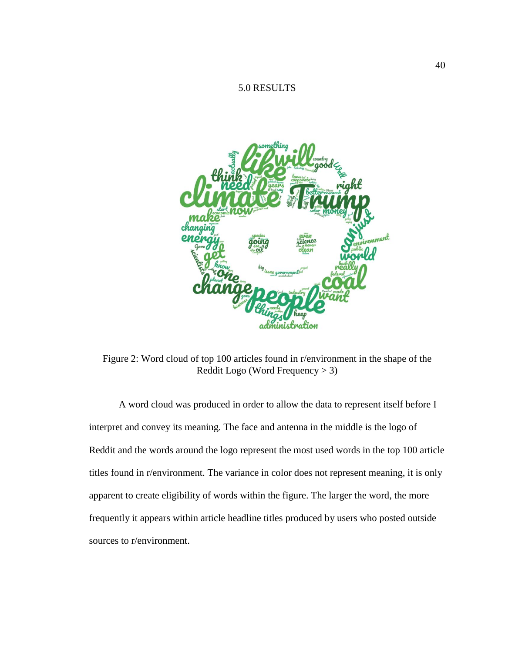# 5.0 RESULTS



Figure 2: Word cloud of top 100 articles found in r/environment in the shape of the Reddit Logo (Word Frequency > 3)

A word cloud was produced in order to allow the data to represent itself before I interpret and convey its meaning. The face and antenna in the middle is the logo of Reddit and the words around the logo represent the most used words in the top 100 article titles found in r/environment. The variance in color does not represent meaning, it is only apparent to create eligibility of words within the figure. The larger the word, the more frequently it appears within article headline titles produced by users who posted outside sources to r/environment.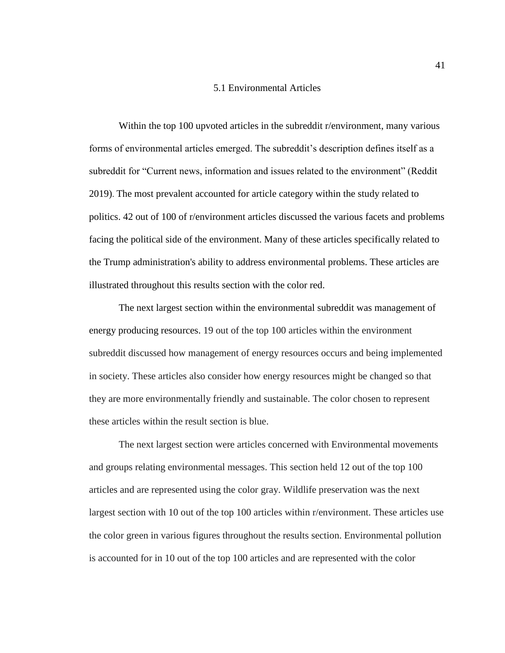#### 5.1 Environmental Articles

Within the top 100 upvoted articles in the subreddit r/environment, many various forms of environmental articles emerged. The subreddit's description defines itself as a subreddit for "Current news, information and issues related to the environment" (Reddit 2019). The most prevalent accounted for article category within the study related to politics. 42 out of 100 of r/environment articles discussed the various facets and problems facing the political side of the environment. Many of these articles specifically related to the Trump administration's ability to address environmental problems. These articles are illustrated throughout this results section with the color red.

The next largest section within the environmental subreddit was management of energy producing resources. 19 out of the top 100 articles within the environment subreddit discussed how management of energy resources occurs and being implemented in society. These articles also consider how energy resources might be changed so that they are more environmentally friendly and sustainable. The color chosen to represent these articles within the result section is blue.

The next largest section were articles concerned with Environmental movements and groups relating environmental messages. This section held 12 out of the top 100 articles and are represented using the color gray. Wildlife preservation was the next largest section with 10 out of the top 100 articles within r/environment. These articles use the color green in various figures throughout the results section. Environmental pollution is accounted for in 10 out of the top 100 articles and are represented with the color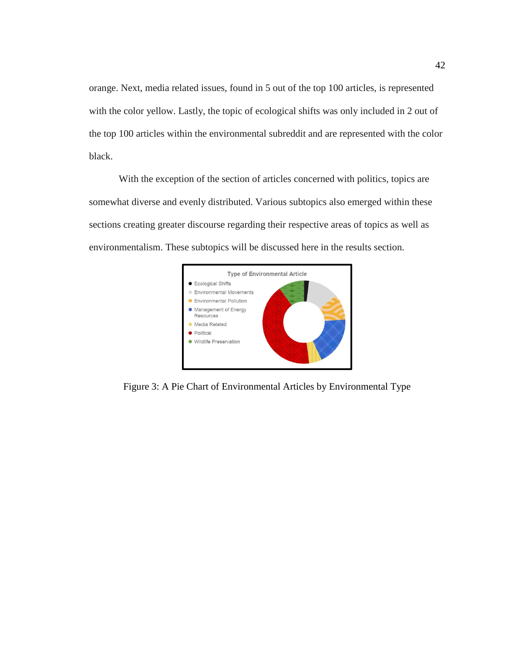orange. Next, media related issues, found in 5 out of the top 100 articles, is represented with the color yellow. Lastly, the topic of ecological shifts was only included in 2 out of the top 100 articles within the environmental subreddit and are represented with the color black.

With the exception of the section of articles concerned with politics, topics are somewhat diverse and evenly distributed. Various subtopics also emerged within these sections creating greater discourse regarding their respective areas of topics as well as environmentalism. These subtopics will be discussed here in the results section.



Figure 3: A Pie Chart of Environmental Articles by Environmental Type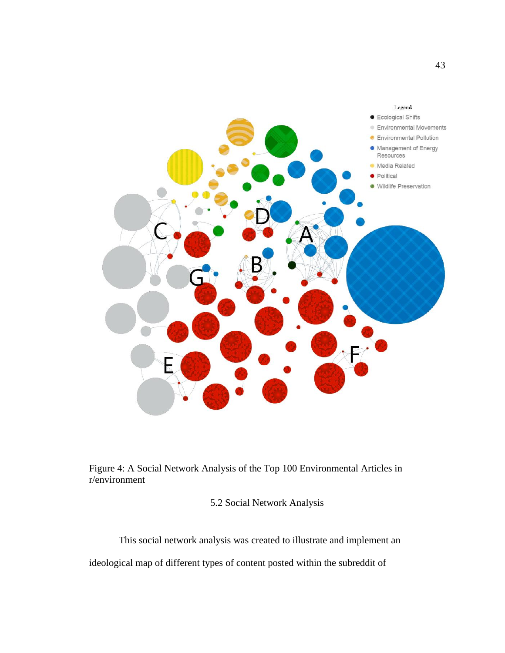

Figure 4: A Social Network Analysis of the Top 100 Environmental Articles in r/environment

5.2 Social Network Analysis

This social network analysis was created to illustrate and implement an

ideological map of different types of content posted within the subreddit of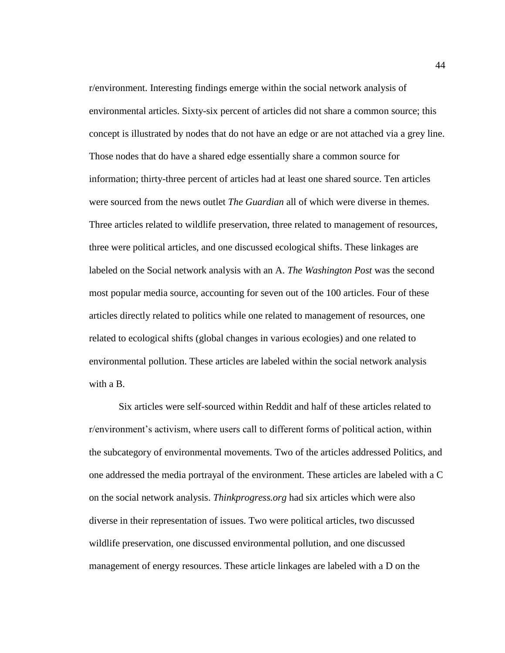r/environment. Interesting findings emerge within the social network analysis of environmental articles. Sixty-six percent of articles did not share a common source; this concept is illustrated by nodes that do not have an edge or are not attached via a grey line. Those nodes that do have a shared edge essentially share a common source for information; thirty-three percent of articles had at least one shared source. Ten articles were sourced from the news outlet *The Guardian* all of which were diverse in themes. Three articles related to wildlife preservation, three related to management of resources, three were political articles, and one discussed ecological shifts. These linkages are labeled on the Social network analysis with an A. *The Washington Post* was the second most popular media source, accounting for seven out of the 100 articles. Four of these articles directly related to politics while one related to management of resources, one related to ecological shifts (global changes in various ecologies) and one related to environmental pollution. These articles are labeled within the social network analysis with a B.

Six articles were self-sourced within Reddit and half of these articles related to r/environment's activism, where users call to different forms of political action, within the subcategory of environmental movements. Two of the articles addressed Politics, and one addressed the media portrayal of the environment. These articles are labeled with a C on the social network analysis. *Thinkprogress.org* had six articles which were also diverse in their representation of issues. Two were political articles, two discussed wildlife preservation, one discussed environmental pollution, and one discussed management of energy resources. These article linkages are labeled with a D on the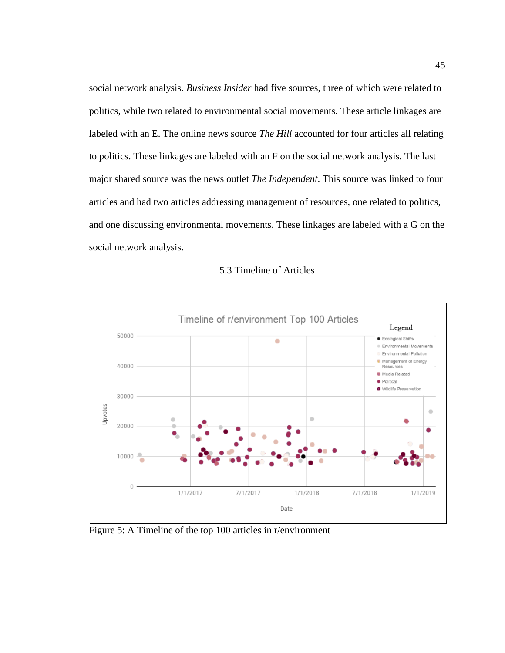social network analysis. *Business Insider* had five sources, three of which were related to politics, while two related to environmental social movements. These article linkages are labeled with an E. The online news source *The Hill* accounted for four articles all relating to politics. These linkages are labeled with an F on the social network analysis. The last major shared source was the news outlet *The Independent*. This source was linked to four articles and had two articles addressing management of resources, one related to politics, and one discussing environmental movements. These linkages are labeled with a G on the social network analysis.



| 5.3 Timeline of Articles |  |  |
|--------------------------|--|--|
|                          |  |  |

Figure 5: A Timeline of the top 100 articles in r/environment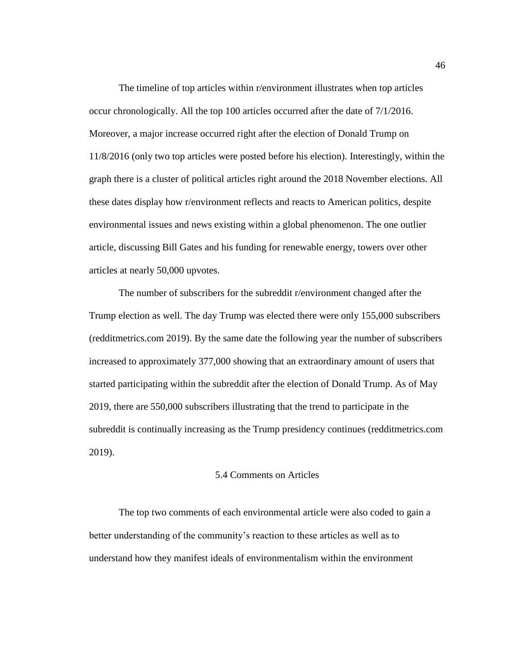The timeline of top articles within r/environment illustrates when top articles occur chronologically. All the top 100 articles occurred after the date of 7/1/2016. Moreover, a major increase occurred right after the election of Donald Trump on 11/8/2016 (only two top articles were posted before his election). Interestingly, within the graph there is a cluster of political articles right around the 2018 November elections. All these dates display how r/environment reflects and reacts to American politics, despite environmental issues and news existing within a global phenomenon. The one outlier article, discussing Bill Gates and his funding for renewable energy, towers over other articles at nearly 50,000 upvotes.

The number of subscribers for the subreddit r/environment changed after the Trump election as well. The day Trump was elected there were only 155,000 subscribers (redditmetrics.com 2019). By the same date the following year the number of subscribers increased to approximately 377,000 showing that an extraordinary amount of users that started participating within the subreddit after the election of Donald Trump. As of May 2019, there are 550,000 subscribers illustrating that the trend to participate in the subreddit is continually increasing as the Trump presidency continues (redditmetrics.com 2019).

### 5.4 Comments on Articles

The top two comments of each environmental article were also coded to gain a better understanding of the community's reaction to these articles as well as to understand how they manifest ideals of environmentalism within the environment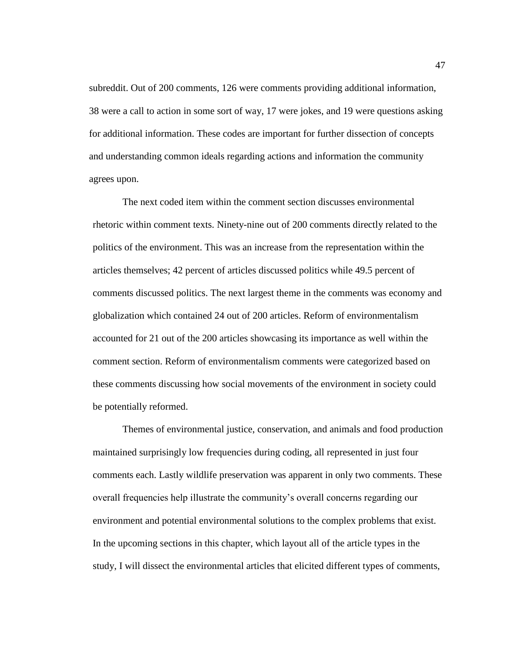subreddit. Out of 200 comments, 126 were comments providing additional information, 38 were a call to action in some sort of way, 17 were jokes, and 19 were questions asking for additional information. These codes are important for further dissection of concepts and understanding common ideals regarding actions and information the community agrees upon.

The next coded item within the comment section discusses environmental rhetoric within comment texts. Ninety-nine out of 200 comments directly related to the politics of the environment. This was an increase from the representation within the articles themselves; 42 percent of articles discussed politics while 49.5 percent of comments discussed politics. The next largest theme in the comments was economy and globalization which contained 24 out of 200 articles. Reform of environmentalism accounted for 21 out of the 200 articles showcasing its importance as well within the comment section. Reform of environmentalism comments were categorized based on these comments discussing how social movements of the environment in society could be potentially reformed.

Themes of environmental justice, conservation, and animals and food production maintained surprisingly low frequencies during coding, all represented in just four comments each. Lastly wildlife preservation was apparent in only two comments. These overall frequencies help illustrate the community's overall concerns regarding our environment and potential environmental solutions to the complex problems that exist. In the upcoming sections in this chapter, which layout all of the article types in the study, I will dissect the environmental articles that elicited different types of comments,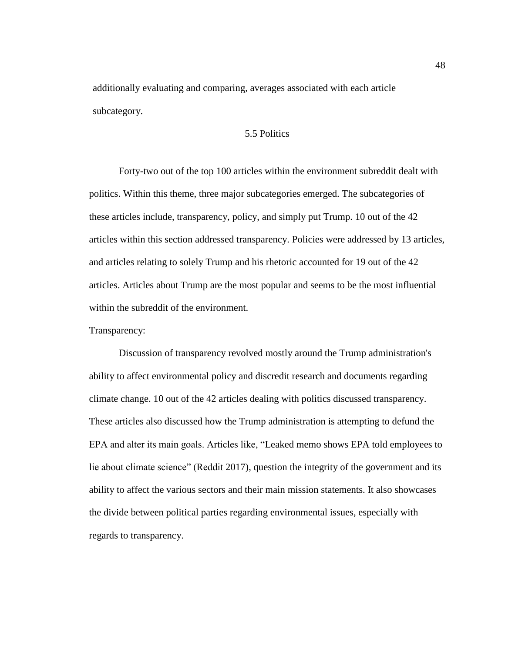additionally evaluating and comparing, averages associated with each article subcategory.

## 5.5 Politics

Forty-two out of the top 100 articles within the environment subreddit dealt with politics. Within this theme, three major subcategories emerged. The subcategories of these articles include, transparency, policy, and simply put Trump. 10 out of the 42 articles within this section addressed transparency. Policies were addressed by 13 articles, and articles relating to solely Trump and his rhetoric accounted for 19 out of the 42 articles. Articles about Trump are the most popular and seems to be the most influential within the subreddit of the environment.

# Transparency:

Discussion of transparency revolved mostly around the Trump administration's ability to affect environmental policy and discredit research and documents regarding climate change. 10 out of the 42 articles dealing with politics discussed transparency. These articles also discussed how the Trump administration is attempting to defund the EPA and alter its main goals. Articles like, "Leaked memo shows EPA told employees to lie about climate science" (Reddit 2017), question the integrity of the government and its ability to affect the various sectors and their main mission statements. It also showcases the divide between political parties regarding environmental issues, especially with regards to transparency.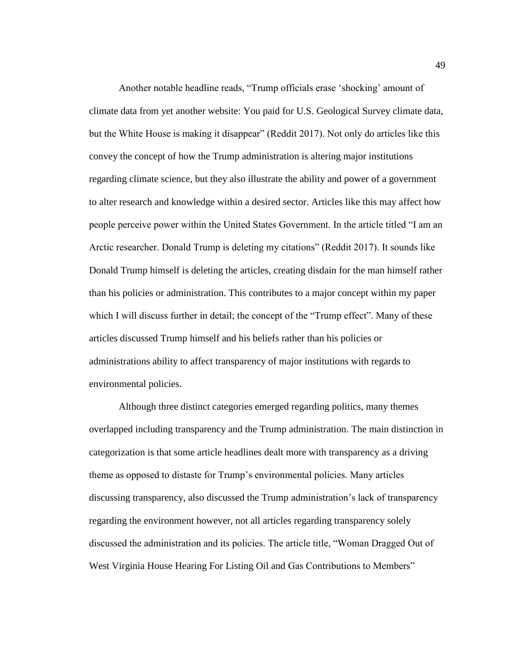Another notable headline reads, "Trump officials erase 'shocking' amount of climate data from yet another website: You paid for U.S. Geological Survey climate data, but the White House is making it disappear" (Reddit 2017). Not only do articles like this convey the concept of how the Trump administration is altering major institutions regarding climate science, but they also illustrate the ability and power of a government to alter research and knowledge within a desired sector. Articles like this may affect how people perceive power within the United States Government. In the article titled "I am an Arctic researcher. Donald Trump is deleting my citations" (Reddit 2017). It sounds like Donald Trump himself is deleting the articles, creating disdain for the man himself rather than his policies or administration. This contributes to a major concept within my paper which I will discuss further in detail; the concept of the "Trump effect". Many of these articles discussed Trump himself and his beliefs rather than his policies or administrations ability to affect transparency of major institutions with regards to environmental policies.

Although three distinct categories emerged regarding politics, many themes overlapped including transparency and the Trump administration. The main distinction in categorization is that some article headlines dealt more with transparency as a driving theme as opposed to distaste for Trump's environmental policies. Many articles discussing transparency, also discussed the Trump administration's lack of transparency regarding the environment however, not all articles regarding transparency solely discussed the administration and its policies. The article title, "Woman Dragged Out of West Virginia House Hearing For Listing Oil and Gas Contributions to Members"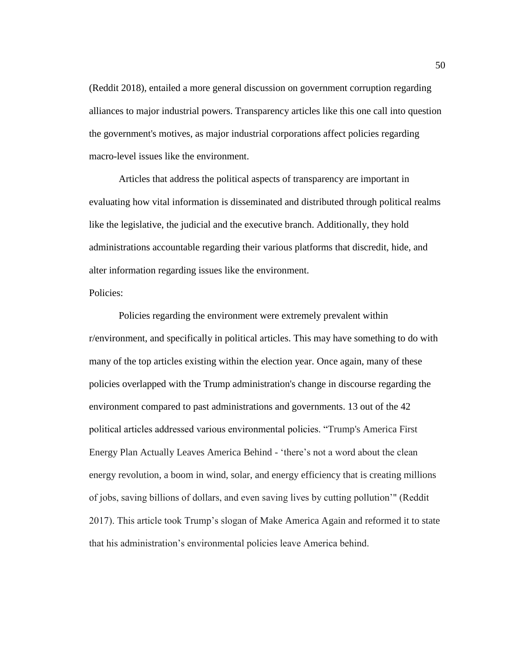(Reddit 2018), entailed a more general discussion on government corruption regarding alliances to major industrial powers. Transparency articles like this one call into question the government's motives, as major industrial corporations affect policies regarding macro-level issues like the environment.

Articles that address the political aspects of transparency are important in evaluating how vital information is disseminated and distributed through political realms like the legislative, the judicial and the executive branch. Additionally, they hold administrations accountable regarding their various platforms that discredit, hide, and alter information regarding issues like the environment.

### Policies:

Policies regarding the environment were extremely prevalent within r/environment, and specifically in political articles. This may have something to do with many of the top articles existing within the election year. Once again, many of these policies overlapped with the Trump administration's change in discourse regarding the environment compared to past administrations and governments. 13 out of the 42 political articles addressed various environmental policies. "Trump's America First Energy Plan Actually Leaves America Behind - 'there's not a word about the clean energy revolution, a boom in wind, solar, and energy efficiency that is creating millions of jobs, saving billions of dollars, and even saving lives by cutting pollution'" (Reddit 2017). This article took Trump's slogan of Make America Again and reformed it to state that his administration's environmental policies leave America behind.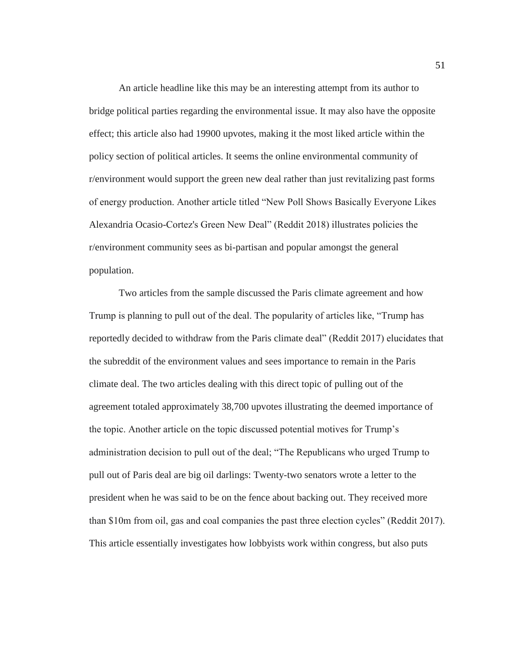An article headline like this may be an interesting attempt from its author to bridge political parties regarding the environmental issue. It may also have the opposite effect; this article also had 19900 upvotes, making it the most liked article within the policy section of political articles. It seems the online environmental community of r/environment would support the green new deal rather than just revitalizing past forms of energy production. Another article titled "New Poll Shows Basically Everyone Likes Alexandria Ocasio-Cortez's Green New Deal" (Reddit 2018) illustrates policies the r/environment community sees as bi-partisan and popular amongst the general population.

Two articles from the sample discussed the Paris climate agreement and how Trump is planning to pull out of the deal. The popularity of articles like, "Trump has reportedly decided to withdraw from the Paris climate deal" (Reddit 2017) elucidates that the subreddit of the environment values and sees importance to remain in the Paris climate deal. The two articles dealing with this direct topic of pulling out of the agreement totaled approximately 38,700 upvotes illustrating the deemed importance of the topic. Another article on the topic discussed potential motives for Trump's administration decision to pull out of the deal; "The Republicans who urged Trump to pull out of Paris deal are big oil darlings: Twenty-two senators wrote a letter to the president when he was said to be on the fence about backing out. They received more than \$10m from oil, gas and coal companies the past three election cycles" (Reddit 2017). This article essentially investigates how lobbyists work within congress, but also puts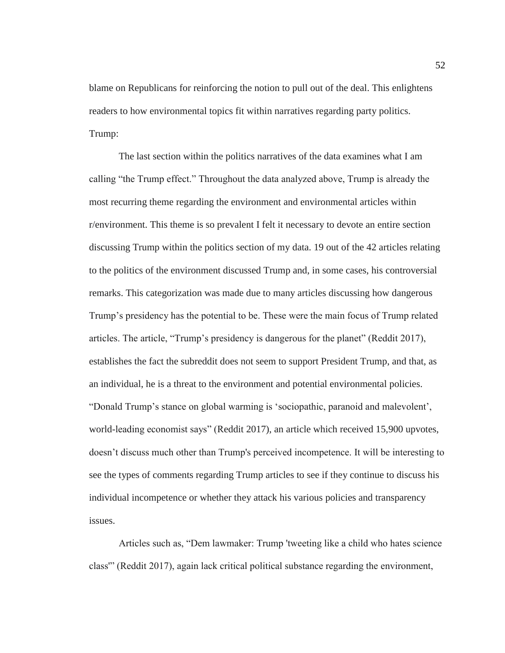blame on Republicans for reinforcing the notion to pull out of the deal. This enlightens readers to how environmental topics fit within narratives regarding party politics. Trump:

The last section within the politics narratives of the data examines what I am calling "the Trump effect." Throughout the data analyzed above, Trump is already the most recurring theme regarding the environment and environmental articles within r/environment. This theme is so prevalent I felt it necessary to devote an entire section discussing Trump within the politics section of my data. 19 out of the 42 articles relating to the politics of the environment discussed Trump and, in some cases, his controversial remarks. This categorization was made due to many articles discussing how dangerous Trump's presidency has the potential to be. These were the main focus of Trump related articles. The article, "Trump's presidency is dangerous for the planet" (Reddit 2017), establishes the fact the subreddit does not seem to support President Trump, and that, as an individual, he is a threat to the environment and potential environmental policies. "Donald Trump's stance on global warming is 'sociopathic, paranoid and malevolent', world-leading economist says" (Reddit 2017), an article which received 15,900 upvotes, doesn't discuss much other than Trump's perceived incompetence. It will be interesting to see the types of comments regarding Trump articles to see if they continue to discuss his individual incompetence or whether they attack his various policies and transparency issues.

Articles such as, "Dem lawmaker: Trump 'tweeting like a child who hates science class'" (Reddit 2017), again lack critical political substance regarding the environment,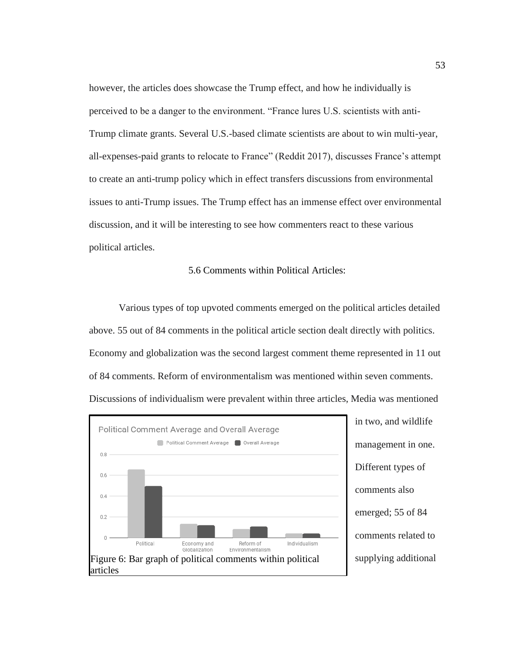however, the articles does showcase the Trump effect, and how he individually is perceived to be a danger to the environment. "France lures U.S. scientists with anti-Trump climate grants. Several U.S.-based climate scientists are about to win multi-year, all-expenses-paid grants to relocate to France" (Reddit 2017), discusses France's attempt to create an anti-trump policy which in effect transfers discussions from environmental issues to anti-Trump issues. The Trump effect has an immense effect over environmental discussion, and it will be interesting to see how commenters react to these various political articles.

### 5.6 Comments within Political Articles:

Various types of top upvoted comments emerged on the political articles detailed above. 55 out of 84 comments in the political article section dealt directly with politics. Economy and globalization was the second largest comment theme represented in 11 out of 84 comments. Reform of environmentalism was mentioned within seven comments. Discussions of individualism were prevalent within three articles, Media was mentioned

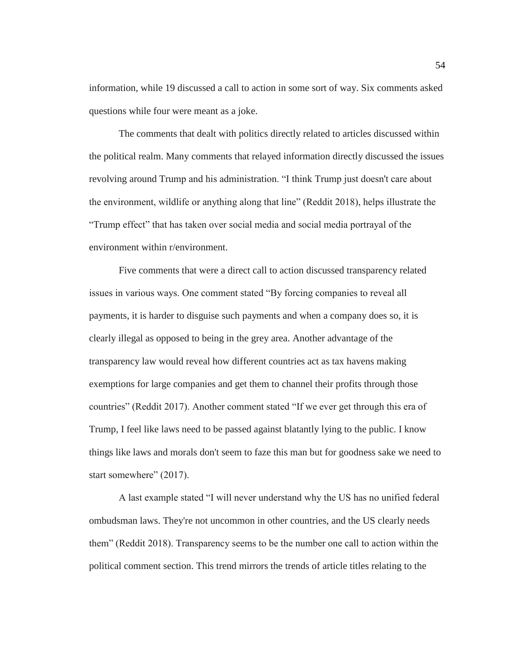information, while 19 discussed a call to action in some sort of way. Six comments asked questions while four were meant as a joke.

The comments that dealt with politics directly related to articles discussed within the political realm. Many comments that relayed information directly discussed the issues revolving around Trump and his administration. "I think Trump just doesn't care about the environment, wildlife or anything along that line" (Reddit 2018), helps illustrate the "Trump effect" that has taken over social media and social media portrayal of the environment within r/environment.

Five comments that were a direct call to action discussed transparency related issues in various ways. One comment stated "By forcing companies to reveal all payments, it is harder to disguise such payments and when a company does so, it is clearly illegal as opposed to being in the grey area. Another advantage of the transparency law would reveal how different countries act as tax havens making exemptions for large companies and get them to channel their profits through those countries" (Reddit 2017). Another comment stated "If we ever get through this era of Trump, I feel like laws need to be passed against blatantly lying to the public. I know things like laws and morals don't seem to faze this man but for goodness sake we need to start somewhere" (2017).

A last example stated "I will never understand why the US has no unified federal ombudsman laws. They're not uncommon in other countries, and the US clearly needs them" (Reddit 2018). Transparency seems to be the number one call to action within the political comment section. This trend mirrors the trends of article titles relating to the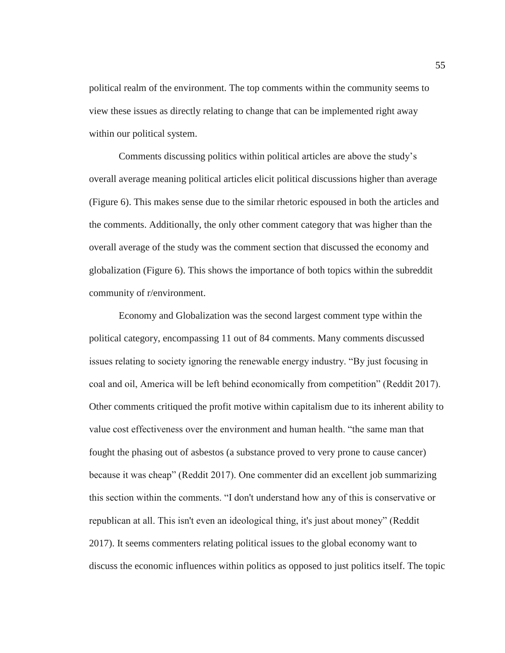political realm of the environment. The top comments within the community seems to view these issues as directly relating to change that can be implemented right away within our political system.

Comments discussing politics within political articles are above the study's overall average meaning political articles elicit political discussions higher than average (Figure 6). This makes sense due to the similar rhetoric espoused in both the articles and the comments. Additionally, the only other comment category that was higher than the overall average of the study was the comment section that discussed the economy and globalization (Figure 6). This shows the importance of both topics within the subreddit community of r/environment.

Economy and Globalization was the second largest comment type within the political category, encompassing 11 out of 84 comments. Many comments discussed issues relating to society ignoring the renewable energy industry. "By just focusing in coal and oil, America will be left behind economically from competition" (Reddit 2017). Other comments critiqued the profit motive within capitalism due to its inherent ability to value cost effectiveness over the environment and human health. "the same man that fought the phasing out of asbestos (a substance proved to very prone to cause cancer) because it was cheap" (Reddit 2017). One commenter did an excellent job summarizing this section within the comments. "I don't understand how any of this is conservative or republican at all. This isn't even an ideological thing, it's just about money" (Reddit 2017). It seems commenters relating political issues to the global economy want to discuss the economic influences within politics as opposed to just politics itself. The topic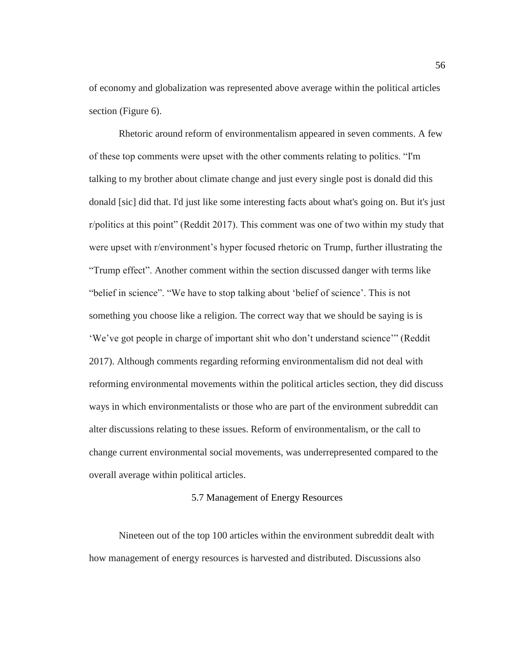of economy and globalization was represented above average within the political articles section (Figure 6).

Rhetoric around reform of environmentalism appeared in seven comments. A few of these top comments were upset with the other comments relating to politics. "I'm talking to my brother about climate change and just every single post is donald did this donald [sic] did that. I'd just like some interesting facts about what's going on. But it's just r/politics at this point" (Reddit 2017). This comment was one of two within my study that were upset with r/environment's hyper focused rhetoric on Trump, further illustrating the "Trump effect". Another comment within the section discussed danger with terms like "belief in science". "We have to stop talking about 'belief of science'. This is not something you choose like a religion. The correct way that we should be saying is is 'We've got people in charge of important shit who don't understand science'" (Reddit 2017). Although comments regarding reforming environmentalism did not deal with reforming environmental movements within the political articles section, they did discuss ways in which environmentalists or those who are part of the environment subreddit can alter discussions relating to these issues. Reform of environmentalism, or the call to change current environmental social movements, was underrepresented compared to the overall average within political articles.

#### 5.7 Management of Energy Resources

Nineteen out of the top 100 articles within the environment subreddit dealt with how management of energy resources is harvested and distributed. Discussions also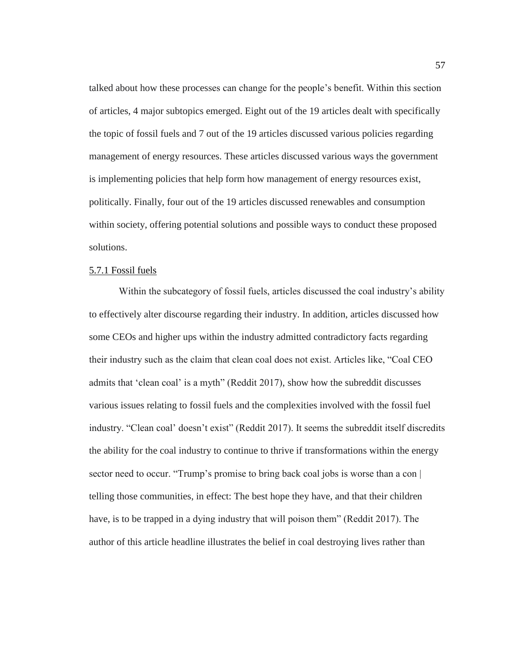talked about how these processes can change for the people's benefit. Within this section of articles, 4 major subtopics emerged. Eight out of the 19 articles dealt with specifically the topic of fossil fuels and 7 out of the 19 articles discussed various policies regarding management of energy resources. These articles discussed various ways the government is implementing policies that help form how management of energy resources exist, politically. Finally, four out of the 19 articles discussed renewables and consumption within society, offering potential solutions and possible ways to conduct these proposed solutions.

# 5.7.1 Fossil fuels

Within the subcategory of fossil fuels, articles discussed the coal industry's ability to effectively alter discourse regarding their industry. In addition, articles discussed how some CEOs and higher ups within the industry admitted contradictory facts regarding their industry such as the claim that clean coal does not exist. Articles like, "Coal CEO admits that 'clean coal' is a myth" (Reddit 2017), show how the subreddit discusses various issues relating to fossil fuels and the complexities involved with the fossil fuel industry. "Clean coal' doesn't exist" (Reddit 2017). It seems the subreddit itself discredits the ability for the coal industry to continue to thrive if transformations within the energy sector need to occur. "Trump's promise to bring back coal jobs is worse than a con | telling those communities, in effect: The best hope they have, and that their children have, is to be trapped in a dying industry that will poison them" (Reddit 2017). The author of this article headline illustrates the belief in coal destroying lives rather than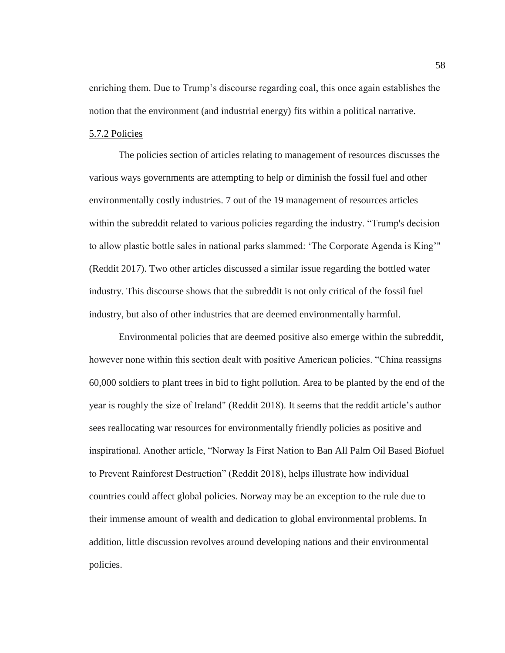enriching them. Due to Trump's discourse regarding coal, this once again establishes the notion that the environment (and industrial energy) fits within a political narrative.

# 5.7.2 Policies

The policies section of articles relating to management of resources discusses the various ways governments are attempting to help or diminish the fossil fuel and other environmentally costly industries. 7 out of the 19 management of resources articles within the subreddit related to various policies regarding the industry. "Trump's decision to allow plastic bottle sales in national parks slammed: 'The Corporate Agenda is King'" (Reddit 2017). Two other articles discussed a similar issue regarding the bottled water industry. This discourse shows that the subreddit is not only critical of the fossil fuel industry, but also of other industries that are deemed environmentally harmful.

Environmental policies that are deemed positive also emerge within the subreddit, however none within this section dealt with positive American policies. "China reassigns 60,000 soldiers to plant trees in bid to fight pollution. Area to be planted by the end of the year is roughly the size of Ireland" (Reddit 2018). It seems that the reddit article's author sees reallocating war resources for environmentally friendly policies as positive and inspirational. Another article, "Norway Is First Nation to Ban All Palm Oil Based Biofuel to Prevent Rainforest Destruction" (Reddit 2018), helps illustrate how individual countries could affect global policies. Norway may be an exception to the rule due to their immense amount of wealth and dedication to global environmental problems. In addition, little discussion revolves around developing nations and their environmental policies.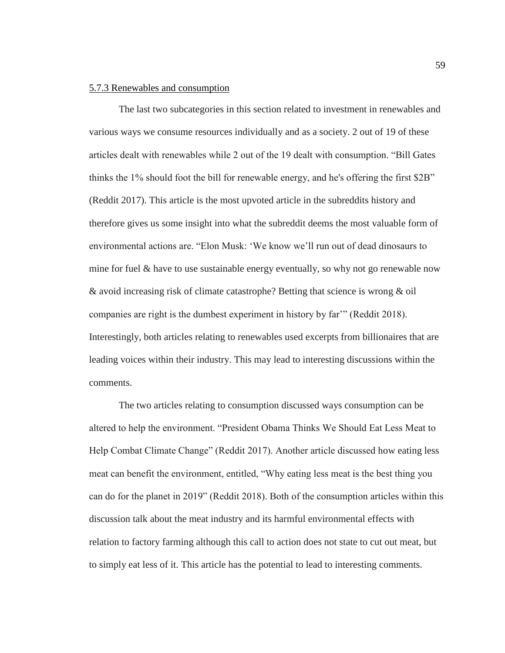## 5.7.3 Renewables and consumption

The last two subcategories in this section related to investment in renewables and various ways we consume resources individually and as a society. 2 out of 19 of these articles dealt with renewables while 2 out of the 19 dealt with consumption. "Bill Gates thinks the 1% should foot the bill for renewable energy, and he's offering the first \$2B" (Reddit 2017). This article is the most upvoted article in the subreddits history and therefore gives us some insight into what the subreddit deems the most valuable form of environmental actions are. "Elon Musk: 'We know we'll run out of dead dinosaurs to mine for fuel  $\&$  have to use sustainable energy eventually, so why not go renewable now & avoid increasing risk of climate catastrophe? Betting that science is wrong & oil companies are right is the dumbest experiment in history by far'" (Reddit 2018). Interestingly, both articles relating to renewables used excerpts from billionaires that are leading voices within their industry. This may lead to interesting discussions within the comments.

The two articles relating to consumption discussed ways consumption can be altered to help the environment. "President Obama Thinks We Should Eat Less Meat to Help Combat Climate Change" (Reddit 2017). Another article discussed how eating less meat can benefit the environment, entitled, "Why eating less meat is the best thing you can do for the planet in 2019" (Reddit 2018). Both of the consumption articles within this discussion talk about the meat industry and its harmful environmental effects with relation to factory farming although this call to action does not state to cut out meat, but to simply eat less of it. This article has the potential to lead to interesting comments.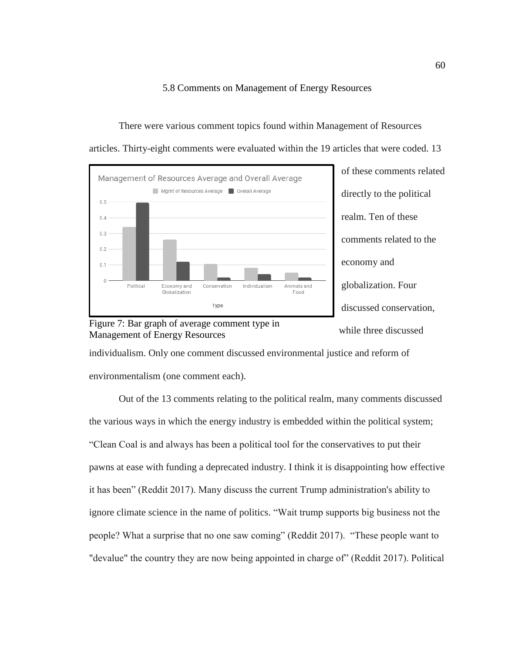5.8 Comments on Management of Energy Resources

There were various comment topics found within Management of Resources articles. Thirty-eight comments were evaluated within the 19 articles that were coded. 13





Figure 7: Bar graph of average comment type in Management of Energy Resources

individualism. Only one comment discussed environmental justice and reform of environmentalism (one comment each).

Out of the 13 comments relating to the political realm, many comments discussed the various ways in which the energy industry is embedded within the political system; "Clean Coal is and always has been a political tool for the conservatives to put their pawns at ease with funding a deprecated industry. I think it is disappointing how effective it has been" (Reddit 2017). Many discuss the current Trump administration's ability to ignore climate science in the name of politics. "Wait trump supports big business not the people? What a surprise that no one saw coming" (Reddit 2017). "These people want to "devalue" the country they are now being appointed in charge of" (Reddit 2017). Political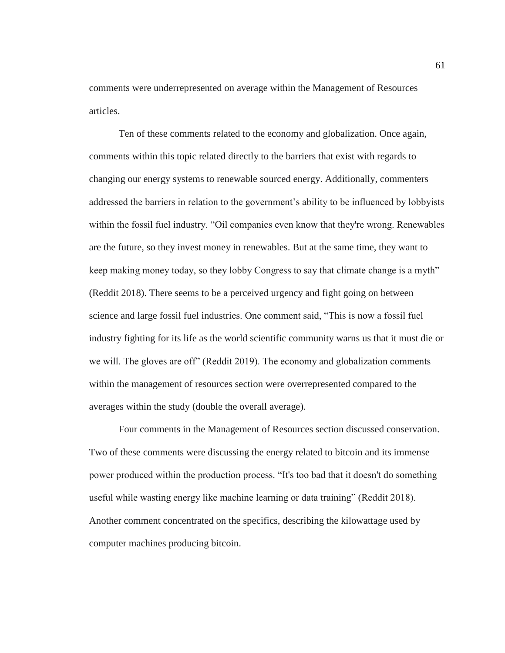comments were underrepresented on average within the Management of Resources articles.

Ten of these comments related to the economy and globalization. Once again, comments within this topic related directly to the barriers that exist with regards to changing our energy systems to renewable sourced energy. Additionally, commenters addressed the barriers in relation to the government's ability to be influenced by lobbyists within the fossil fuel industry. "Oil companies even know that they're wrong. Renewables are the future, so they invest money in renewables. But at the same time, they want to keep making money today, so they lobby Congress to say that climate change is a myth" (Reddit 2018). There seems to be a perceived urgency and fight going on between science and large fossil fuel industries. One comment said, "This is now a fossil fuel industry fighting for its life as the world scientific community warns us that it must die or we will. The gloves are off" (Reddit 2019). The economy and globalization comments within the management of resources section were overrepresented compared to the averages within the study (double the overall average).

Four comments in the Management of Resources section discussed conservation. Two of these comments were discussing the energy related to bitcoin and its immense power produced within the production process. "It's too bad that it doesn't do something useful while wasting energy like machine learning or data training" (Reddit 2018). Another comment concentrated on the specifics, describing the kilowattage used by computer machines producing bitcoin.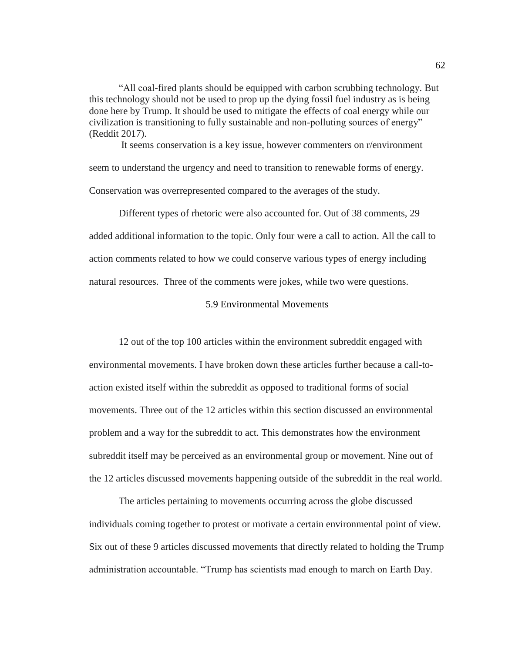"All coal-fired plants should be equipped with carbon scrubbing technology. But this technology should not be used to prop up the dying fossil fuel industry as is being done here by Trump. It should be used to mitigate the effects of coal energy while our civilization is transitioning to fully sustainable and non-polluting sources of energy" (Reddit 2017).

It seems conservation is a key issue, however commenters on r/environment seem to understand the urgency and need to transition to renewable forms of energy. Conservation was overrepresented compared to the averages of the study.

Different types of rhetoric were also accounted for. Out of 38 comments, 29 added additional information to the topic. Only four were a call to action. All the call to action comments related to how we could conserve various types of energy including natural resources. Three of the comments were jokes, while two were questions.

# 5.9 Environmental Movements

12 out of the top 100 articles within the environment subreddit engaged with environmental movements. I have broken down these articles further because a call-toaction existed itself within the subreddit as opposed to traditional forms of social movements. Three out of the 12 articles within this section discussed an environmental problem and a way for the subreddit to act. This demonstrates how the environment subreddit itself may be perceived as an environmental group or movement. Nine out of the 12 articles discussed movements happening outside of the subreddit in the real world.

The articles pertaining to movements occurring across the globe discussed individuals coming together to protest or motivate a certain environmental point of view. Six out of these 9 articles discussed movements that directly related to holding the Trump administration accountable. "Trump has scientists mad enough to march on Earth Day.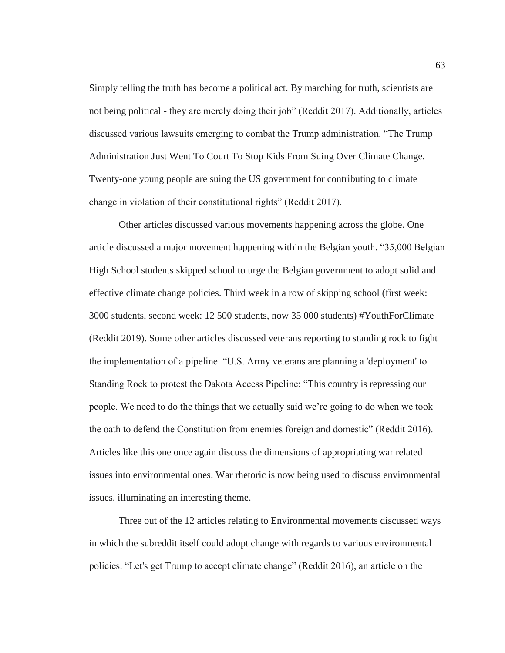Simply telling the truth has become a political act. By marching for truth, scientists are not being political - they are merely doing their job" (Reddit 2017). Additionally, articles discussed various lawsuits emerging to combat the Trump administration. "The Trump Administration Just Went To Court To Stop Kids From Suing Over Climate Change. Twenty-one young people are suing the US government for contributing to climate change in violation of their constitutional rights" (Reddit 2017).

Other articles discussed various movements happening across the globe. One article discussed a major movement happening within the Belgian youth. "35,000 Belgian High School students skipped school to urge the Belgian government to adopt solid and effective climate change policies. Third week in a row of skipping school (first week: 3000 students, second week: 12 500 students, now 35 000 students) #YouthForClimate (Reddit 2019). Some other articles discussed veterans reporting to standing rock to fight the implementation of a pipeline. "U.S. Army veterans are planning a 'deployment' to Standing Rock to protest the Dakota Access Pipeline: "This country is repressing our people. We need to do the things that we actually said we're going to do when we took the oath to defend the Constitution from enemies foreign and domestic" (Reddit 2016). Articles like this one once again discuss the dimensions of appropriating war related issues into environmental ones. War rhetoric is now being used to discuss environmental issues, illuminating an interesting theme.

Three out of the 12 articles relating to Environmental movements discussed ways in which the subreddit itself could adopt change with regards to various environmental policies. "Let's get Trump to accept climate change" (Reddit 2016), an article on the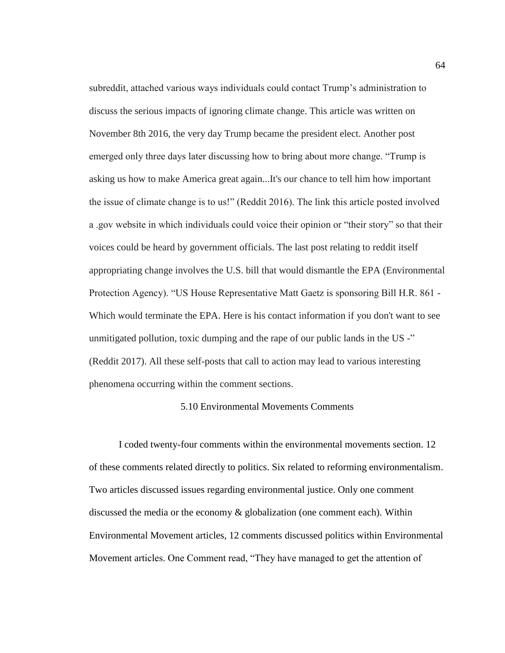subreddit, attached various ways individuals could contact Trump's administration to discuss the serious impacts of ignoring climate change. This article was written on November 8th 2016, the very day Trump became the president elect. Another post emerged only three days later discussing how to bring about more change. "Trump is asking us how to make America great again...It's our chance to tell him how important the issue of climate change is to us!" (Reddit 2016). The link this article posted involved a .gov website in which individuals could voice their opinion or "their story" so that their voices could be heard by government officials. The last post relating to reddit itself appropriating change involves the U.S. bill that would dismantle the EPA (Environmental Protection Agency). "US House Representative Matt Gaetz is sponsoring Bill H.R. 861 - Which would terminate the EPA. Here is his contact information if you don't want to see unmitigated pollution, toxic dumping and the rape of our public lands in the US -" (Reddit 2017). All these self-posts that call to action may lead to various interesting phenomena occurring within the comment sections.

### 5.10 Environmental Movements Comments

I coded twenty-four comments within the environmental movements section. 12 of these comments related directly to politics. Six related to reforming environmentalism. Two articles discussed issues regarding environmental justice. Only one comment discussed the media or the economy & globalization (one comment each). Within Environmental Movement articles, 12 comments discussed politics within Environmental Movement articles. One Comment read, "They have managed to get the attention of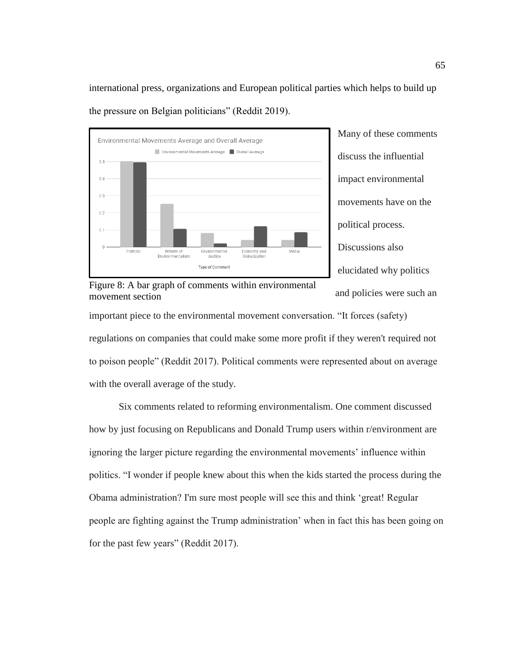international press, organizations and European political parties which helps to build up the pressure on Belgian politicians" (Reddit 2019).





Figure 8: A bar graph of comments within environmental movement section

important piece to the environmental movement conversation. "It forces (safety) regulations on companies that could make some more profit if they weren't required not to poison people" (Reddit 2017). Political comments were represented about on average with the overall average of the study.

Six comments related to reforming environmentalism. One comment discussed how by just focusing on Republicans and Donald Trump users within r/environment are ignoring the larger picture regarding the environmental movements' influence within politics. "I wonder if people knew about this when the kids started the process during the Obama administration? I'm sure most people will see this and think 'great! Regular people are fighting against the Trump administration' when in fact this has been going on for the past few years" (Reddit 2017).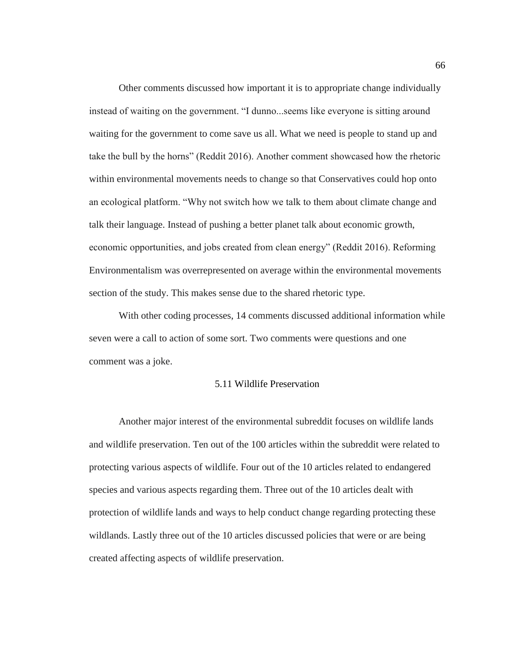Other comments discussed how important it is to appropriate change individually instead of waiting on the government. "I dunno...seems like everyone is sitting around waiting for the government to come save us all. What we need is people to stand up and take the bull by the horns" (Reddit 2016). Another comment showcased how the rhetoric within environmental movements needs to change so that Conservatives could hop onto an ecological platform. "Why not switch how we talk to them about climate change and talk their language. Instead of pushing a better planet talk about economic growth, economic opportunities, and jobs created from clean energy" (Reddit 2016). Reforming Environmentalism was overrepresented on average within the environmental movements section of the study. This makes sense due to the shared rhetoric type.

With other coding processes, 14 comments discussed additional information while seven were a call to action of some sort. Two comments were questions and one comment was a joke.

### 5.11 Wildlife Preservation

Another major interest of the environmental subreddit focuses on wildlife lands and wildlife preservation. Ten out of the 100 articles within the subreddit were related to protecting various aspects of wildlife. Four out of the 10 articles related to endangered species and various aspects regarding them. Three out of the 10 articles dealt with protection of wildlife lands and ways to help conduct change regarding protecting these wildlands. Lastly three out of the 10 articles discussed policies that were or are being created affecting aspects of wildlife preservation.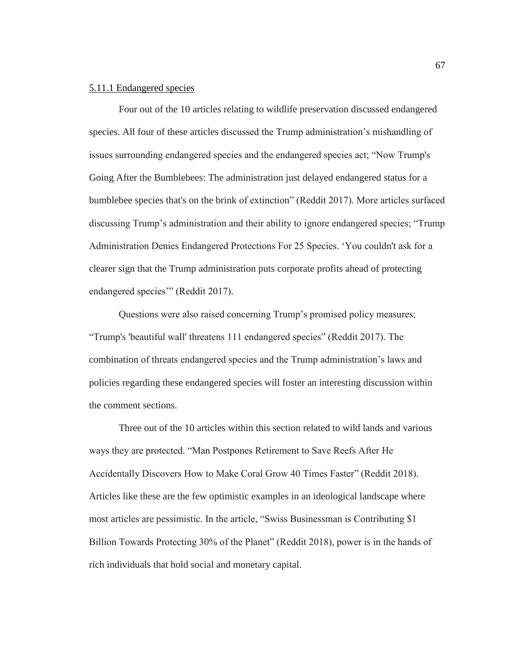## 5.11.1 Endangered species

Four out of the 10 articles relating to wildlife preservation discussed endangered species. All four of these articles discussed the Trump administration's mishandling of issues surrounding endangered species and the endangered species act; "Now Trump's Going After the Bumblebees: The administration just delayed endangered status for a bumblebee species that's on the brink of extinction" (Reddit 2017). More articles surfaced discussing Trump's administration and their ability to ignore endangered species; "Trump Administration Denies Endangered Protections For 25 Species. 'You couldn't ask for a clearer sign that the Trump administration puts corporate profits ahead of protecting endangered species" (Reddit 2017).

Questions were also raised concerning Trump's promised policy measures; "Trump's 'beautiful wall' threatens 111 endangered species" (Reddit 2017). The combination of threats endangered species and the Trump administration's laws and policies regarding these endangered species will foster an interesting discussion within the comment sections.

Three out of the 10 articles within this section related to wild lands and various ways they are protected. "Man Postpones Retirement to Save Reefs After He Accidentally Discovers How to Make Coral Grow 40 Times Faster" (Reddit 2018). Articles like these are the few optimistic examples in an ideological landscape where most articles are pessimistic. In the article, "Swiss Businessman is Contributing \$1 Billion Towards Protecting 30% of the Planet" (Reddit 2018), power is in the hands of rich individuals that hold social and monetary capital.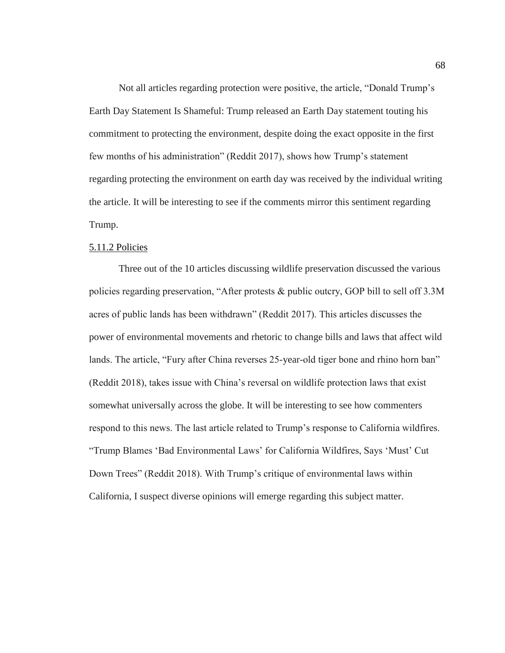Not all articles regarding protection were positive, the article, "Donald Trump's Earth Day Statement Is Shameful: Trump released an Earth Day statement touting his commitment to protecting the environment, despite doing the exact opposite in the first few months of his administration" (Reddit 2017), shows how Trump's statement regarding protecting the environment on earth day was received by the individual writing the article. It will be interesting to see if the comments mirror this sentiment regarding Trump.

## 5.11.2 Policies

Three out of the 10 articles discussing wildlife preservation discussed the various policies regarding preservation, "After protests & public outcry, GOP bill to sell off 3.3M acres of public lands has been withdrawn" (Reddit 2017). This articles discusses the power of environmental movements and rhetoric to change bills and laws that affect wild lands. The article, "Fury after China reverses 25-year-old tiger bone and rhino horn ban" (Reddit 2018), takes issue with China's reversal on wildlife protection laws that exist somewhat universally across the globe. It will be interesting to see how commenters respond to this news. The last article related to Trump's response to California wildfires. "Trump Blames 'Bad Environmental Laws' for California Wildfires, Says 'Must' Cut Down Trees" (Reddit 2018). With Trump's critique of environmental laws within California, I suspect diverse opinions will emerge regarding this subject matter.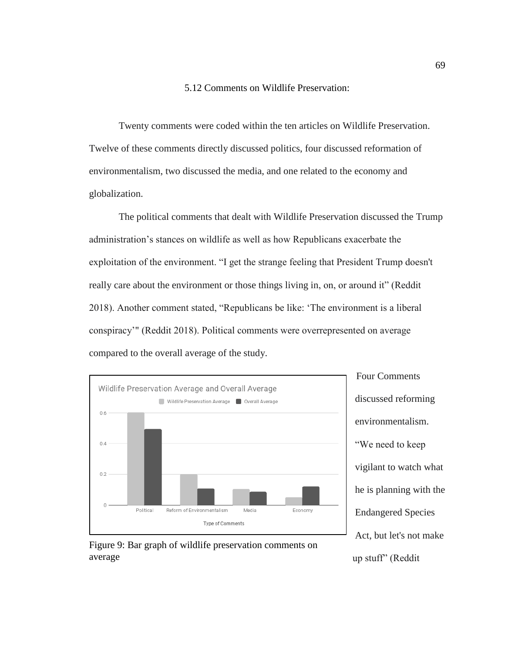# 5.12 Comments on Wildlife Preservation:

Twenty comments were coded within the ten articles on Wildlife Preservation. Twelve of these comments directly discussed politics, four discussed reformation of environmentalism, two discussed the media, and one related to the economy and globalization.

The political comments that dealt with Wildlife Preservation discussed the Trump administration's stances on wildlife as well as how Republicans exacerbate the exploitation of the environment. "I get the strange feeling that President Trump doesn't really care about the environment or those things living in, on, or around it" (Reddit 2018). Another comment stated, "Republicans be like: 'The environment is a liberal conspiracy'" (Reddit 2018). Political comments were overrepresented on average compared to the overall average of the study.



Four Comments discussed reforming environmentalism. "We need to keep vigilant to watch what he is planning with the Endangered Species Act, but let's not make up stuff" (Reddit

Figure 9: Bar graph of wildlife preservation comments on average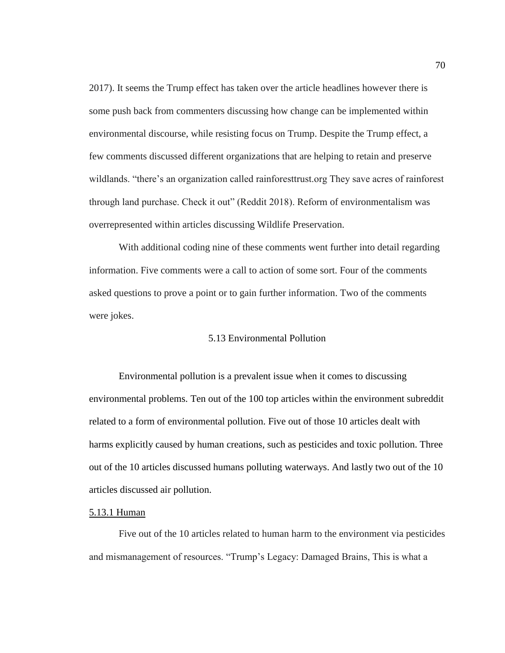2017). It seems the Trump effect has taken over the article headlines however there is some push back from commenters discussing how change can be implemented within environmental discourse, while resisting focus on Trump. Despite the Trump effect, a few comments discussed different organizations that are helping to retain and preserve wildlands. "there's an organization called rainforesttrust.org They save acres of rainforest through land purchase. Check it out" (Reddit 2018). Reform of environmentalism was overrepresented within articles discussing Wildlife Preservation.

With additional coding nine of these comments went further into detail regarding information. Five comments were a call to action of some sort. Four of the comments asked questions to prove a point or to gain further information. Two of the comments were jokes.

#### 5.13 Environmental Pollution

Environmental pollution is a prevalent issue when it comes to discussing environmental problems. Ten out of the 100 top articles within the environment subreddit related to a form of environmental pollution. Five out of those 10 articles dealt with harms explicitly caused by human creations, such as pesticides and toxic pollution. Three out of the 10 articles discussed humans polluting waterways. And lastly two out of the 10 articles discussed air pollution.

## 5.13.1 Human

Five out of the 10 articles related to human harm to the environment via pesticides and mismanagement of resources. "Trump's Legacy: Damaged Brains, This is what a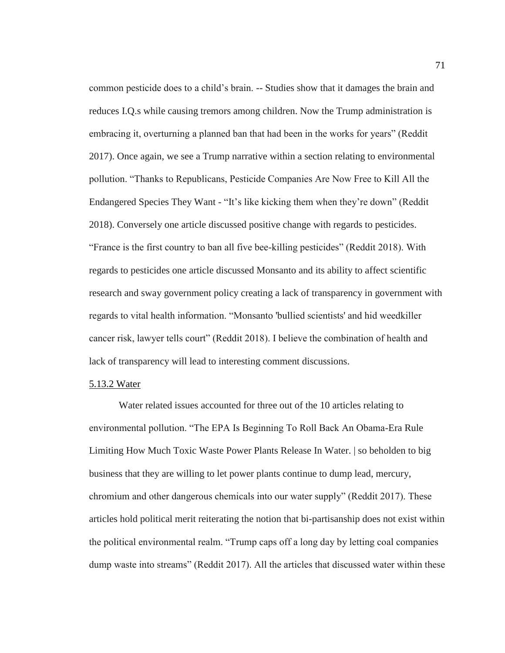common pesticide does to a child's brain. -- Studies show that it damages the brain and reduces I.Q.s while causing tremors among children. Now the Trump administration is embracing it, overturning a planned ban that had been in the works for years" (Reddit 2017). Once again, we see a Trump narrative within a section relating to environmental pollution. "Thanks to Republicans, Pesticide Companies Are Now Free to Kill All the Endangered Species They Want - "It's like kicking them when they're down" (Reddit 2018). Conversely one article discussed positive change with regards to pesticides. "France is the first country to ban all five bee-killing pesticides" (Reddit 2018). With regards to pesticides one article discussed Monsanto and its ability to affect scientific research and sway government policy creating a lack of transparency in government with regards to vital health information. "Monsanto 'bullied scientists' and hid weedkiller cancer risk, lawyer tells court" (Reddit 2018). I believe the combination of health and lack of transparency will lead to interesting comment discussions.

#### 5.13.2 Water

Water related issues accounted for three out of the 10 articles relating to environmental pollution. "The EPA Is Beginning To Roll Back An Obama-Era Rule Limiting How Much Toxic Waste Power Plants Release In Water. | so beholden to big business that they are willing to let power plants continue to dump lead, mercury, chromium and other dangerous chemicals into our water supply" (Reddit 2017). These articles hold political merit reiterating the notion that bi-partisanship does not exist within the political environmental realm. "Trump caps off a long day by letting coal companies dump waste into streams" (Reddit 2017). All the articles that discussed water within these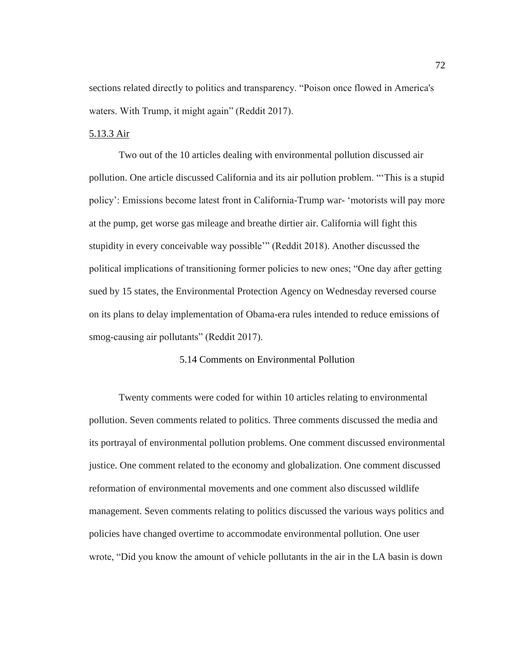sections related directly to politics and transparency. "Poison once flowed in America's waters. With Trump, it might again" (Reddit 2017).

## 5.13.3 Air

Two out of the 10 articles dealing with environmental pollution discussed air pollution. One article discussed California and its air pollution problem. "'This is a stupid policy': Emissions become latest front in California-Trump war- 'motorists will pay more at the pump, get worse gas mileage and breathe dirtier air. California will fight this stupidity in every conceivable way possible'" (Reddit 2018). Another discussed the political implications of transitioning former policies to new ones; "One day after getting sued by 15 states, the Environmental Protection Agency on Wednesday reversed course on its plans to delay implementation of Obama-era rules intended to reduce emissions of smog-causing air pollutants" (Reddit 2017).

## 5.14 Comments on Environmental Pollution

Twenty comments were coded for within 10 articles relating to environmental pollution. Seven comments related to politics. Three comments discussed the media and its portrayal of environmental pollution problems. One comment discussed environmental justice. One comment related to the economy and globalization. One comment discussed reformation of environmental movements and one comment also discussed wildlife management. Seven comments relating to politics discussed the various ways politics and policies have changed overtime to accommodate environmental pollution. One user wrote, "Did you know the amount of vehicle pollutants in the air in the LA basin is down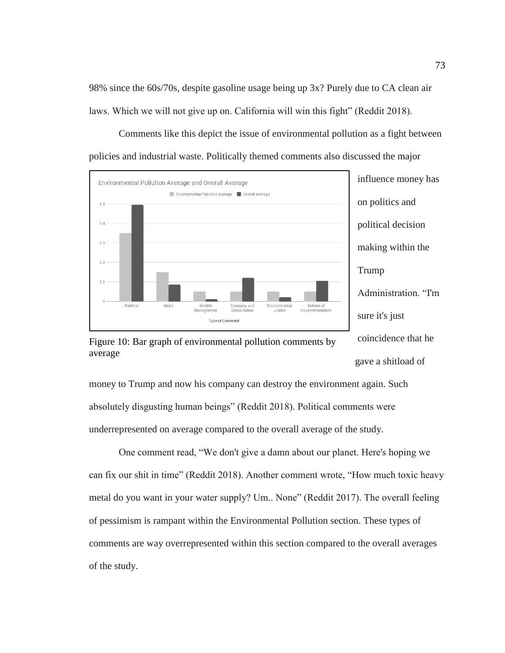98% since the 60s/70s, despite gasoline usage being up 3x? Purely due to CA clean air laws. Which we will not give up on. California will win this fight" (Reddit 2018).

Comments like this depict the issue of environmental pollution as a fight between policies and industrial waste. Politically themed comments also discussed the major





Figure 10: Bar graph of environmental pollution comments by average

money to Trump and now his company can destroy the environment again. Such absolutely disgusting human beings" (Reddit 2018). Political comments were underrepresented on average compared to the overall average of the study.

One comment read, "We don't give a damn about our planet. Here's hoping we can fix our shit in time" (Reddit 2018). Another comment wrote, "How much toxic heavy metal do you want in your water supply? Um.. None" (Reddit 2017). The overall feeling of pessimism is rampant within the Environmental Pollution section. These types of comments are way overrepresented within this section compared to the overall averages of the study.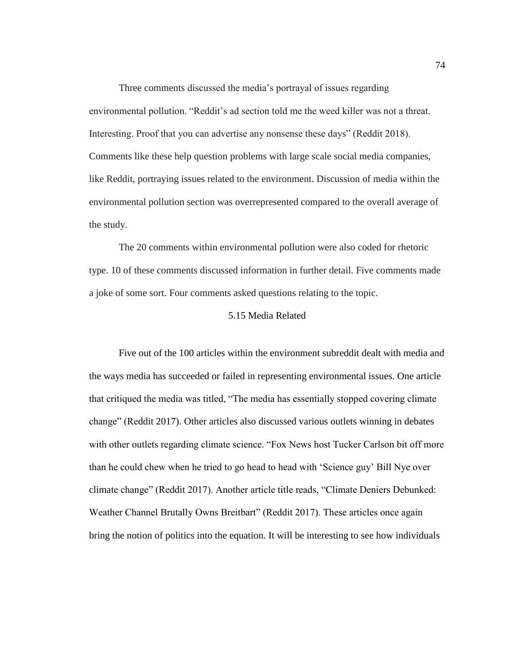Three comments discussed the media's portrayal of issues regarding environmental pollution. "Reddit's ad section told me the weed killer was not a threat. Interesting. Proof that you can advertise any nonsense these days" (Reddit 2018). Comments like these help question problems with large scale social media companies, like Reddit, portraying issues related to the environment. Discussion of media within the environmental pollution section was overrepresented compared to the overall average of the study.

The 20 comments within environmental pollution were also coded for rhetoric type. 10 of these comments discussed information in further detail. Five comments made a joke of some sort. Four comments asked questions relating to the topic.

#### 5.15 Media Related

Five out of the 100 articles within the environment subreddit dealt with media and the ways media has succeeded or failed in representing environmental issues. One article that critiqued the media was titled, "The media has essentially stopped covering climate change" (Reddit 2017). Other articles also discussed various outlets winning in debates with other outlets regarding climate science. "Fox News host Tucker Carlson bit off more than he could chew when he tried to go head to head with 'Science guy' Bill Nye over climate change" (Reddit 2017). Another article title reads, "Climate Deniers Debunked: Weather Channel Brutally Owns Breitbart" (Reddit 2017). These articles once again bring the notion of politics into the equation. It will be interesting to see how individuals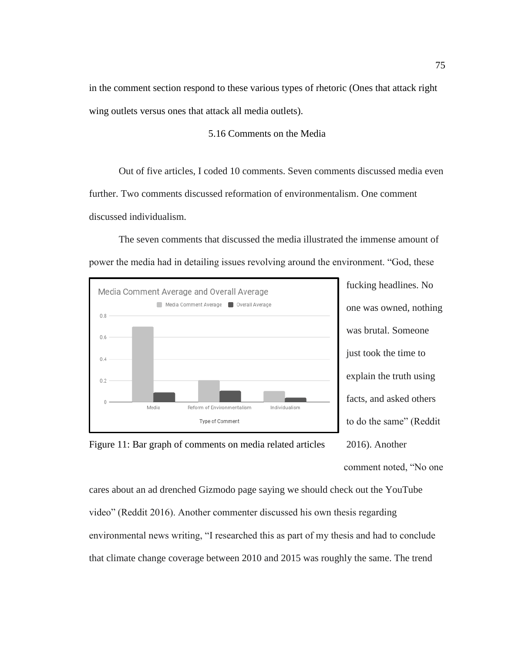in the comment section respond to these various types of rhetoric (Ones that attack right wing outlets versus ones that attack all media outlets).

## 5.16 Comments on the Media

Out of five articles, I coded 10 comments. Seven comments discussed media even further. Two comments discussed reformation of environmentalism. One comment discussed individualism.

The seven comments that discussed the media illustrated the immense amount of power the media had in detailing issues revolving around the environment. "God, these



fucking headlines. No one was owned, nothing was brutal. Someone just took the time to explain the truth using facts, and asked others to do the same" (Reddit 2016). Another comment noted, "No one



cares about an ad drenched Gizmodo page saying we should check out the YouTube video" (Reddit 2016). Another commenter discussed his own thesis regarding environmental news writing, "I researched this as part of my thesis and had to conclude that climate change coverage between 2010 and 2015 was roughly the same. The trend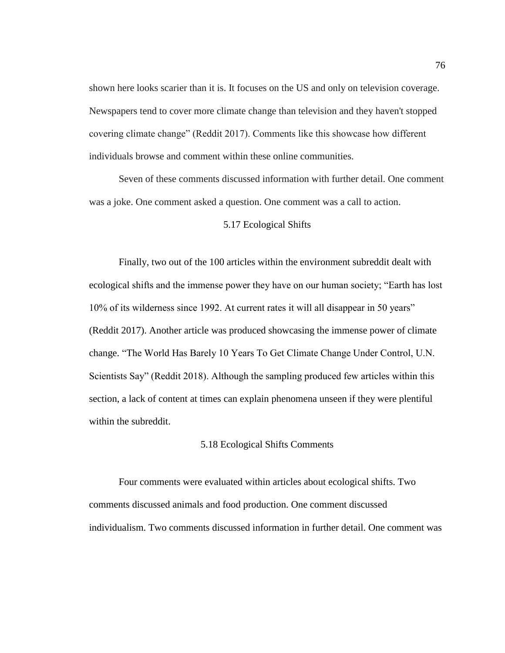shown here looks scarier than it is. It focuses on the US and only on television coverage. Newspapers tend to cover more climate change than television and they haven't stopped covering climate change" (Reddit 2017). Comments like this showcase how different individuals browse and comment within these online communities.

Seven of these comments discussed information with further detail. One comment was a joke. One comment asked a question. One comment was a call to action.

## 5.17 Ecological Shifts

Finally, two out of the 100 articles within the environment subreddit dealt with ecological shifts and the immense power they have on our human society; "Earth has lost 10% of its wilderness since 1992. At current rates it will all disappear in 50 years" (Reddit 2017). Another article was produced showcasing the immense power of climate change. "The World Has Barely 10 Years To Get Climate Change Under Control, U.N. Scientists Say" (Reddit 2018). Although the sampling produced few articles within this section, a lack of content at times can explain phenomena unseen if they were plentiful within the subreddit.

## 5.18 Ecological Shifts Comments

Four comments were evaluated within articles about ecological shifts. Two comments discussed animals and food production. One comment discussed individualism. Two comments discussed information in further detail. One comment was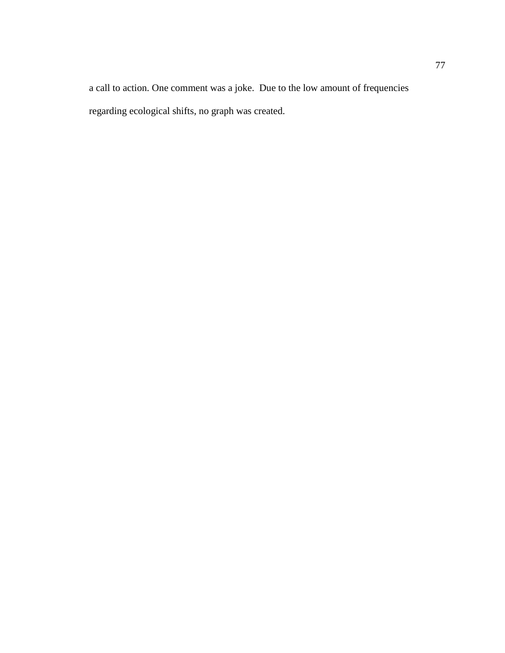a call to action. One comment was a joke. Due to the low amount of frequencies regarding ecological shifts, no graph was created.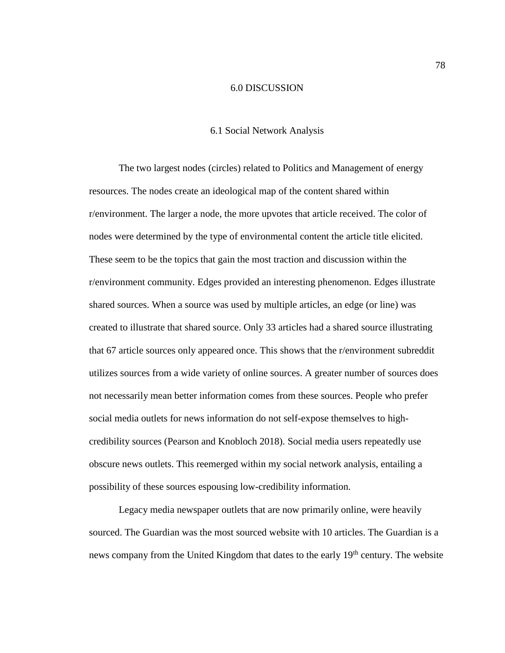#### 6.0 DISCUSSION

### 6.1 Social Network Analysis

The two largest nodes (circles) related to Politics and Management of energy resources. The nodes create an ideological map of the content shared within r/environment. The larger a node, the more upvotes that article received. The color of nodes were determined by the type of environmental content the article title elicited. These seem to be the topics that gain the most traction and discussion within the r/environment community. Edges provided an interesting phenomenon. Edges illustrate shared sources. When a source was used by multiple articles, an edge (or line) was created to illustrate that shared source. Only 33 articles had a shared source illustrating that 67 article sources only appeared once. This shows that the r/environment subreddit utilizes sources from a wide variety of online sources. A greater number of sources does not necessarily mean better information comes from these sources. People who prefer social media outlets for news information do not self-expose themselves to highcredibility sources (Pearson and Knobloch 2018). Social media users repeatedly use obscure news outlets. This reemerged within my social network analysis, entailing a possibility of these sources espousing low-credibility information.

Legacy media newspaper outlets that are now primarily online, were heavily sourced. The Guardian was the most sourced website with 10 articles. The Guardian is a news company from the United Kingdom that dates to the early 19<sup>th</sup> century. The website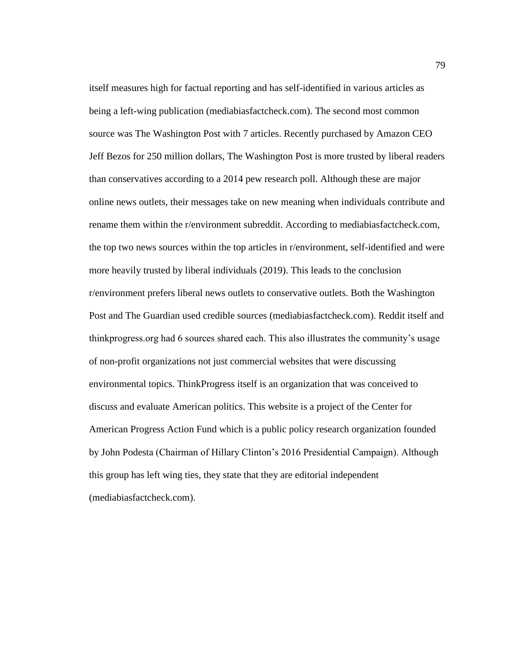itself measures high for factual reporting and has self-identified in various articles as being a left-wing publication (mediabiasfactcheck.com). The second most common source was The Washington Post with 7 articles. Recently purchased by Amazon CEO Jeff Bezos for 250 million dollars, The Washington Post is more trusted by liberal readers than conservatives according to a 2014 pew research poll. Although these are major online news outlets, their messages take on new meaning when individuals contribute and rename them within the r/environment subreddit. According to mediabiasfactcheck.com, the top two news sources within the top articles in r/environment, self-identified and were more heavily trusted by liberal individuals (2019). This leads to the conclusion r/environment prefers liberal news outlets to conservative outlets. Both the Washington Post and The Guardian used credible sources (mediabiasfactcheck.com). Reddit itself and thinkprogress.org had 6 sources shared each. This also illustrates the community's usage of non-profit organizations not just commercial websites that were discussing environmental topics. ThinkProgress itself is an organization that was conceived to discuss and evaluate American politics. This website is a project of the Center for American Progress Action Fund which is a public policy research organization founded by John Podesta (Chairman of Hillary Clinton's 2016 Presidential Campaign). Although this group has left wing ties, they state that they are editorial independent (mediabiasfactcheck.com).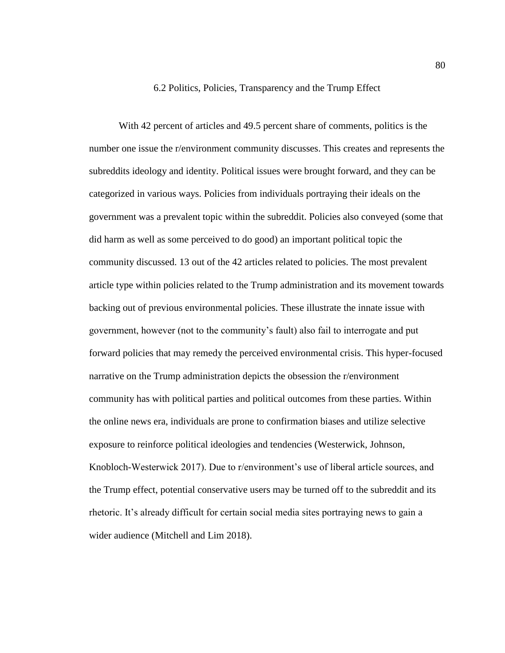#### 6.2 Politics, Policies, Transparency and the Trump Effect

With 42 percent of articles and 49.5 percent share of comments, politics is the number one issue the r/environment community discusses. This creates and represents the subreddits ideology and identity. Political issues were brought forward, and they can be categorized in various ways. Policies from individuals portraying their ideals on the government was a prevalent topic within the subreddit. Policies also conveyed (some that did harm as well as some perceived to do good) an important political topic the community discussed. 13 out of the 42 articles related to policies. The most prevalent article type within policies related to the Trump administration and its movement towards backing out of previous environmental policies. These illustrate the innate issue with government, however (not to the community's fault) also fail to interrogate and put forward policies that may remedy the perceived environmental crisis. This hyper-focused narrative on the Trump administration depicts the obsession the r/environment community has with political parties and political outcomes from these parties. Within the online news era, individuals are prone to confirmation biases and utilize selective exposure to reinforce political ideologies and tendencies (Westerwick, Johnson, Knobloch-Westerwick 2017). Due to r/environment's use of liberal article sources, and the Trump effect, potential conservative users may be turned off to the subreddit and its rhetoric. It's already difficult for certain social media sites portraying news to gain a wider audience (Mitchell and Lim 2018).

80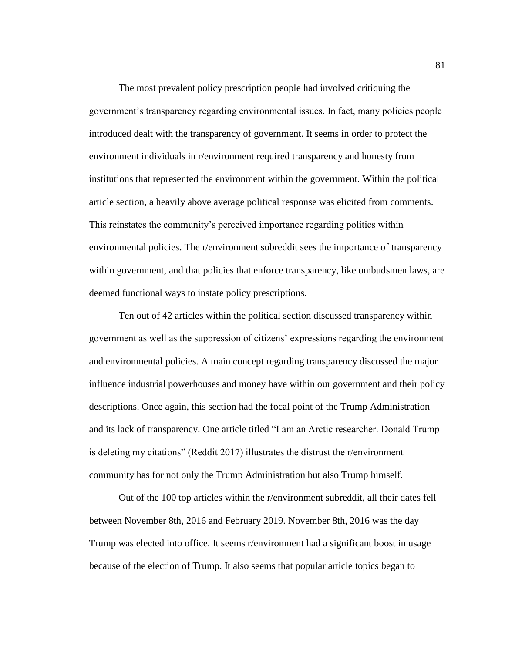The most prevalent policy prescription people had involved critiquing the government's transparency regarding environmental issues. In fact, many policies people introduced dealt with the transparency of government. It seems in order to protect the environment individuals in r/environment required transparency and honesty from institutions that represented the environment within the government. Within the political article section, a heavily above average political response was elicited from comments. This reinstates the community's perceived importance regarding politics within environmental policies. The r/environment subreddit sees the importance of transparency within government, and that policies that enforce transparency, like ombudsmen laws, are deemed functional ways to instate policy prescriptions.

Ten out of 42 articles within the political section discussed transparency within government as well as the suppression of citizens' expressions regarding the environment and environmental policies. A main concept regarding transparency discussed the major influence industrial powerhouses and money have within our government and their policy descriptions. Once again, this section had the focal point of the Trump Administration and its lack of transparency. One article titled "I am an Arctic researcher. Donald Trump is deleting my citations" (Reddit 2017) illustrates the distrust the r/environment community has for not only the Trump Administration but also Trump himself.

Out of the 100 top articles within the r/environment subreddit, all their dates fell between November 8th, 2016 and February 2019. November 8th, 2016 was the day Trump was elected into office. It seems r/environment had a significant boost in usage because of the election of Trump. It also seems that popular article topics began to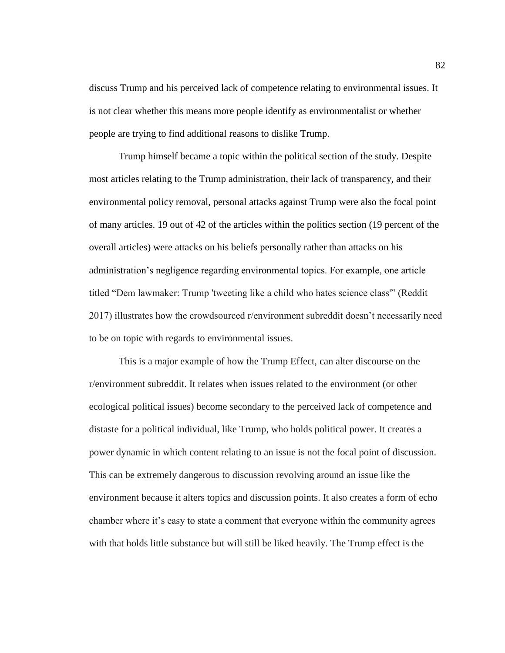discuss Trump and his perceived lack of competence relating to environmental issues. It is not clear whether this means more people identify as environmentalist or whether people are trying to find additional reasons to dislike Trump.

Trump himself became a topic within the political section of the study. Despite most articles relating to the Trump administration, their lack of transparency, and their environmental policy removal, personal attacks against Trump were also the focal point of many articles. 19 out of 42 of the articles within the politics section (19 percent of the overall articles) were attacks on his beliefs personally rather than attacks on his administration's negligence regarding environmental topics. For example, one article titled "Dem lawmaker: Trump 'tweeting like a child who hates science class'" (Reddit 2017) illustrates how the crowdsourced r/environment subreddit doesn't necessarily need to be on topic with regards to environmental issues.

This is a major example of how the Trump Effect, can alter discourse on the r/environment subreddit. It relates when issues related to the environment (or other ecological political issues) become secondary to the perceived lack of competence and distaste for a political individual, like Trump, who holds political power. It creates a power dynamic in which content relating to an issue is not the focal point of discussion. This can be extremely dangerous to discussion revolving around an issue like the environment because it alters topics and discussion points. It also creates a form of echo chamber where it's easy to state a comment that everyone within the community agrees with that holds little substance but will still be liked heavily. The Trump effect is the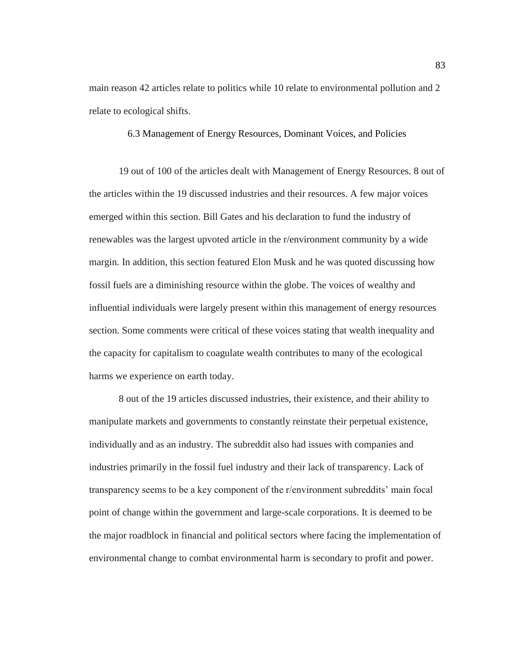main reason 42 articles relate to politics while 10 relate to environmental pollution and 2 relate to ecological shifts.

## 6.3 Management of Energy Resources, Dominant Voices, and Policies

19 out of 100 of the articles dealt with Management of Energy Resources. 8 out of the articles within the 19 discussed industries and their resources. A few major voices emerged within this section. Bill Gates and his declaration to fund the industry of renewables was the largest upvoted article in the r/environment community by a wide margin. In addition, this section featured Elon Musk and he was quoted discussing how fossil fuels are a diminishing resource within the globe. The voices of wealthy and influential individuals were largely present within this management of energy resources section. Some comments were critical of these voices stating that wealth inequality and the capacity for capitalism to coagulate wealth contributes to many of the ecological harms we experience on earth today.

8 out of the 19 articles discussed industries, their existence, and their ability to manipulate markets and governments to constantly reinstate their perpetual existence, individually and as an industry. The subreddit also had issues with companies and industries primarily in the fossil fuel industry and their lack of transparency. Lack of transparency seems to be a key component of the r/environment subreddits' main focal point of change within the government and large-scale corporations. It is deemed to be the major roadblock in financial and political sectors where facing the implementation of environmental change to combat environmental harm is secondary to profit and power.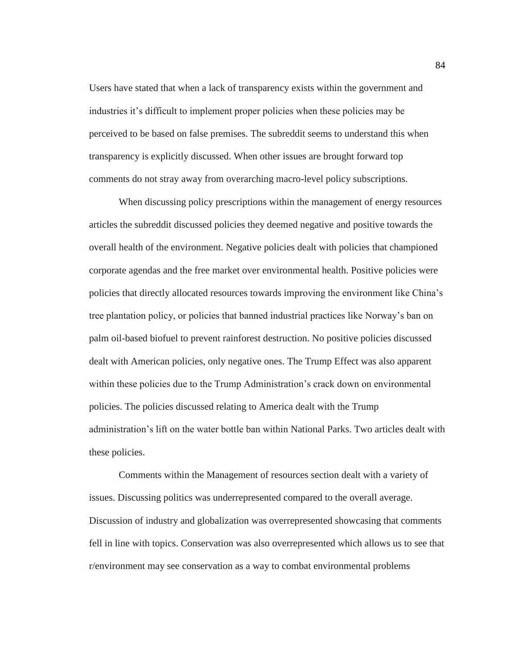Users have stated that when a lack of transparency exists within the government and industries it's difficult to implement proper policies when these policies may be perceived to be based on false premises. The subreddit seems to understand this when transparency is explicitly discussed. When other issues are brought forward top comments do not stray away from overarching macro-level policy subscriptions.

When discussing policy prescriptions within the management of energy resources articles the subreddit discussed policies they deemed negative and positive towards the overall health of the environment. Negative policies dealt with policies that championed corporate agendas and the free market over environmental health. Positive policies were policies that directly allocated resources towards improving the environment like China's tree plantation policy, or policies that banned industrial practices like Norway's ban on palm oil-based biofuel to prevent rainforest destruction. No positive policies discussed dealt with American policies, only negative ones. The Trump Effect was also apparent within these policies due to the Trump Administration's crack down on environmental policies. The policies discussed relating to America dealt with the Trump administration's lift on the water bottle ban within National Parks. Two articles dealt with these policies.

Comments within the Management of resources section dealt with a variety of issues. Discussing politics was underrepresented compared to the overall average. Discussion of industry and globalization was overrepresented showcasing that comments fell in line with topics. Conservation was also overrepresented which allows us to see that r/environment may see conservation as a way to combat environmental problems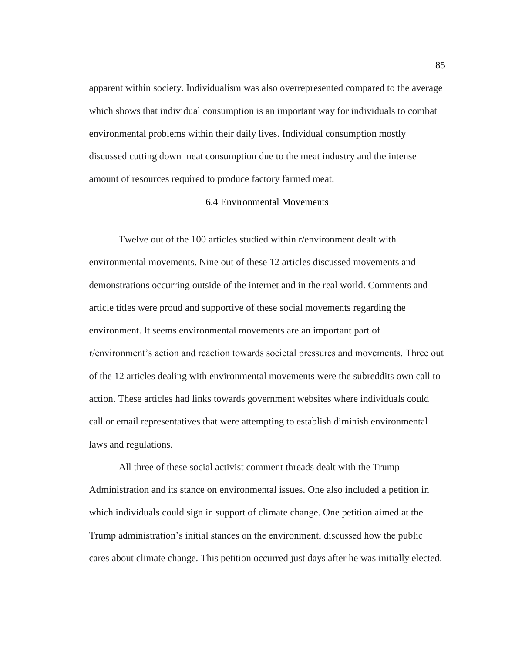apparent within society. Individualism was also overrepresented compared to the average which shows that individual consumption is an important way for individuals to combat environmental problems within their daily lives. Individual consumption mostly discussed cutting down meat consumption due to the meat industry and the intense amount of resources required to produce factory farmed meat.

#### 6.4 Environmental Movements

Twelve out of the 100 articles studied within r/environment dealt with environmental movements. Nine out of these 12 articles discussed movements and demonstrations occurring outside of the internet and in the real world. Comments and article titles were proud and supportive of these social movements regarding the environment. It seems environmental movements are an important part of r/environment's action and reaction towards societal pressures and movements. Three out of the 12 articles dealing with environmental movements were the subreddits own call to action. These articles had links towards government websites where individuals could call or email representatives that were attempting to establish diminish environmental laws and regulations.

All three of these social activist comment threads dealt with the Trump Administration and its stance on environmental issues. One also included a petition in which individuals could sign in support of climate change. One petition aimed at the Trump administration's initial stances on the environment, discussed how the public cares about climate change. This petition occurred just days after he was initially elected.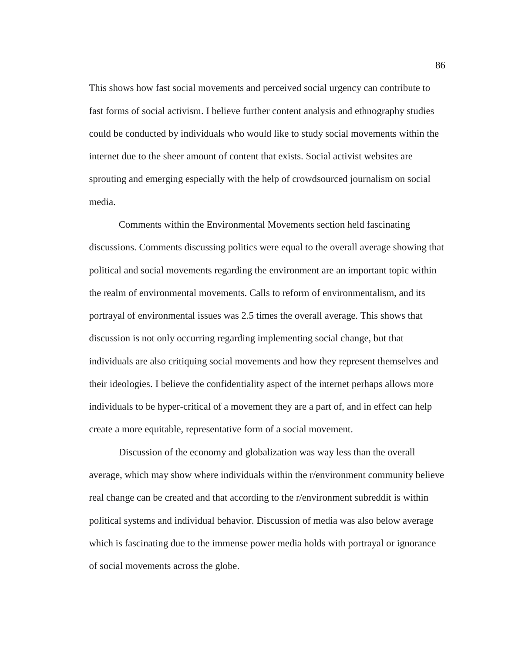This shows how fast social movements and perceived social urgency can contribute to fast forms of social activism. I believe further content analysis and ethnography studies could be conducted by individuals who would like to study social movements within the internet due to the sheer amount of content that exists. Social activist websites are sprouting and emerging especially with the help of crowdsourced journalism on social media.

Comments within the Environmental Movements section held fascinating discussions. Comments discussing politics were equal to the overall average showing that political and social movements regarding the environment are an important topic within the realm of environmental movements. Calls to reform of environmentalism, and its portrayal of environmental issues was 2.5 times the overall average. This shows that discussion is not only occurring regarding implementing social change, but that individuals are also critiquing social movements and how they represent themselves and their ideologies. I believe the confidentiality aspect of the internet perhaps allows more individuals to be hyper-critical of a movement they are a part of, and in effect can help create a more equitable, representative form of a social movement.

Discussion of the economy and globalization was way less than the overall average, which may show where individuals within the r/environment community believe real change can be created and that according to the r/environment subreddit is within political systems and individual behavior. Discussion of media was also below average which is fascinating due to the immense power media holds with portrayal or ignorance of social movements across the globe.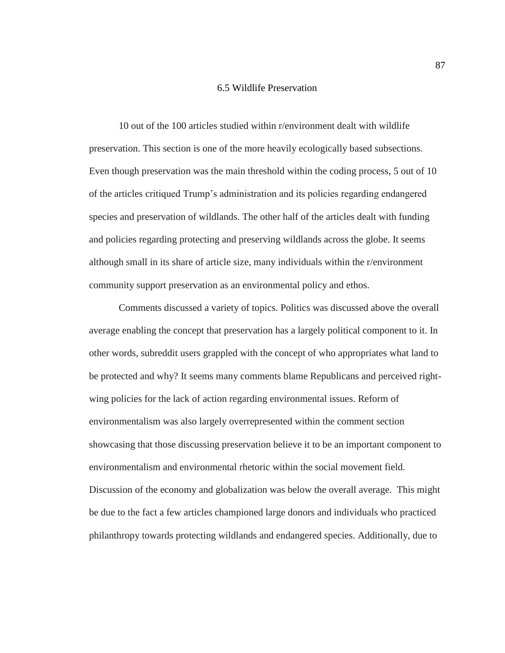## 6.5 Wildlife Preservation

10 out of the 100 articles studied within r/environment dealt with wildlife preservation. This section is one of the more heavily ecologically based subsections. Even though preservation was the main threshold within the coding process, 5 out of 10 of the articles critiqued Trump's administration and its policies regarding endangered species and preservation of wildlands. The other half of the articles dealt with funding and policies regarding protecting and preserving wildlands across the globe. It seems although small in its share of article size, many individuals within the r/environment community support preservation as an environmental policy and ethos.

Comments discussed a variety of topics. Politics was discussed above the overall average enabling the concept that preservation has a largely political component to it. In other words, subreddit users grappled with the concept of who appropriates what land to be protected and why? It seems many comments blame Republicans and perceived rightwing policies for the lack of action regarding environmental issues. Reform of environmentalism was also largely overrepresented within the comment section showcasing that those discussing preservation believe it to be an important component to environmentalism and environmental rhetoric within the social movement field. Discussion of the economy and globalization was below the overall average. This might be due to the fact a few articles championed large donors and individuals who practiced philanthropy towards protecting wildlands and endangered species. Additionally, due to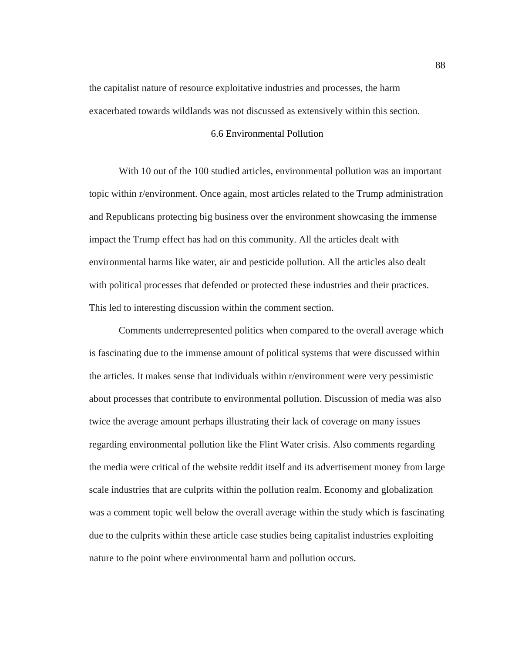the capitalist nature of resource exploitative industries and processes, the harm exacerbated towards wildlands was not discussed as extensively within this section.

### 6.6 Environmental Pollution

With 10 out of the 100 studied articles, environmental pollution was an important topic within r/environment. Once again, most articles related to the Trump administration and Republicans protecting big business over the environment showcasing the immense impact the Trump effect has had on this community. All the articles dealt with environmental harms like water, air and pesticide pollution. All the articles also dealt with political processes that defended or protected these industries and their practices. This led to interesting discussion within the comment section.

Comments underrepresented politics when compared to the overall average which is fascinating due to the immense amount of political systems that were discussed within the articles. It makes sense that individuals within r/environment were very pessimistic about processes that contribute to environmental pollution. Discussion of media was also twice the average amount perhaps illustrating their lack of coverage on many issues regarding environmental pollution like the Flint Water crisis. Also comments regarding the media were critical of the website reddit itself and its advertisement money from large scale industries that are culprits within the pollution realm. Economy and globalization was a comment topic well below the overall average within the study which is fascinating due to the culprits within these article case studies being capitalist industries exploiting nature to the point where environmental harm and pollution occurs.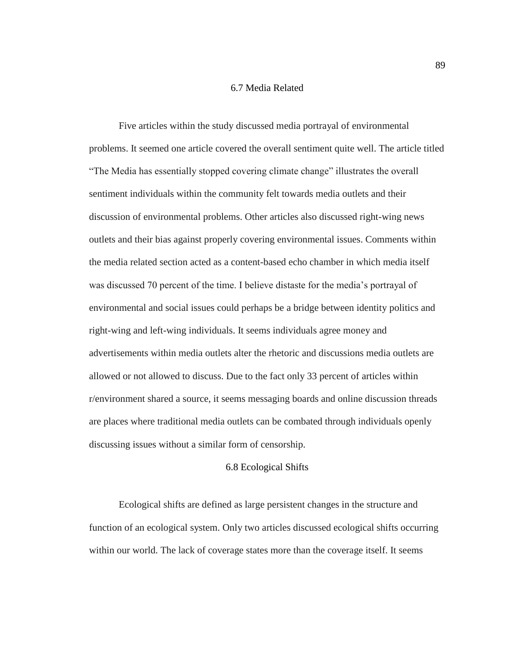## 6.7 Media Related

Five articles within the study discussed media portrayal of environmental problems. It seemed one article covered the overall sentiment quite well. The article titled "The Media has essentially stopped covering climate change" illustrates the overall sentiment individuals within the community felt towards media outlets and their discussion of environmental problems. Other articles also discussed right-wing news outlets and their bias against properly covering environmental issues. Comments within the media related section acted as a content-based echo chamber in which media itself was discussed 70 percent of the time. I believe distaste for the media's portrayal of environmental and social issues could perhaps be a bridge between identity politics and right-wing and left-wing individuals. It seems individuals agree money and advertisements within media outlets alter the rhetoric and discussions media outlets are allowed or not allowed to discuss. Due to the fact only 33 percent of articles within r/environment shared a source, it seems messaging boards and online discussion threads are places where traditional media outlets can be combated through individuals openly discussing issues without a similar form of censorship.

## 6.8 Ecological Shifts

Ecological shifts are defined as large persistent changes in the structure and function of an ecological system. Only two articles discussed ecological shifts occurring within our world. The lack of coverage states more than the coverage itself. It seems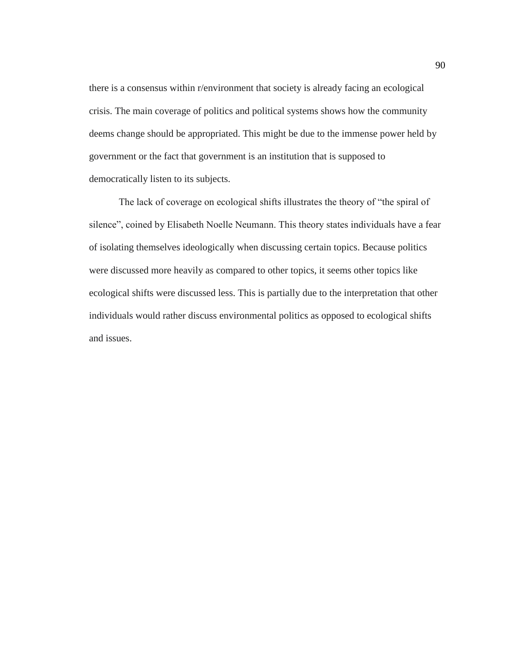there is a consensus within r/environment that society is already facing an ecological crisis. The main coverage of politics and political systems shows how the community deems change should be appropriated. This might be due to the immense power held by government or the fact that government is an institution that is supposed to democratically listen to its subjects.

The lack of coverage on ecological shifts illustrates the theory of "the spiral of silence", coined by Elisabeth Noelle Neumann. This theory states individuals have a fear of isolating themselves ideologically when discussing certain topics. Because politics were discussed more heavily as compared to other topics, it seems other topics like ecological shifts were discussed less. This is partially due to the interpretation that other individuals would rather discuss environmental politics as opposed to ecological shifts and issues.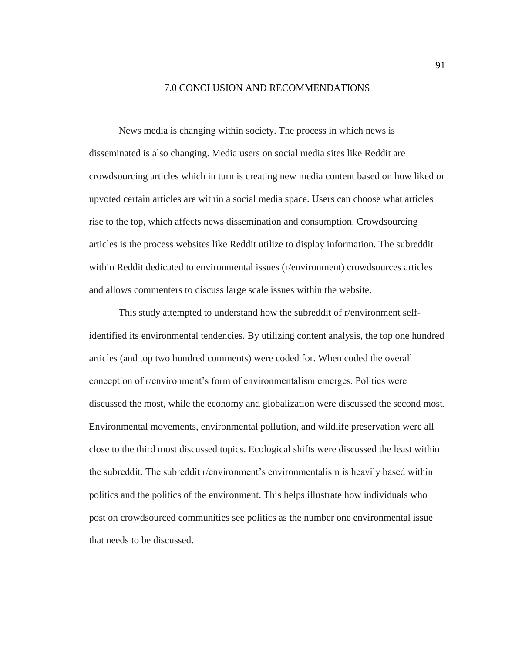## 7.0 CONCLUSION AND RECOMMENDATIONS

News media is changing within society. The process in which news is disseminated is also changing. Media users on social media sites like Reddit are crowdsourcing articles which in turn is creating new media content based on how liked or upvoted certain articles are within a social media space. Users can choose what articles rise to the top, which affects news dissemination and consumption. Crowdsourcing articles is the process websites like Reddit utilize to display information. The subreddit within Reddit dedicated to environmental issues (r/environment) crowdsources articles and allows commenters to discuss large scale issues within the website.

This study attempted to understand how the subreddit of r/environment selfidentified its environmental tendencies. By utilizing content analysis, the top one hundred articles (and top two hundred comments) were coded for. When coded the overall conception of r/environment's form of environmentalism emerges. Politics were discussed the most, while the economy and globalization were discussed the second most. Environmental movements, environmental pollution, and wildlife preservation were all close to the third most discussed topics. Ecological shifts were discussed the least within the subreddit. The subreddit r/environment's environmentalism is heavily based within politics and the politics of the environment. This helps illustrate how individuals who post on crowdsourced communities see politics as the number one environmental issue that needs to be discussed.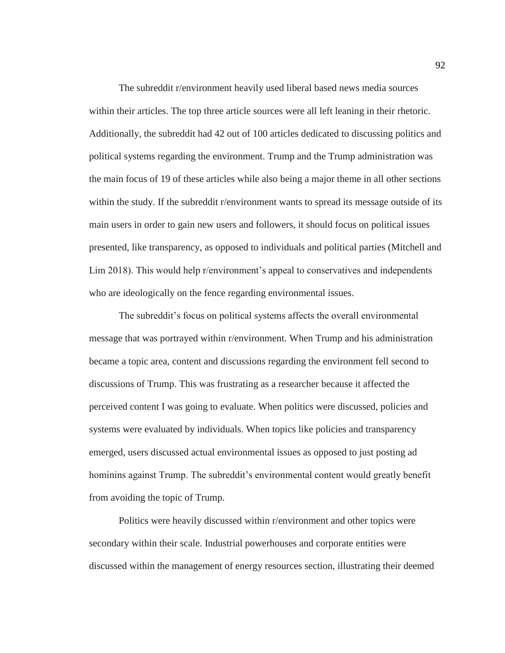The subreddit r/environment heavily used liberal based news media sources within their articles. The top three article sources were all left leaning in their rhetoric. Additionally, the subreddit had 42 out of 100 articles dedicated to discussing politics and political systems regarding the environment. Trump and the Trump administration was the main focus of 19 of these articles while also being a major theme in all other sections within the study. If the subreddit r/environment wants to spread its message outside of its main users in order to gain new users and followers, it should focus on political issues presented, like transparency, as opposed to individuals and political parties (Mitchell and Lim 2018). This would help r/environment's appeal to conservatives and independents who are ideologically on the fence regarding environmental issues.

The subreddit's focus on political systems affects the overall environmental message that was portrayed within r/environment. When Trump and his administration became a topic area, content and discussions regarding the environment fell second to discussions of Trump. This was frustrating as a researcher because it affected the perceived content I was going to evaluate. When politics were discussed, policies and systems were evaluated by individuals. When topics like policies and transparency emerged, users discussed actual environmental issues as opposed to just posting ad hominins against Trump. The subreddit's environmental content would greatly benefit from avoiding the topic of Trump.

Politics were heavily discussed within r/environment and other topics were secondary within their scale. Industrial powerhouses and corporate entities were discussed within the management of energy resources section, illustrating their deemed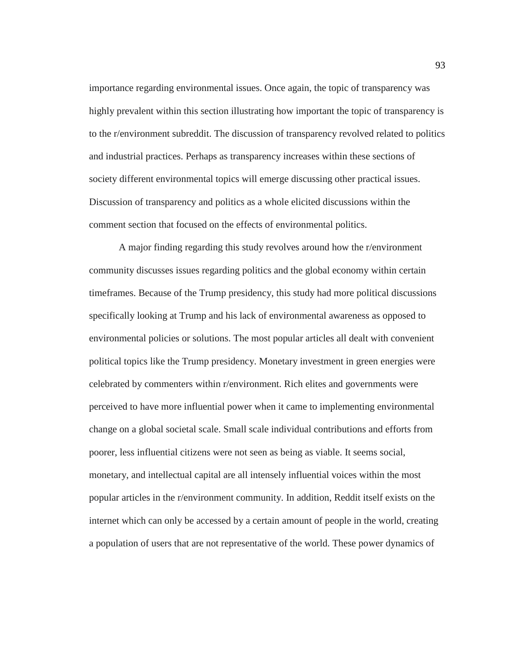importance regarding environmental issues. Once again, the topic of transparency was highly prevalent within this section illustrating how important the topic of transparency is to the r/environment subreddit. The discussion of transparency revolved related to politics and industrial practices. Perhaps as transparency increases within these sections of society different environmental topics will emerge discussing other practical issues. Discussion of transparency and politics as a whole elicited discussions within the comment section that focused on the effects of environmental politics.

A major finding regarding this study revolves around how the r/environment community discusses issues regarding politics and the global economy within certain timeframes. Because of the Trump presidency, this study had more political discussions specifically looking at Trump and his lack of environmental awareness as opposed to environmental policies or solutions. The most popular articles all dealt with convenient political topics like the Trump presidency. Monetary investment in green energies were celebrated by commenters within r/environment. Rich elites and governments were perceived to have more influential power when it came to implementing environmental change on a global societal scale. Small scale individual contributions and efforts from poorer, less influential citizens were not seen as being as viable. It seems social, monetary, and intellectual capital are all intensely influential voices within the most popular articles in the r/environment community. In addition, Reddit itself exists on the internet which can only be accessed by a certain amount of people in the world, creating a population of users that are not representative of the world. These power dynamics of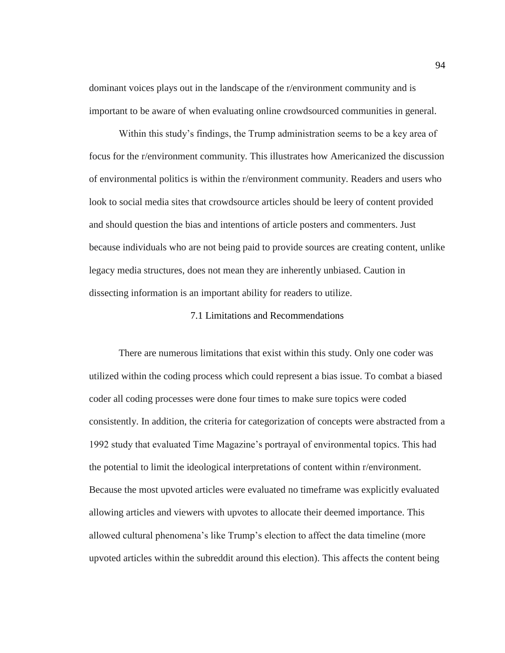dominant voices plays out in the landscape of the r/environment community and is important to be aware of when evaluating online crowdsourced communities in general.

Within this study's findings, the Trump administration seems to be a key area of focus for the r/environment community. This illustrates how Americanized the discussion of environmental politics is within the r/environment community. Readers and users who look to social media sites that crowdsource articles should be leery of content provided and should question the bias and intentions of article posters and commenters. Just because individuals who are not being paid to provide sources are creating content, unlike legacy media structures, does not mean they are inherently unbiased. Caution in dissecting information is an important ability for readers to utilize.

#### 7.1 Limitations and Recommendations

There are numerous limitations that exist within this study. Only one coder was utilized within the coding process which could represent a bias issue. To combat a biased coder all coding processes were done four times to make sure topics were coded consistently. In addition, the criteria for categorization of concepts were abstracted from a 1992 study that evaluated Time Magazine's portrayal of environmental topics. This had the potential to limit the ideological interpretations of content within r/environment. Because the most upvoted articles were evaluated no timeframe was explicitly evaluated allowing articles and viewers with upvotes to allocate their deemed importance. This allowed cultural phenomena's like Trump's election to affect the data timeline (more upvoted articles within the subreddit around this election). This affects the content being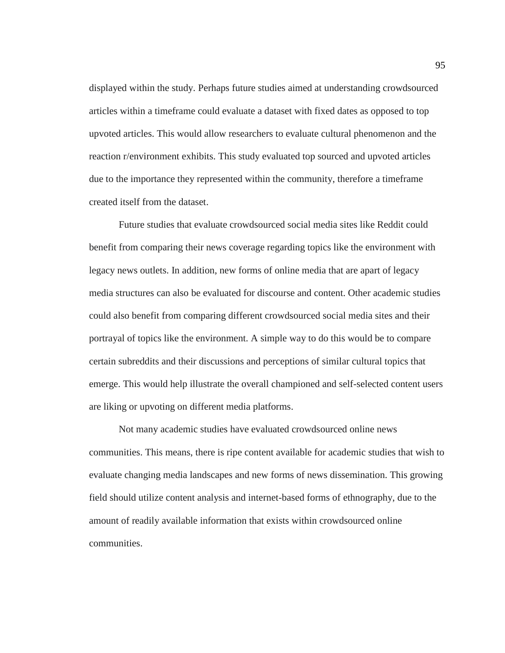displayed within the study. Perhaps future studies aimed at understanding crowdsourced articles within a timeframe could evaluate a dataset with fixed dates as opposed to top upvoted articles. This would allow researchers to evaluate cultural phenomenon and the reaction r/environment exhibits. This study evaluated top sourced and upvoted articles due to the importance they represented within the community, therefore a timeframe created itself from the dataset.

Future studies that evaluate crowdsourced social media sites like Reddit could benefit from comparing their news coverage regarding topics like the environment with legacy news outlets. In addition, new forms of online media that are apart of legacy media structures can also be evaluated for discourse and content. Other academic studies could also benefit from comparing different crowdsourced social media sites and their portrayal of topics like the environment. A simple way to do this would be to compare certain subreddits and their discussions and perceptions of similar cultural topics that emerge. This would help illustrate the overall championed and self-selected content users are liking or upvoting on different media platforms.

Not many academic studies have evaluated crowdsourced online news communities. This means, there is ripe content available for academic studies that wish to evaluate changing media landscapes and new forms of news dissemination. This growing field should utilize content analysis and internet-based forms of ethnography, due to the amount of readily available information that exists within crowdsourced online communities.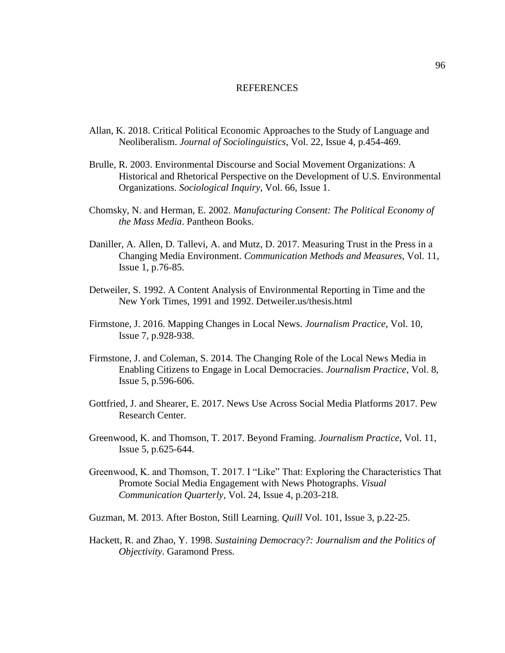#### REFERENCES

- Allan, K. 2018. Critical Political Economic Approaches to the Study of Language and Neoliberalism. *Journal of Sociolinguistics*, Vol. 22, Issue 4, p.454-469.
- Brulle, R. 2003. Environmental Discourse and Social Movement Organizations: A Historical and Rhetorical Perspective on the Development of U.S. Environmental Organizations. *Sociological Inquiry*, Vol. 66, Issue 1.
- Chomsky, N. and Herman, E. 2002. *Manufacturing Consent: The Political Economy of the Mass Media*. Pantheon Books.
- Daniller, A. Allen, D. Tallevi, A. and Mutz, D. 2017. Measuring Trust in the Press in a Changing Media Environment. *Communication Methods and Measures*, Vol. 11, Issue 1, p.76-85.
- Detweiler, S. 1992. A Content Analysis of Environmental Reporting in Time and the New York Times, 1991 and 1992. Detweiler.us/thesis.html
- Firmstone, J. 2016. Mapping Changes in Local News. *Journalism Practice*, Vol. 10, Issue 7, p.928-938.
- Firmstone, J. and Coleman, S. 2014. The Changing Role of the Local News Media in Enabling Citizens to Engage in Local Democracies. *Journalism Practice*, Vol. 8, Issue 5, p.596-606.
- Gottfried, J. and Shearer, E. 2017. News Use Across Social Media Platforms 2017. Pew Research Center.
- Greenwood, K. and Thomson, T. 2017. Beyond Framing. *Journalism Practice*, Vol. 11, Issue 5, p.625-644.
- Greenwood, K. and Thomson, T. 2017. I "Like" That: Exploring the Characteristics That Promote Social Media Engagement with News Photographs. *Visual Communication Quarterly*, Vol. 24, Issue 4, p.203-218.
- Guzman, M. 2013. After Boston, Still Learning. *Quill* Vol. 101, Issue 3, p.22-25.
- Hackett, R. and Zhao, Y. 1998. *Sustaining Democracy?: Journalism and the Politics of Objectivity*. Garamond Press.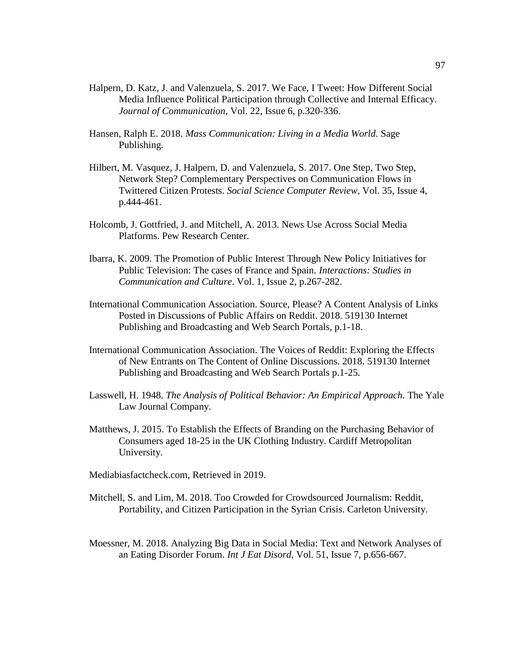- Halpern, D. Katz, J. and Valenzuela, S. 2017. We Face, I Tweet: How Different Social Media Influence Political Participation through Collective and Internal Efficacy. *Journal of Communication*, Vol. 22, Issue 6, p.320-336.
- Hansen, Ralph E. 2018. *Mass Communication: Living in a Media World*. Sage Publishing.
- Hilbert, M. Vasquez, J. Halpern, D. and Valenzuela, S. 2017. One Step, Two Step, Network Step? Complementary Perspectives on Communication Flows in Twittered Citizen Protests. *Social Science Computer Review*, Vol. 35, Issue 4, p.444-461.
- Holcomb, J. Gottfried, J. and Mitchell, A. 2013. News Use Across Social Media Platforms. Pew Research Center.
- Ibarra, K. 2009. The Promotion of Public Interest Through New Policy Initiatives for Public Television: The cases of France and Spain. *Interactions: Studies in Communication and Culture*. Vol. 1, Issue 2, p.267-282.
- International Communication Association. Source, Please? A Content Analysis of Links Posted in Discussions of Public Affairs on Reddit. 2018. 519130 Internet Publishing and Broadcasting and Web Search Portals, p.1-18.
- International Communication Association. The Voices of Reddit: Exploring the Effects of New Entrants on The Content of Online Discussions. 2018. 519130 Internet Publishing and Broadcasting and Web Search Portals p.1-25.
- Lasswell, H. 1948. *The Analysis of Political Behavior: An Empirical Approach*. The Yale Law Journal Company.
- Matthews, J. 2015. To Establish the Effects of Branding on the Purchasing Behavior of Consumers aged 18-25 in the UK Clothing Industry. Cardiff Metropolitan University.
- Mediabiasfactcheck.com, Retrieved in 2019.
- Mitchell, S. and Lim, M. 2018. Too Crowded for Crowdsourced Journalism: Reddit, Portability, and Citizen Participation in the Syrian Crisis. Carleton University.
- Moessner, M. 2018. Analyzing Big Data in Social Media: Text and Network Analyses of an Eating Disorder Forum. *Int J Eat Disord*, Vol. 51, Issue 7, p.656-667.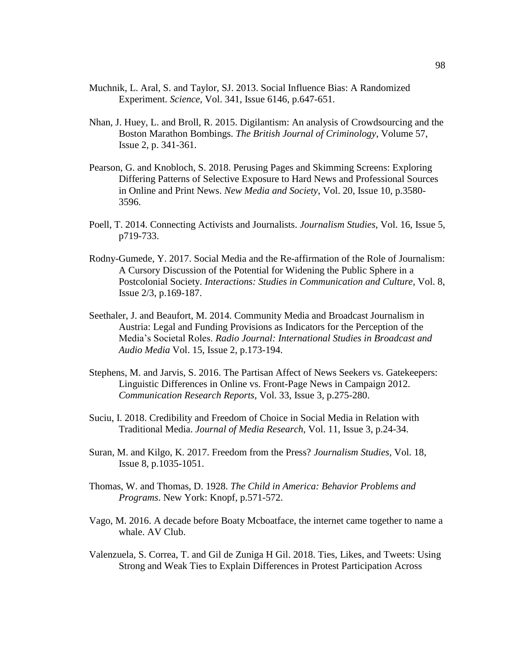- Muchnik, L. Aral, S. and Taylor, SJ. 2013. Social Influence Bias: A Randomized Experiment. *Science*, Vol. 341, Issue 6146, p.647-651.
- Nhan, J. Huey, L. and Broll, R. 2015. Digilantism: An analysis of Crowdsourcing and the Boston Marathon Bombings. *The British Journal of Criminology*, Volume 57, Issue 2, p. 341-361.
- Pearson, G. and Knobloch, S. 2018. Perusing Pages and Skimming Screens: Exploring Differing Patterns of Selective Exposure to Hard News and Professional Sources in Online and Print News. *New Media and Society*, Vol. 20, Issue 10, p.3580- 3596.
- Poell, T. 2014. Connecting Activists and Journalists. *Journalism Studies*, Vol. 16, Issue 5, p719-733.
- Rodny-Gumede, Y. 2017. Social Media and the Re-affirmation of the Role of Journalism: A Cursory Discussion of the Potential for Widening the Public Sphere in a Postcolonial Society. *Interactions: Studies in Communication and Culture*, Vol. 8, Issue 2/3, p.169-187.
- Seethaler, J. and Beaufort, M. 2014. Community Media and Broadcast Journalism in Austria: Legal and Funding Provisions as Indicators for the Perception of the Media's Societal Roles. *Radio Journal: International Studies in Broadcast and Audio Media* Vol. 15, Issue 2, p.173-194.
- Stephens, M. and Jarvis, S. 2016. The Partisan Affect of News Seekers vs. Gatekeepers: Linguistic Differences in Online vs. Front-Page News in Campaign 2012. *Communication Research Reports*, Vol. 33, Issue 3, p.275-280.
- Suciu, I. 2018. Credibility and Freedom of Choice in Social Media in Relation with Traditional Media. *Journal of Media Research*, Vol. 11, Issue 3, p.24-34.
- Suran, M. and Kilgo, K. 2017. Freedom from the Press? *Journalism Studies*, Vol. 18, Issue 8, p.1035-1051.
- Thomas, W. and Thomas, D. 1928. *The Child in America: Behavior Problems and Programs*. New York: Knopf, p.571-572.
- Vago, M. 2016. A decade before Boaty Mcboatface, the internet came together to name a whale. AV Club.
- Valenzuela, S. Correa, T. and Gil de Zuniga H Gil. 2018. Ties, Likes, and Tweets: Using Strong and Weak Ties to Explain Differences in Protest Participation Across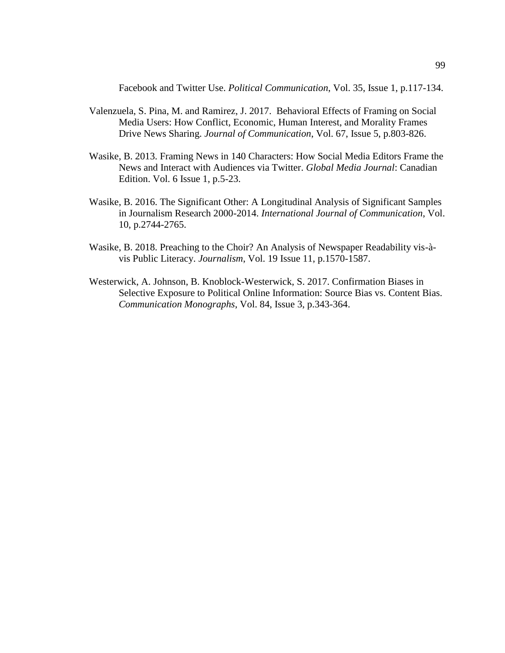Facebook and Twitter Use. *Political Communication*, Vol. 35, Issue 1, p.117-134.

- Valenzuela, S. Pina, M. and Ramirez, J. 2017. Behavioral Effects of Framing on Social Media Users: How Conflict, Economic, Human Interest, and Morality Frames Drive News Sharing. *Journal of Communication*, Vol. 67, Issue 5, p.803-826.
- Wasike, B. 2013. Framing News in 140 Characters: How Social Media Editors Frame the News and Interact with Audiences via Twitter. *Global Media Journal*: Canadian Edition. Vol. 6 Issue 1, p.5-23.
- Wasike, B. 2016. The Significant Other: A Longitudinal Analysis of Significant Samples in Journalism Research 2000-2014. *International Journal of Communication*, Vol. 10, p.2744-2765.
- Wasike, B. 2018. Preaching to the Choir? An Analysis of Newspaper Readability vis-àvis Public Literacy. *Journalism*, Vol. 19 Issue 11, p.1570-1587.
- Westerwick, A. Johnson, B. Knoblock-Westerwick, S. 2017. Confirmation Biases in Selective Exposure to Political Online Information: Source Bias vs. Content Bias. *Communication Monographs*, Vol. 84, Issue 3, p.343-364.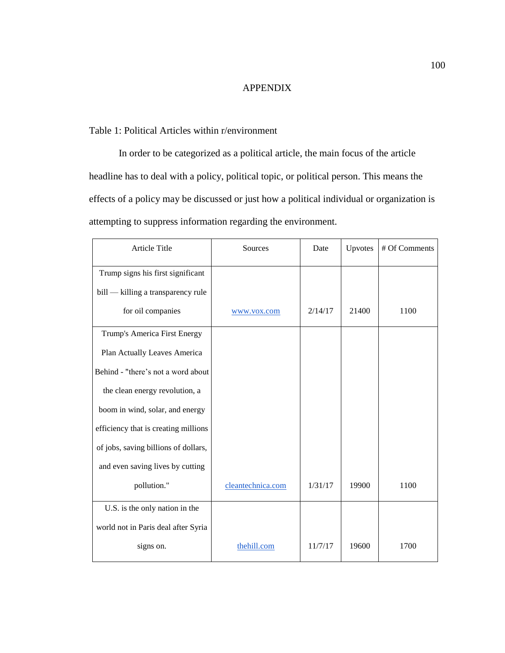## APPENDIX

## Table 1: Political Articles within r/environment

In order to be categorized as a political article, the main focus of the article headline has to deal with a policy, political topic, or political person. This means the effects of a policy may be discussed or just how a political individual or organization is attempting to suppress information regarding the environment.

| Article Title                        | Sources           | Date    | Upvotes | # Of Comments |
|--------------------------------------|-------------------|---------|---------|---------------|
| Trump signs his first significant    |                   |         |         |               |
| bill — killing a transparency rule   |                   |         |         |               |
| for oil companies                    | www.vox.com       | 2/14/17 | 21400   | 1100          |
| Trump's America First Energy         |                   |         |         |               |
| Plan Actually Leaves America         |                   |         |         |               |
| Behind - "there's not a word about   |                   |         |         |               |
| the clean energy revolution, a       |                   |         |         |               |
| boom in wind, solar, and energy      |                   |         |         |               |
| efficiency that is creating millions |                   |         |         |               |
| of jobs, saving billions of dollars, |                   |         |         |               |
| and even saving lives by cutting     |                   |         |         |               |
| pollution."                          | cleantechnica.com | 1/31/17 | 19900   | 1100          |
| U.S. is the only nation in the       |                   |         |         |               |
| world not in Paris deal after Syria  |                   |         |         |               |
| signs on.                            | thehill.com       | 11/7/17 | 19600   | 1700          |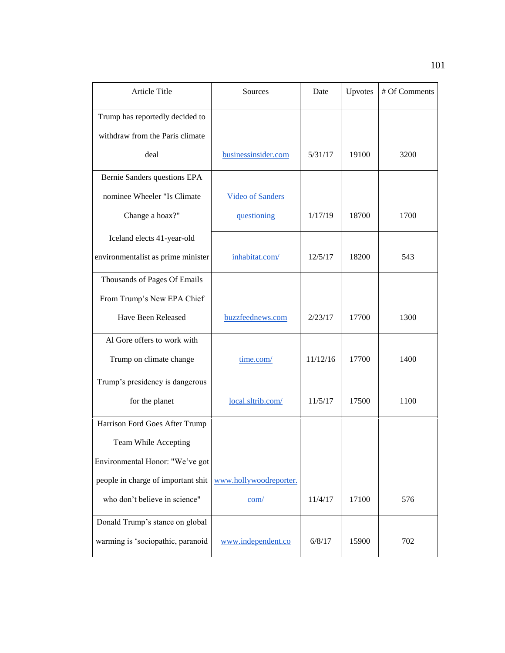| <b>Article Title</b>               | Sources                 | Date     | Upvotes | # Of Comments |
|------------------------------------|-------------------------|----------|---------|---------------|
| Trump has reportedly decided to    |                         |          |         |               |
| withdraw from the Paris climate    |                         |          |         |               |
| deal                               | businessinsider.com     | 5/31/17  | 19100   | 3200          |
| Bernie Sanders questions EPA       |                         |          |         |               |
| nominee Wheeler "Is Climate        | <b>Video of Sanders</b> |          |         |               |
| Change a hoax?"                    | questioning             | 1/17/19  | 18700   | 1700          |
| Iceland elects 41-year-old         |                         |          |         |               |
| environmentalist as prime minister | inhabitat.com/          | 12/5/17  | 18200   | 543           |
| Thousands of Pages Of Emails       |                         |          |         |               |
| From Trump's New EPA Chief         |                         |          |         |               |
| Have Been Released                 | buzzfeednews.com        | 2/23/17  | 17700   | 1300          |
| Al Gore offers to work with        |                         |          |         |               |
| Trump on climate change            | time.com/               | 11/12/16 | 17700   | 1400          |
| Trump's presidency is dangerous    |                         |          |         |               |
| for the planet                     | local.sltrib.com/       | 11/5/17  | 17500   | 1100          |
| Harrison Ford Goes After Trump     |                         |          |         |               |
| Team While Accepting               |                         |          |         |               |
| Environmental Honor: "We've got    |                         |          |         |               |
| people in charge of important shit | www.hollywoodreporter.  |          |         |               |
| who don't believe in science"      | com/                    | 11/4/17  | 17100   | 576           |
| Donald Trump's stance on global    |                         |          |         |               |
| warming is 'sociopathic, paranoid  | www.independent.co      | 6/8/17   | 15900   | 702           |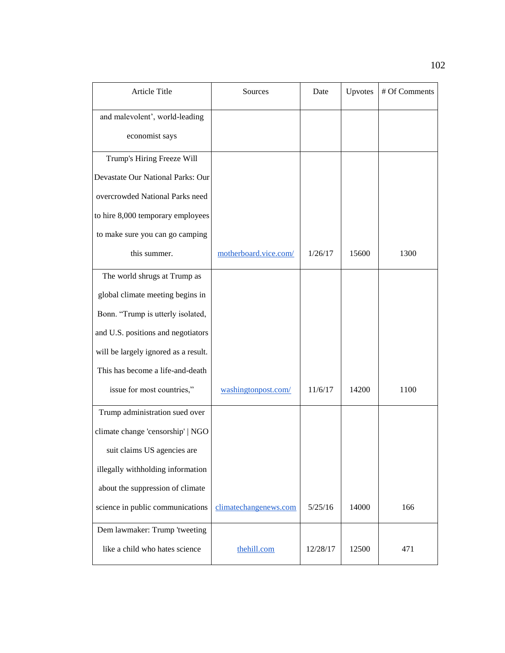| Article Title                        | Sources               | Date     | Upvotes | # Of Comments |
|--------------------------------------|-----------------------|----------|---------|---------------|
| and malevolent', world-leading       |                       |          |         |               |
| economist says                       |                       |          |         |               |
| Trump's Hiring Freeze Will           |                       |          |         |               |
| Devastate Our National Parks: Our    |                       |          |         |               |
| overcrowded National Parks need      |                       |          |         |               |
| to hire 8,000 temporary employees    |                       |          |         |               |
| to make sure you can go camping      |                       |          |         |               |
| this summer.                         | motherboard.vice.com/ | 1/26/17  | 15600   | 1300          |
| The world shrugs at Trump as         |                       |          |         |               |
| global climate meeting begins in     |                       |          |         |               |
| Bonn. "Trump is utterly isolated,    |                       |          |         |               |
| and U.S. positions and negotiators   |                       |          |         |               |
| will be largely ignored as a result. |                       |          |         |               |
| This has become a life-and-death     |                       |          |         |               |
| issue for most countries,"           | washingtonpost.com/   | 11/6/17  | 14200   | 1100          |
| Trump administration sued over       |                       |          |         |               |
| climate change 'censorship'   NGO    |                       |          |         |               |
| suit claims US agencies are          |                       |          |         |               |
| illegally withholding information    |                       |          |         |               |
| about the suppression of climate     |                       |          |         |               |
| science in public communications     | climatechangenews.com | 5/25/16  | 14000   | 166           |
| Dem lawmaker: Trump 'tweeting        |                       |          |         |               |
| like a child who hates science       | the hill.com          | 12/28/17 | 12500   | 471           |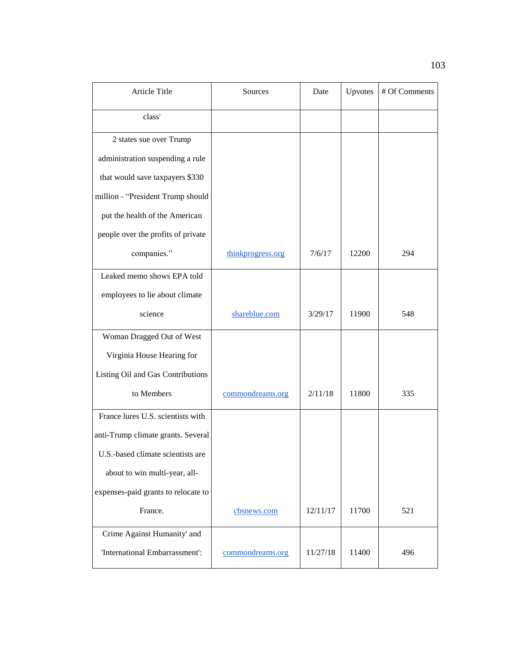| Article Title                       | Sources           | Date     | Upvotes | # Of Comments |
|-------------------------------------|-------------------|----------|---------|---------------|
| class'                              |                   |          |         |               |
| 2 states sue over Trump             |                   |          |         |               |
| administration suspending a rule    |                   |          |         |               |
| that would save taxpayers \$330     |                   |          |         |               |
| million - "President Trump should   |                   |          |         |               |
| put the health of the American      |                   |          |         |               |
| people over the profits of private  |                   |          |         |               |
| companies."                         | thinkprogress.org | 7/6/17   | 12200   | 294           |
| Leaked memo shows EPA told          |                   |          |         |               |
| employees to lie about climate      |                   |          |         |               |
| science                             | shareblue.com     | 3/29/17  | 11900   | 548           |
| Woman Dragged Out of West           |                   |          |         |               |
| Virginia House Hearing for          |                   |          |         |               |
| Listing Oil and Gas Contributions   |                   |          |         |               |
| to Members                          | commondreams.org  | 2/11/18  | 11800   | 335           |
| France lures U.S. scientists with   |                   |          |         |               |
| anti-Trump climate grants. Several  |                   |          |         |               |
| U.S.-based climate scientists are   |                   |          |         |               |
| about to win multi-year, all-       |                   |          |         |               |
| expenses-paid grants to relocate to |                   |          |         |               |
| France.                             | cbsnews.com       | 12/11/17 | 11700   | 521           |
| Crime Against Humanity' and         |                   |          |         |               |
| 'International Embarrassment':      | commondreams.org  | 11/27/18 | 11400   | 496           |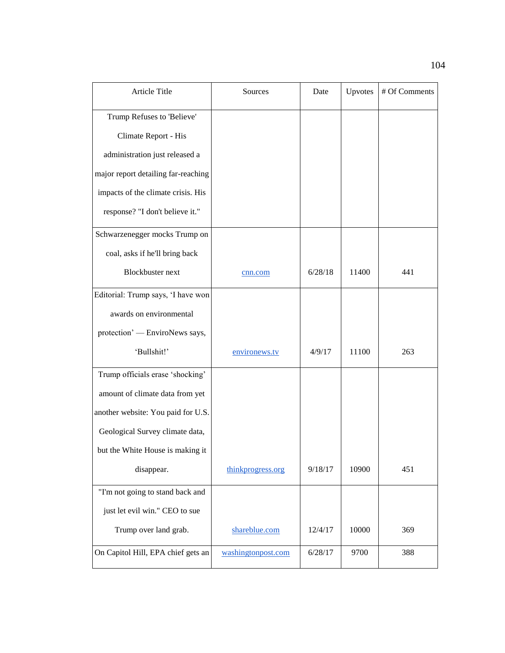| Article Title                       | Sources            | Date    | Upvotes | # Of Comments |
|-------------------------------------|--------------------|---------|---------|---------------|
| Trump Refuses to 'Believe'          |                    |         |         |               |
| Climate Report - His                |                    |         |         |               |
| administration just released a      |                    |         |         |               |
| major report detailing far-reaching |                    |         |         |               |
| impacts of the climate crisis. His  |                    |         |         |               |
| response? "I don't believe it."     |                    |         |         |               |
| Schwarzenegger mocks Trump on       |                    |         |         |               |
| coal, asks if he'll bring back      |                    |         |         |               |
| <b>Blockbuster</b> next             | cnn.com            | 6/28/18 | 11400   | 441           |
| Editorial: Trump says, 'I have won  |                    |         |         |               |
| awards on environmental             |                    |         |         |               |
| protection' — EnviroNews says,      |                    |         |         |               |
| 'Bullshit!'                         | environews.tv      | 4/9/17  | 11100   | 263           |
| Trump officials erase 'shocking'    |                    |         |         |               |
| amount of climate data from yet     |                    |         |         |               |
| another website: You paid for U.S.  |                    |         |         |               |
| Geological Survey climate data,     |                    |         |         |               |
| but the White House is making it    |                    |         |         |               |
| disappear.                          | thinkprogress.org  | 9/18/17 | 10900   | 451           |
| "I'm not going to stand back and    |                    |         |         |               |
| just let evil win." CEO to sue      |                    |         |         |               |
| Trump over land grab.               | shareblue.com      | 12/4/17 | 10000   | 369           |
| On Capitol Hill, EPA chief gets an  | washingtonpost.com | 6/28/17 | 9700    | 388           |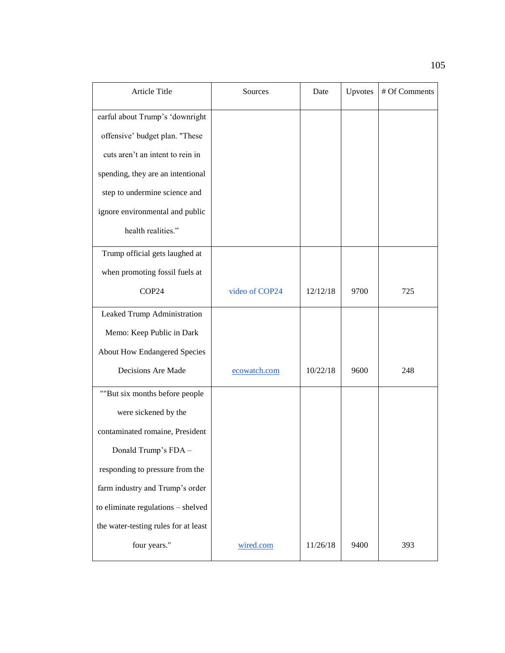| Article Title                        | Sources        | Date     | Upvotes | # Of Comments |
|--------------------------------------|----------------|----------|---------|---------------|
| earful about Trump's 'downright      |                |          |         |               |
| offensive' budget plan. "These       |                |          |         |               |
| cuts aren't an intent to rein in     |                |          |         |               |
| spending, they are an intentional    |                |          |         |               |
| step to undermine science and        |                |          |         |               |
| ignore environmental and public      |                |          |         |               |
| health realities."                   |                |          |         |               |
| Trump official gets laughed at       |                |          |         |               |
| when promoting fossil fuels at       |                |          |         |               |
| COP24                                | video of COP24 | 12/12/18 | 9700    | 725           |
| Leaked Trump Administration          |                |          |         |               |
| Memo: Keep Public in Dark            |                |          |         |               |
| <b>About How Endangered Species</b>  |                |          |         |               |
| Decisions Are Made                   | ecowatch.com   | 10/22/18 | 9600    | 248           |
| ""But six months before people       |                |          |         |               |
| were sickened by the                 |                |          |         |               |
| contaminated romaine, President      |                |          |         |               |
| Donald Trump's FDA -                 |                |          |         |               |
| responding to pressure from the      |                |          |         |               |
| farm industry and Trump's order      |                |          |         |               |
| to eliminate regulations - shelved   |                |          |         |               |
| the water-testing rules for at least |                |          |         |               |
| four years."                         | wired.com      | 11/26/18 | 9400    | 393           |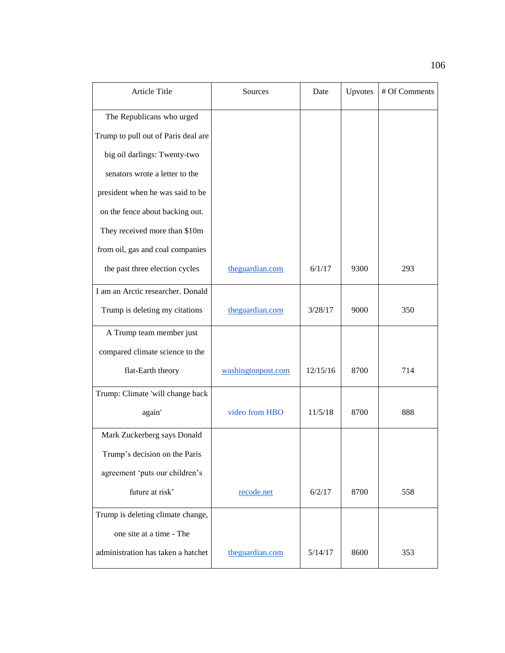| Article Title                       | Sources            | Date     | Upvotes | # Of Comments |
|-------------------------------------|--------------------|----------|---------|---------------|
| The Republicans who urged           |                    |          |         |               |
| Trump to pull out of Paris deal are |                    |          |         |               |
| big oil darlings: Twenty-two        |                    |          |         |               |
| senators wrote a letter to the      |                    |          |         |               |
| president when he was said to be    |                    |          |         |               |
| on the fence about backing out.     |                    |          |         |               |
| They received more than \$10m       |                    |          |         |               |
| from oil, gas and coal companies    |                    |          |         |               |
| the past three election cycles      | theguardian.com    | 6/1/17   | 9300    | 293           |
| I am an Arctic researcher. Donald   |                    |          |         |               |
| Trump is deleting my citations      | theguardian.com    | 3/28/17  | 9000    | 350           |
| A Trump team member just            |                    |          |         |               |
| compared climate science to the     |                    |          |         |               |
| flat-Earth theory                   | washingtonpost.com | 12/15/16 | 8700    | 714           |
| Trump: Climate 'will change back    |                    |          |         |               |
| again'                              | video from HBO     | 11/5/18  | 8700    | 888           |
| Mark Zuckerberg says Donald         |                    |          |         |               |
| Trump's decision on the Paris       |                    |          |         |               |
| agreement 'puts our children's      |                    |          |         |               |
| future at risk'                     | recode.net         | 6/2/17   | 8700    | 558           |
| Trump is deleting climate change,   |                    |          |         |               |
| one site at a time - The            |                    |          |         |               |
| administration has taken a hatchet  | theguardian.com    | 5/14/17  | 8600    | 353           |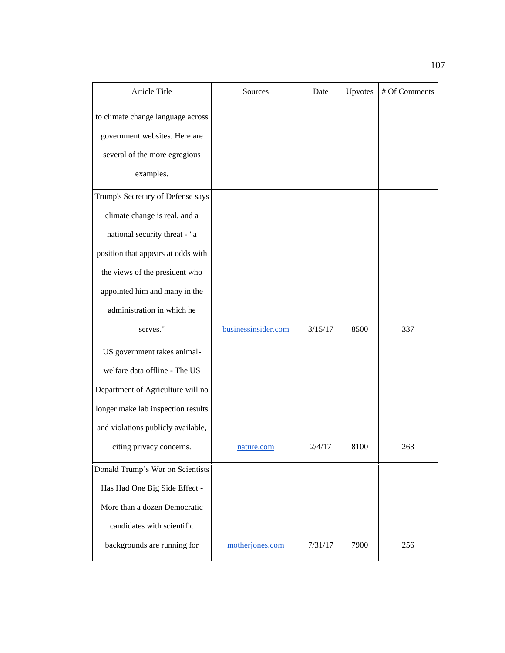| Article Title                      | Sources             | Date    | Upvotes | # Of Comments |
|------------------------------------|---------------------|---------|---------|---------------|
| to climate change language across  |                     |         |         |               |
| government websites. Here are      |                     |         |         |               |
| several of the more egregious      |                     |         |         |               |
| examples.                          |                     |         |         |               |
| Trump's Secretary of Defense says  |                     |         |         |               |
| climate change is real, and a      |                     |         |         |               |
| national security threat - "a      |                     |         |         |               |
| position that appears at odds with |                     |         |         |               |
| the views of the president who     |                     |         |         |               |
| appointed him and many in the      |                     |         |         |               |
| administration in which he         |                     |         |         |               |
| serves."                           | businessinsider.com | 3/15/17 | 8500    | 337           |
| US government takes animal-        |                     |         |         |               |
| welfare data offline - The US      |                     |         |         |               |
| Department of Agriculture will no  |                     |         |         |               |
| longer make lab inspection results |                     |         |         |               |
| and violations publicly available, |                     |         |         |               |
| citing privacy concerns.           | nature.com          | 2/4/17  | 8100    | 263           |
| Donald Trump's War on Scientists   |                     |         |         |               |
| Has Had One Big Side Effect -      |                     |         |         |               |
| More than a dozen Democratic       |                     |         |         |               |
| candidates with scientific         |                     |         |         |               |
| backgrounds are running for        | motherjones.com     | 7/31/17 | 7900    | 256           |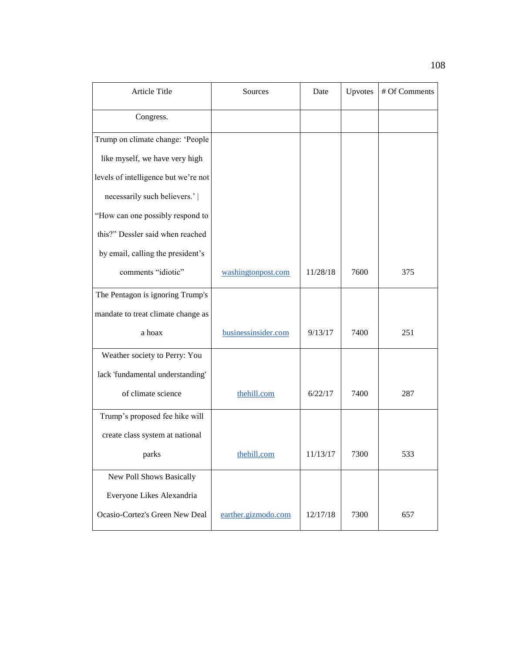| <b>Article Title</b>                 | Sources             | Date     | Upvotes | # Of Comments |
|--------------------------------------|---------------------|----------|---------|---------------|
| Congress.                            |                     |          |         |               |
| Trump on climate change: 'People     |                     |          |         |               |
| like myself, we have very high       |                     |          |         |               |
| levels of intelligence but we're not |                     |          |         |               |
| necessarily such believers.'         |                     |          |         |               |
| "How can one possibly respond to     |                     |          |         |               |
| this?" Dessler said when reached     |                     |          |         |               |
| by email, calling the president's    |                     |          |         |               |
| comments "idiotic"                   | washingtonpost.com  | 11/28/18 | 7600    | 375           |
| The Pentagon is ignoring Trump's     |                     |          |         |               |
| mandate to treat climate change as   |                     |          |         |               |
| a hoax                               | businessinsider.com | 9/13/17  | 7400    | 251           |
| Weather society to Perry: You        |                     |          |         |               |
| lack 'fundamental understanding'     |                     |          |         |               |
| of climate science                   | thehill.com         | 6/22/17  | 7400    | 287           |
| Trump's proposed fee hike will       |                     |          |         |               |
| create class system at national      |                     |          |         |               |
| parks                                | the hill.com        | 11/13/17 | 7300    | 533           |
| New Poll Shows Basically             |                     |          |         |               |
| Everyone Likes Alexandria            |                     |          |         |               |
| Ocasio-Cortez's Green New Deal       | earther.gizmodo.com | 12/17/18 | 7300    | 657           |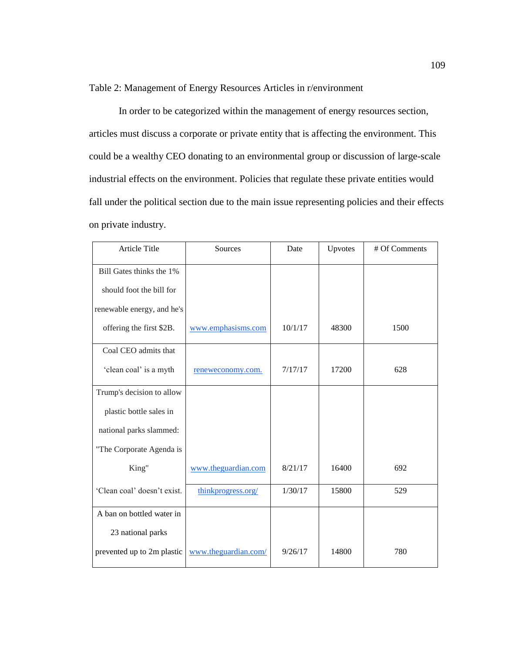Table 2: Management of Energy Resources Articles in r/environment

In order to be categorized within the management of energy resources section, articles must discuss a corporate or private entity that is affecting the environment. This could be a wealthy CEO donating to an environmental group or discussion of large-scale industrial effects on the environment. Policies that regulate these private entities would fall under the political section due to the main issue representing policies and their effects on private industry.

| Article Title               | Sources              | Date    | Upvotes | # Of Comments |
|-----------------------------|----------------------|---------|---------|---------------|
| Bill Gates thinks the 1%    |                      |         |         |               |
| should foot the bill for    |                      |         |         |               |
| renewable energy, and he's  |                      |         |         |               |
| offering the first \$2B.    | www.emphasisms.com   | 10/1/17 | 48300   | 1500          |
| Coal CEO admits that        |                      |         |         |               |
| 'clean coal' is a myth      | reneweconomy.com.    | 7/17/17 | 17200   | 628           |
| Trump's decision to allow   |                      |         |         |               |
| plastic bottle sales in     |                      |         |         |               |
| national parks slammed:     |                      |         |         |               |
| "The Corporate Agenda is    |                      |         |         |               |
| King"                       | www.theguardian.com  | 8/21/17 | 16400   | 692           |
| 'Clean coal' doesn't exist. | thinkprogress.org/   | 1/30/17 | 15800   | 529           |
| A ban on bottled water in   |                      |         |         |               |
| 23 national parks           |                      |         |         |               |
| prevented up to 2m plastic  | www.theguardian.com/ | 9/26/17 | 14800   | 780           |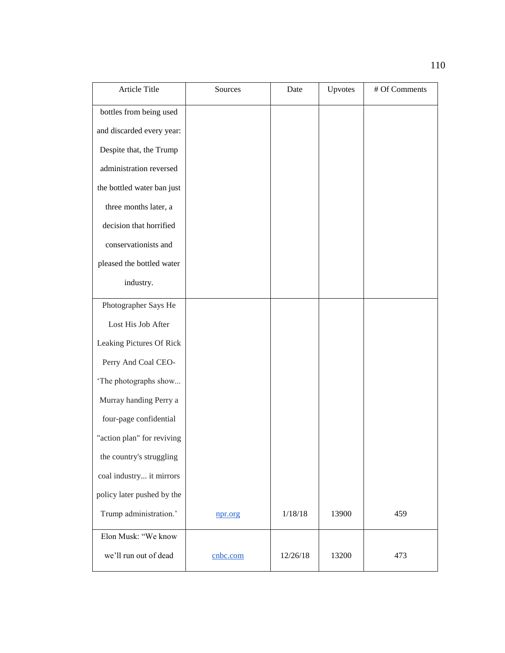| Article Title              | Sources  | Date     | Upvotes | # Of Comments |
|----------------------------|----------|----------|---------|---------------|
| bottles from being used    |          |          |         |               |
| and discarded every year:  |          |          |         |               |
| Despite that, the Trump    |          |          |         |               |
| administration reversed    |          |          |         |               |
| the bottled water ban just |          |          |         |               |
| three months later, a      |          |          |         |               |
| decision that horrified    |          |          |         |               |
| conservationists and       |          |          |         |               |
| pleased the bottled water  |          |          |         |               |
| industry.                  |          |          |         |               |
| Photographer Says He       |          |          |         |               |
| Lost His Job After         |          |          |         |               |
| Leaking Pictures Of Rick   |          |          |         |               |
| Perry And Coal CEO-        |          |          |         |               |
| 'The photographs show      |          |          |         |               |
| Murray handing Perry a     |          |          |         |               |
| four-page confidential     |          |          |         |               |
| "action plan" for reviving |          |          |         |               |
| the country's struggling   |          |          |         |               |
| coal industry it mirrors   |          |          |         |               |
| policy later pushed by the |          |          |         |               |
| Trump administration.'     | npr.org  | 1/18/18  | 13900   | 459           |
| Elon Musk: "We know        |          |          |         |               |
| we'll run out of dead      | cnbc.com | 12/26/18 | 13200   | 473           |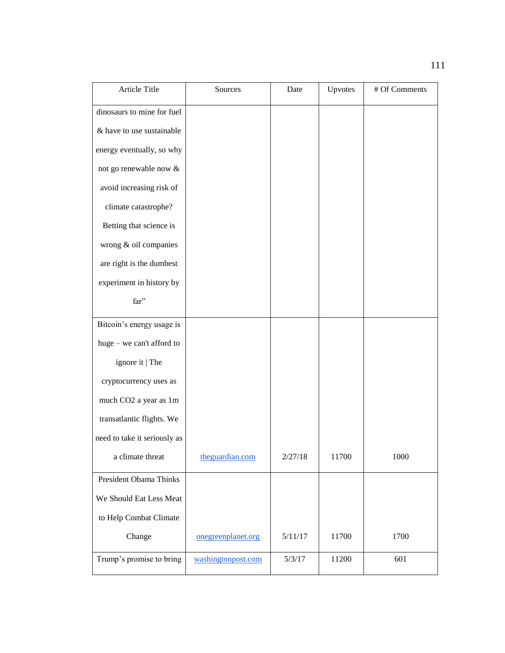| <b>Article Title</b>         | Sources            | Date    | Upvotes | # Of Comments |
|------------------------------|--------------------|---------|---------|---------------|
| dinosaurs to mine for fuel   |                    |         |         |               |
| & have to use sustainable    |                    |         |         |               |
| energy eventually, so why    |                    |         |         |               |
| not go renewable now $\&$    |                    |         |         |               |
| avoid increasing risk of     |                    |         |         |               |
| climate catastrophe?         |                    |         |         |               |
| Betting that science is      |                    |         |         |               |
| wrong & oil companies        |                    |         |         |               |
| are right is the dumbest     |                    |         |         |               |
| experiment in history by     |                    |         |         |               |
| far"                         |                    |         |         |               |
| Bitcoin's energy usage is    |                    |         |         |               |
| huge - we can't afford to    |                    |         |         |               |
| ignore it   The              |                    |         |         |               |
| cryptocurrency uses as       |                    |         |         |               |
| much CO2 a year as 1m        |                    |         |         |               |
| transatlantic flights. We    |                    |         |         |               |
| need to take it seriously as |                    |         |         |               |
| a climate threat             | theguardian.com    | 2/27/18 | 11700   | 1000          |
| President Obama Thinks       |                    |         |         |               |
| We Should Eat Less Meat      |                    |         |         |               |
| to Help Combat Climate       |                    |         |         |               |
| Change                       | onegreenplanet.org | 5/11/17 | 11700   | 1700          |
| Trump's promise to bring     | washingtonpost.com | 5/3/17  | 11200   | 601           |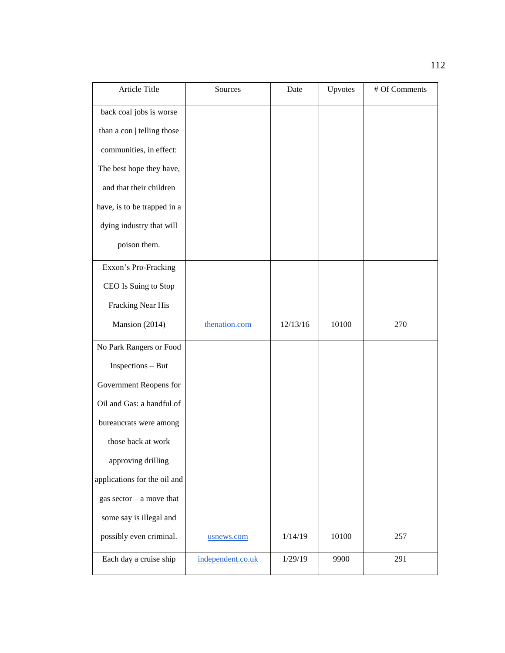| Article Title                | Sources           | Date     | Upvotes | # Of Comments |
|------------------------------|-------------------|----------|---------|---------------|
| back coal jobs is worse      |                   |          |         |               |
| than a con   telling those   |                   |          |         |               |
| communities, in effect:      |                   |          |         |               |
| The best hope they have,     |                   |          |         |               |
| and that their children      |                   |          |         |               |
| have, is to be trapped in a  |                   |          |         |               |
| dying industry that will     |                   |          |         |               |
| poison them.                 |                   |          |         |               |
| Exxon's Pro-Fracking         |                   |          |         |               |
| CEO Is Suing to Stop         |                   |          |         |               |
| Fracking Near His            |                   |          |         |               |
| Mansion (2014)               | thenation.com     | 12/13/16 | 10100   | 270           |
| No Park Rangers or Food      |                   |          |         |               |
| Inspections - But            |                   |          |         |               |
| Government Reopens for       |                   |          |         |               |
| Oil and Gas: a handful of    |                   |          |         |               |
| bureaucrats were among       |                   |          |         |               |
| those back at work           |                   |          |         |               |
| approving drilling           |                   |          |         |               |
| applications for the oil and |                   |          |         |               |
| gas sector $-$ a move that   |                   |          |         |               |
| some say is illegal and      |                   |          |         |               |
| possibly even criminal.      | usnews.com        | 1/14/19  | 10100   | 257           |
| Each day a cruise ship       | independent.co.uk | 1/29/19  | 9900    | 291           |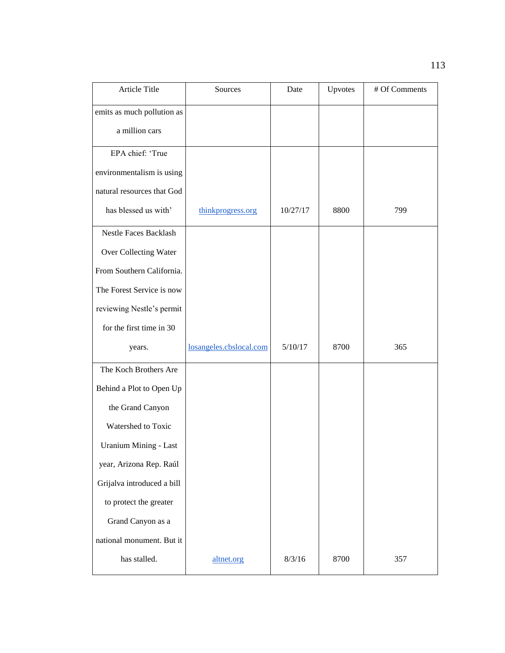| Article Title                | Sources                 | Date     | Upvotes | # Of Comments |
|------------------------------|-------------------------|----------|---------|---------------|
| emits as much pollution as   |                         |          |         |               |
| a million cars               |                         |          |         |               |
| EPA chief: 'True             |                         |          |         |               |
| environmentalism is using    |                         |          |         |               |
| natural resources that God   |                         |          |         |               |
| has blessed us with'         | thinkprogress.org       | 10/27/17 | 8800    | 799           |
| <b>Nestle Faces Backlash</b> |                         |          |         |               |
| Over Collecting Water        |                         |          |         |               |
| From Southern California.    |                         |          |         |               |
| The Forest Service is now    |                         |          |         |               |
| reviewing Nestle's permit    |                         |          |         |               |
| for the first time in 30     |                         |          |         |               |
| years.                       | losangeles.cbslocal.com | 5/10/17  | 8700    | 365           |
| The Koch Brothers Are        |                         |          |         |               |
| Behind a Plot to Open Up     |                         |          |         |               |
| the Grand Canyon             |                         |          |         |               |
| Watershed to Toxic           |                         |          |         |               |
| <b>Uranium Mining - Last</b> |                         |          |         |               |
| year, Arizona Rep. Raúl      |                         |          |         |               |
| Grijalva introduced a bill   |                         |          |         |               |
| to protect the greater       |                         |          |         |               |
| Grand Canyon as a            |                         |          |         |               |
| national monument. But it    |                         |          |         |               |
| has stalled.                 | altnet.org              | 8/3/16   | 8700    | 357           |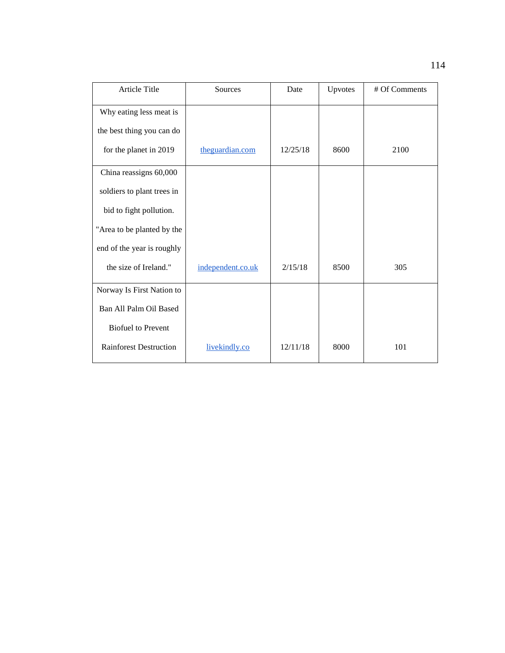| Article Title                 | Sources           | Date     | Upvotes | # Of Comments |
|-------------------------------|-------------------|----------|---------|---------------|
| Why eating less meat is       |                   |          |         |               |
| the best thing you can do     |                   |          |         |               |
| for the planet in 2019        | theguardian.com   | 12/25/18 | 8600    | 2100          |
| China reassigns 60,000        |                   |          |         |               |
| soldiers to plant trees in    |                   |          |         |               |
| bid to fight pollution.       |                   |          |         |               |
| "Area to be planted by the    |                   |          |         |               |
| end of the year is roughly    |                   |          |         |               |
| the size of Ireland."         | independent.co.uk | 2/15/18  | 8500    | 305           |
| Norway Is First Nation to     |                   |          |         |               |
| Ban All Palm Oil Based        |                   |          |         |               |
| <b>Biofuel to Prevent</b>     |                   |          |         |               |
| <b>Rainforest Destruction</b> | livekindly.co     | 12/11/18 | 8000    | 101           |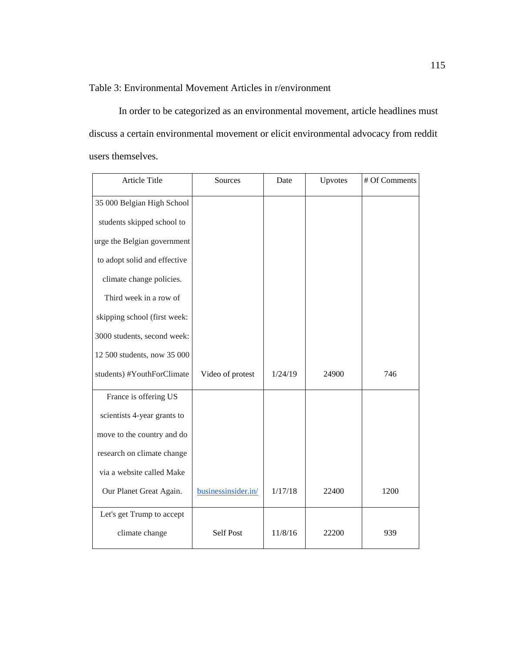Table 3: Environmental Movement Articles in r/environment

In order to be categorized as an environmental movement, article headlines must discuss a certain environmental movement or elicit environmental advocacy from reddit users themselves.

| Article Title                | Sources             | Date    | Upvotes | # Of Comments |
|------------------------------|---------------------|---------|---------|---------------|
| 35 000 Belgian High School   |                     |         |         |               |
| students skipped school to   |                     |         |         |               |
| urge the Belgian government  |                     |         |         |               |
| to adopt solid and effective |                     |         |         |               |
| climate change policies.     |                     |         |         |               |
| Third week in a row of       |                     |         |         |               |
| skipping school (first week: |                     |         |         |               |
| 3000 students, second week:  |                     |         |         |               |
| 12 500 students, now 35 000  |                     |         |         |               |
| students) #YouthForClimate   | Video of protest    | 1/24/19 | 24900   | 746           |
| France is offering US        |                     |         |         |               |
| scientists 4-year grants to  |                     |         |         |               |
| move to the country and do   |                     |         |         |               |
| research on climate change   |                     |         |         |               |
| via a website called Make    |                     |         |         |               |
| Our Planet Great Again.      | businessinsider.in/ | 1/17/18 | 22400   | 1200          |
| Let's get Trump to accept    |                     |         |         |               |
| climate change               | <b>Self Post</b>    | 11/8/16 | 22200   | 939           |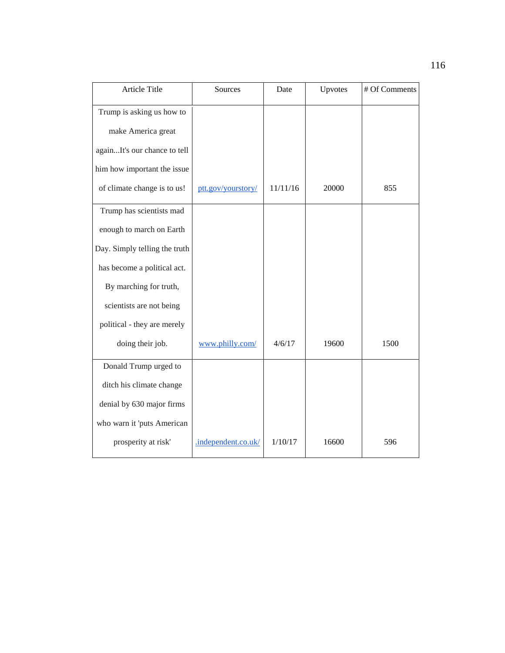| Article Title                 | Sources             | Date     | Upvotes | # Of Comments |
|-------------------------------|---------------------|----------|---------|---------------|
| Trump is asking us how to     |                     |          |         |               |
| make America great            |                     |          |         |               |
| againIt's our chance to tell  |                     |          |         |               |
| him how important the issue   |                     |          |         |               |
| of climate change is to us!   | ptt.gov/yourstory/  | 11/11/16 | 20000   | 855           |
| Trump has scientists mad      |                     |          |         |               |
| enough to march on Earth      |                     |          |         |               |
| Day. Simply telling the truth |                     |          |         |               |
| has become a political act.   |                     |          |         |               |
| By marching for truth,        |                     |          |         |               |
| scientists are not being      |                     |          |         |               |
| political - they are merely   |                     |          |         |               |
| doing their job.              | www.philly.com/     | 4/6/17   | 19600   | 1500          |
| Donald Trump urged to         |                     |          |         |               |
| ditch his climate change      |                     |          |         |               |
| denial by 630 major firms     |                     |          |         |               |
| who warn it 'puts American    |                     |          |         |               |
| prosperity at risk'           | .independent.co.uk/ | 1/10/17  | 16600   | 596           |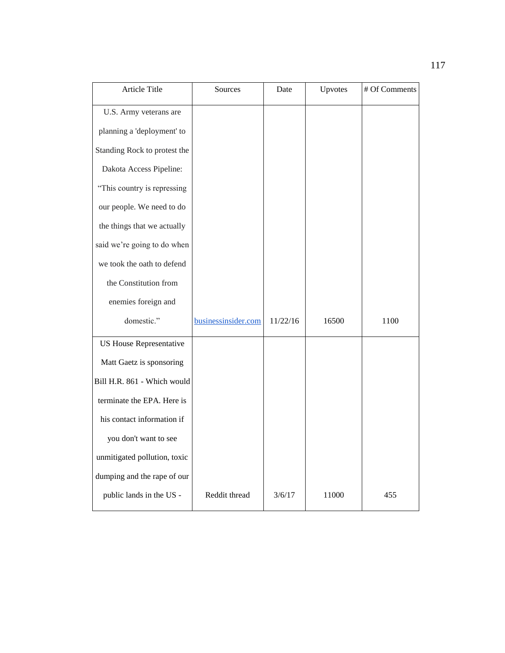| Article Title                  | Sources             | Date     | Upvotes | # Of Comments |
|--------------------------------|---------------------|----------|---------|---------------|
| U.S. Army veterans are         |                     |          |         |               |
| planning a 'deployment' to     |                     |          |         |               |
| Standing Rock to protest the   |                     |          |         |               |
| Dakota Access Pipeline:        |                     |          |         |               |
| "This country is repressing    |                     |          |         |               |
| our people. We need to do      |                     |          |         |               |
| the things that we actually    |                     |          |         |               |
| said we're going to do when    |                     |          |         |               |
| we took the oath to defend     |                     |          |         |               |
| the Constitution from          |                     |          |         |               |
| enemies foreign and            |                     |          |         |               |
| domestic."                     | businessinsider.com | 11/22/16 | 16500   | 1100          |
| <b>US House Representative</b> |                     |          |         |               |
| Matt Gaetz is sponsoring       |                     |          |         |               |
| Bill H.R. 861 - Which would    |                     |          |         |               |
| terminate the EPA. Here is     |                     |          |         |               |
| his contact information if     |                     |          |         |               |
| you don't want to see          |                     |          |         |               |
| unmitigated pollution, toxic   |                     |          |         |               |
| dumping and the rape of our    |                     |          |         |               |
| public lands in the US -       | Reddit thread       | 3/6/17   | 11000   | 455           |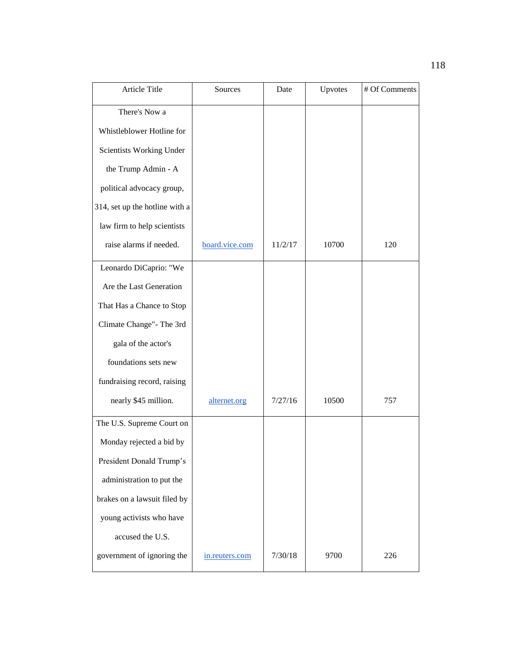| Article Title                  | Sources        | Date    | Upvotes | # Of Comments |
|--------------------------------|----------------|---------|---------|---------------|
| There's Now a                  |                |         |         |               |
| Whistleblower Hotline for      |                |         |         |               |
| Scientists Working Under       |                |         |         |               |
| the Trump Admin - A            |                |         |         |               |
| political advocacy group,      |                |         |         |               |
| 314, set up the hotline with a |                |         |         |               |
| law firm to help scientists    |                |         |         |               |
| raise alarms if needed.        | board.vice.com | 11/2/17 | 10700   | 120           |
| Leonardo DiCaprio: "We         |                |         |         |               |
| Are the Last Generation        |                |         |         |               |
| That Has a Chance to Stop      |                |         |         |               |
| Climate Change" - The 3rd      |                |         |         |               |
| gala of the actor's            |                |         |         |               |
| foundations sets new           |                |         |         |               |
| fundraising record, raising    |                |         |         |               |
| nearly \$45 million.           | alternet.org   | 7/27/16 | 10500   | 757           |
| The U.S. Supreme Court on      |                |         |         |               |
| Monday rejected a bid by       |                |         |         |               |
| President Donald Trump's       |                |         |         |               |
| administration to put the      |                |         |         |               |
| brakes on a lawsuit filed by   |                |         |         |               |
| young activists who have       |                |         |         |               |
| accused the U.S.               |                |         |         |               |
| government of ignoring the     | in.reuters.com | 7/30/18 | 9700    | 226           |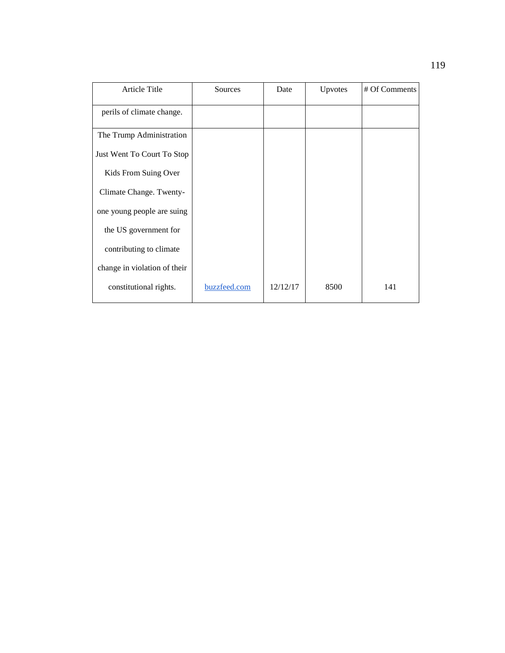| <b>Article Title</b>         | Sources      | Date     | Upvotes | # Of Comments |
|------------------------------|--------------|----------|---------|---------------|
| perils of climate change.    |              |          |         |               |
| The Trump Administration     |              |          |         |               |
| Just Went To Court To Stop   |              |          |         |               |
| Kids From Suing Over         |              |          |         |               |
| Climate Change. Twenty-      |              |          |         |               |
| one young people are suing   |              |          |         |               |
| the US government for        |              |          |         |               |
| contributing to climate      |              |          |         |               |
| change in violation of their |              |          |         |               |
| constitutional rights.       | buzzfeed.com | 12/12/17 | 8500    | 141           |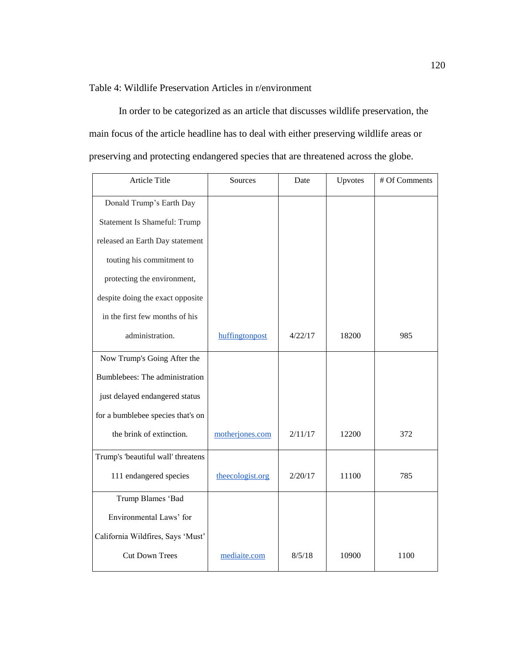## Table 4: Wildlife Preservation Articles in r/environment

In order to be categorized as an article that discusses wildlife preservation, the main focus of the article headline has to deal with either preserving wildlife areas or preserving and protecting endangered species that are threatened across the globe.

| Article Title                       | Sources          | Date    | Upvotes | # Of Comments |
|-------------------------------------|------------------|---------|---------|---------------|
| Donald Trump's Earth Day            |                  |         |         |               |
| <b>Statement Is Shameful: Trump</b> |                  |         |         |               |
| released an Earth Day statement     |                  |         |         |               |
| touting his commitment to           |                  |         |         |               |
| protecting the environment,         |                  |         |         |               |
| despite doing the exact opposite    |                  |         |         |               |
| in the first few months of his      |                  |         |         |               |
| administration.                     | huffingtonpost   | 4/22/17 | 18200   | 985           |
| Now Trump's Going After the         |                  |         |         |               |
| Bumblebees: The administration      |                  |         |         |               |
| just delayed endangered status      |                  |         |         |               |
| for a bumblebee species that's on   |                  |         |         |               |
| the brink of extinction.            | motherjones.com  | 2/11/17 | 12200   | 372           |
| Trump's 'beautiful wall' threatens  |                  |         |         |               |
| 111 endangered species              | theecologist.org | 2/20/17 | 11100   | 785           |
| Trump Blames 'Bad                   |                  |         |         |               |
| Environmental Laws' for             |                  |         |         |               |
| California Wildfires, Says 'Must'   |                  |         |         |               |
| <b>Cut Down Trees</b>               | mediaite.com     | 8/5/18  | 10900   | 1100          |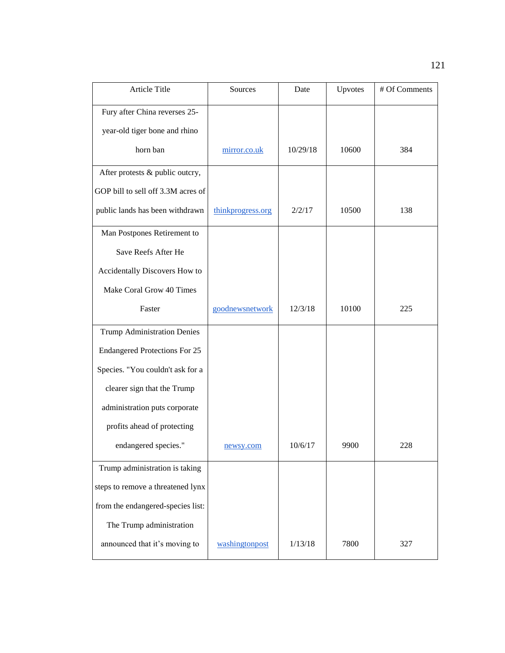| Article Title                        | Sources           | Date     | Upvotes | # Of Comments |
|--------------------------------------|-------------------|----------|---------|---------------|
| Fury after China reverses 25-        |                   |          |         |               |
| year-old tiger bone and rhino        |                   |          |         |               |
| horn ban                             | mirror.co.uk      | 10/29/18 | 10600   | 384           |
| After protests & public outcry,      |                   |          |         |               |
| GOP bill to sell off 3.3M acres of   |                   |          |         |               |
| public lands has been withdrawn      | thinkprogress.org | 2/2/17   | 10500   | 138           |
| Man Postpones Retirement to          |                   |          |         |               |
| Save Reefs After He                  |                   |          |         |               |
| Accidentally Discovers How to        |                   |          |         |               |
| Make Coral Grow 40 Times             |                   |          |         |               |
| Faster                               | goodnewsnetwork   | 12/3/18  | 10100   | 225           |
| <b>Trump Administration Denies</b>   |                   |          |         |               |
| <b>Endangered Protections For 25</b> |                   |          |         |               |
| Species. "You couldn't ask for a     |                   |          |         |               |
| clearer sign that the Trump          |                   |          |         |               |
| administration puts corporate        |                   |          |         |               |
| profits ahead of protecting          |                   |          |         |               |
| endangered species."                 | newsy.com         | 10/6/17  | 9900    | 228           |
| Trump administration is taking       |                   |          |         |               |
| steps to remove a threatened lynx    |                   |          |         |               |
| from the endangered-species list:    |                   |          |         |               |
| The Trump administration             |                   |          |         |               |
| announced that it's moving to        | washingtonpost    | 1/13/18  | 7800    | 327           |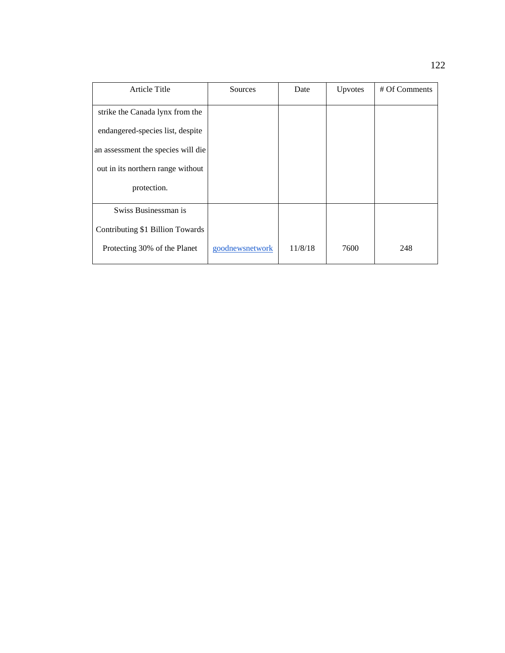| <b>Article Title</b>               | Sources         | Date    | Upvotes | # Of Comments |
|------------------------------------|-----------------|---------|---------|---------------|
| strike the Canada lynx from the    |                 |         |         |               |
| endangered-species list, despite   |                 |         |         |               |
| an assessment the species will die |                 |         |         |               |
| out in its northern range without  |                 |         |         |               |
| protection.                        |                 |         |         |               |
| Swiss Businessman is               |                 |         |         |               |
| Contributing \$1 Billion Towards   |                 |         |         |               |
| Protecting 30% of the Planet       | goodnewsnetwork | 11/8/18 | 7600    | 248           |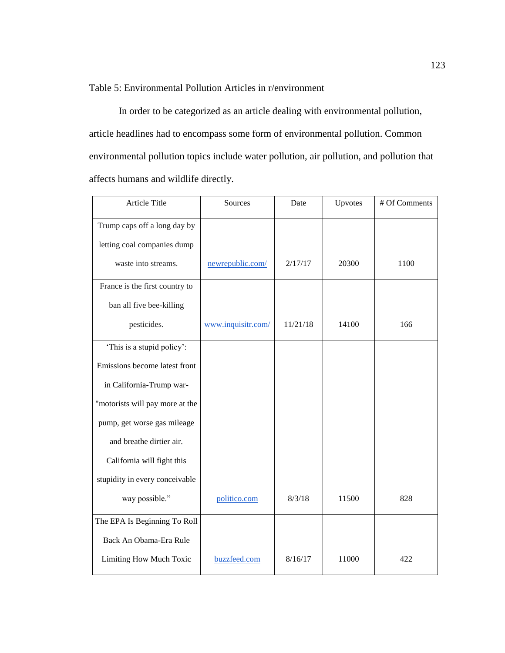Table 5: Environmental Pollution Articles in r/environment

In order to be categorized as an article dealing with environmental pollution, article headlines had to encompass some form of environmental pollution. Common environmental pollution topics include water pollution, air pollution, and pollution that affects humans and wildlife directly.

| Article Title                   | Sources            | Date     | Upvotes | # Of Comments |
|---------------------------------|--------------------|----------|---------|---------------|
| Trump caps off a long day by    |                    |          |         |               |
| letting coal companies dump     |                    |          |         |               |
| waste into streams.             | newrepublic.com/   | 2/17/17  | 20300   | 1100          |
| France is the first country to  |                    |          |         |               |
| ban all five bee-killing        |                    |          |         |               |
| pesticides.                     | www.inquisitr.com/ | 11/21/18 | 14100   | 166           |
| 'This is a stupid policy':      |                    |          |         |               |
| Emissions become latest front   |                    |          |         |               |
| in California-Trump war-        |                    |          |         |               |
| "motorists will pay more at the |                    |          |         |               |
| pump, get worse gas mileage     |                    |          |         |               |
| and breathe dirtier air.        |                    |          |         |               |
| California will fight this      |                    |          |         |               |
| stupidity in every conceivable  |                    |          |         |               |
| way possible."                  | politico.com       | 8/3/18   | 11500   | 828           |
| The EPA Is Beginning To Roll    |                    |          |         |               |
| Back An Obama-Era Rule          |                    |          |         |               |
| Limiting How Much Toxic         | buzzfeed.com       | 8/16/17  | 11000   | 422           |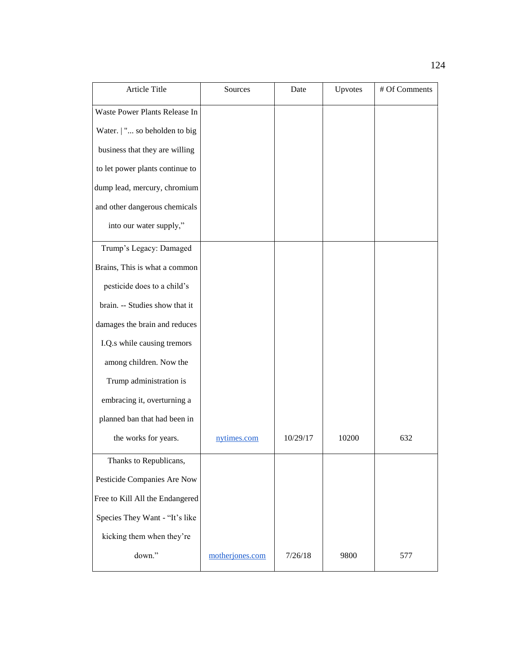| Article Title                   | Sources         | Date     | Upvotes | # Of Comments |
|---------------------------------|-----------------|----------|---------|---------------|
| Waste Power Plants Release In   |                 |          |         |               |
| Water.   " so beholden to big   |                 |          |         |               |
| business that they are willing  |                 |          |         |               |
| to let power plants continue to |                 |          |         |               |
| dump lead, mercury, chromium    |                 |          |         |               |
| and other dangerous chemicals   |                 |          |         |               |
| into our water supply,"         |                 |          |         |               |
| Trump's Legacy: Damaged         |                 |          |         |               |
| Brains, This is what a common   |                 |          |         |               |
| pesticide does to a child's     |                 |          |         |               |
| brain. -- Studies show that it  |                 |          |         |               |
| damages the brain and reduces   |                 |          |         |               |
| I.Q.s while causing tremors     |                 |          |         |               |
| among children. Now the         |                 |          |         |               |
| Trump administration is         |                 |          |         |               |
| embracing it, overturning a     |                 |          |         |               |
| planned ban that had been in    |                 |          |         |               |
| the works for years.            | nytimes.com     | 10/29/17 | 10200   | 632           |
| Thanks to Republicans,          |                 |          |         |               |
| Pesticide Companies Are Now     |                 |          |         |               |
| Free to Kill All the Endangered |                 |          |         |               |
| Species They Want - "It's like  |                 |          |         |               |
| kicking them when they're       |                 |          |         |               |
| down."                          | motherjones.com | 7/26/18  | 9800    | 577           |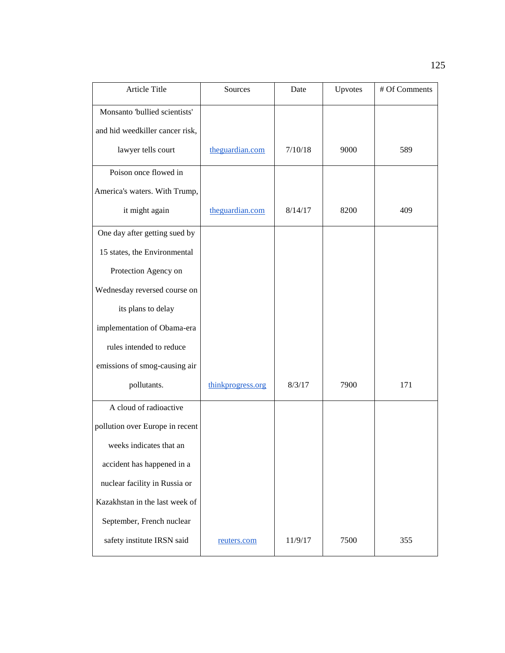| Article Title                   | Sources           | Date    | Upvotes | # Of Comments |
|---------------------------------|-------------------|---------|---------|---------------|
| Monsanto 'bullied scientists'   |                   |         |         |               |
| and hid weedkiller cancer risk, |                   |         |         |               |
| lawyer tells court              | theguardian.com   | 7/10/18 | 9000    | 589           |
| Poison once flowed in           |                   |         |         |               |
| America's waters. With Trump,   |                   |         |         |               |
| it might again                  | theguardian.com   | 8/14/17 | 8200    | 409           |
| One day after getting sued by   |                   |         |         |               |
| 15 states, the Environmental    |                   |         |         |               |
| Protection Agency on            |                   |         |         |               |
| Wednesday reversed course on    |                   |         |         |               |
| its plans to delay              |                   |         |         |               |
| implementation of Obama-era     |                   |         |         |               |
| rules intended to reduce        |                   |         |         |               |
| emissions of smog-causing air   |                   |         |         |               |
| pollutants.                     | thinkprogress.org | 8/3/17  | 7900    | 171           |
| A cloud of radioactive          |                   |         |         |               |
| pollution over Europe in recent |                   |         |         |               |
| weeks indicates that an         |                   |         |         |               |
| accident has happened in a      |                   |         |         |               |
| nuclear facility in Russia or   |                   |         |         |               |
| Kazakhstan in the last week of  |                   |         |         |               |
| September, French nuclear       |                   |         |         |               |
| safety institute IRSN said      | reuters.com       | 11/9/17 | 7500    | 355           |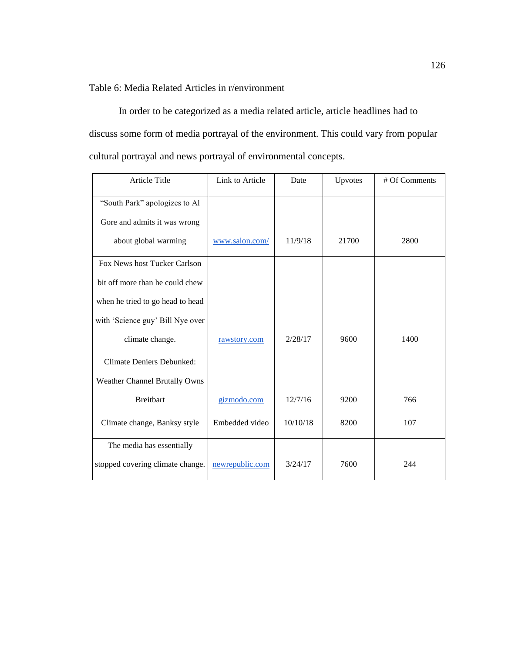Table 6: Media Related Articles in r/environment

In order to be categorized as a media related article, article headlines had to discuss some form of media portrayal of the environment. This could vary from popular cultural portrayal and news portrayal of environmental concepts.

| <b>Article Title</b>                 | Link to Article | Date     | Upvotes | # Of Comments |
|--------------------------------------|-----------------|----------|---------|---------------|
| "South Park" apologizes to Al        |                 |          |         |               |
| Gore and admits it was wrong         |                 |          |         |               |
| about global warming                 | www.salon.com/  | 11/9/18  | 21700   | 2800          |
| Fox News host Tucker Carlson         |                 |          |         |               |
| bit off more than he could chew      |                 |          |         |               |
| when he tried to go head to head     |                 |          |         |               |
| with 'Science guy' Bill Nye over     |                 |          |         |               |
| climate change.                      | rawstory.com    | 2/28/17  | 9600    | 1400          |
| <b>Climate Deniers Debunked:</b>     |                 |          |         |               |
| <b>Weather Channel Brutally Owns</b> |                 |          |         |               |
| <b>Breitbart</b>                     | gizmodo.com     | 12/7/16  | 9200    | 766           |
| Climate change, Banksy style         | Embedded video  | 10/10/18 | 8200    | 107           |
| The media has essentially            |                 |          |         |               |
| stopped covering climate change.     | newrepublic.com | 3/24/17  | 7600    | 244           |